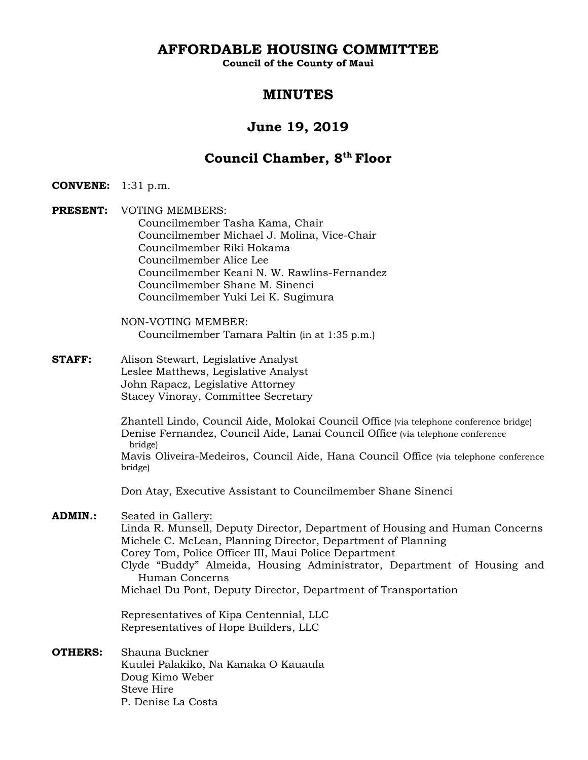**AFFORDABLE HOUSING COMMITTEE** 

**Council of the County of Maui** 

# **MINUTES**

# **June 19, 2019**

# **Council Chamber, 8th Floor**

**CONVENE:** 1:31 p.m.

**PRESENT:** VOTING MEMBERS: Councilmember Tasha Kama, Chair Councilmember Michael J. Molina, Vice-Chair Councilmember Riki Hokama Councilmember Alice Lee Councilmember Keani N. W. Rawlins-Fernandez Councilmember Shane M. Sinenci Councilmember Yuki Lei K. Sugimura

> NON-VOTING MEMBER: Councilmember Tamara Paltin (in at 1:35 p.m.)

**STAFF:** Alison Stewart, Legislative Analyst Leslee Matthews, Legislative Analyst John Rapacz, Legislative Attorney Stacey Vinoray, Committee Secretary

> Zhantell Lindo, Council Aide, Molokai Council Office (via telephone conference bridge) Denise Fernandez, Council Aide, Lanai Council Office (via telephone conference bridge)

Mavis Oliveira-Medeiros, Council Aide, Hana Council Office (via telephone conference bridge)

Don Atay, Executive Assistant to Councilmember Shane Sinenci

**ADMIN.:** Seated in Gallery:

Linda R. Munsell, Deputy Director, Department of Housing and Human Concerns Michele C. McLean, Planning Director, Department of Planning Corey Tom, Police Officer III, Maui Police Department Clyde "Buddy" Almeida, Housing Administrator, Department of Housing and Human Concerns Michael Du Pont, Deputy Director, Department of Transportation

 Representatives of Kipa Centennial, LLC Representatives of Hope Builders, LLC

**OTHERS:** Shauna Buckner Kuulei Palakiko, Na Kanaka O Kauaula Doug Kimo Weber Steve Hire P. Denise La Costa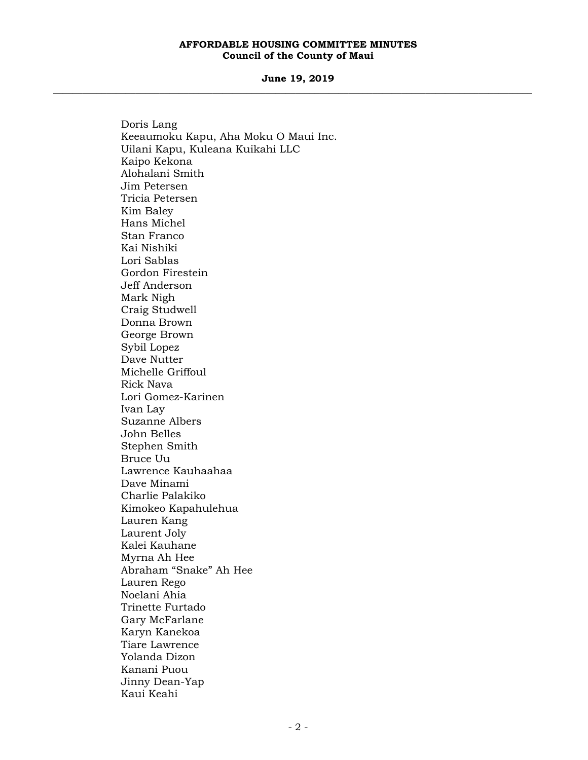**June 19, 2019 \_\_\_\_\_\_\_\_\_\_\_\_\_\_\_\_\_\_\_\_\_\_\_\_\_\_\_\_\_\_\_\_\_\_\_\_\_\_\_\_\_\_\_\_\_\_\_\_\_\_\_\_\_\_\_\_\_\_\_\_\_\_\_\_\_\_\_\_\_\_\_\_\_\_\_\_\_\_\_\_\_\_\_\_\_\_\_\_\_\_\_\_\_\_\_\_\_\_\_** 

> Doris Lang Keeaumoku Kapu, Aha Moku O Maui Inc. Uilani Kapu, Kuleana Kuikahi LLC Kaipo Kekona Alohalani Smith Jim Petersen Tricia Petersen Kim Baley Hans Michel Stan Franco Kai Nishiki Lori Sablas Gordon Firestein Jeff Anderson Mark Nigh Craig Studwell Donna Brown George Brown Sybil Lopez Dave Nutter Michelle Griffoul Rick Nava Lori Gomez-Karinen Ivan Lay Suzanne Albers John Belles Stephen Smith Bruce Uu Lawrence Kauhaahaa Dave Minami Charlie Palakiko Kimokeo Kapahulehua Lauren Kang Laurent Joly Kalei Kauhane Myrna Ah Hee Abraham "Snake" Ah Hee Lauren Rego Noelani Ahia Trinette Furtado Gary McFarlane Karyn Kanekoa Tiare Lawrence Yolanda Dizon Kanani Puou Jinny Dean-Yap Kaui Keahi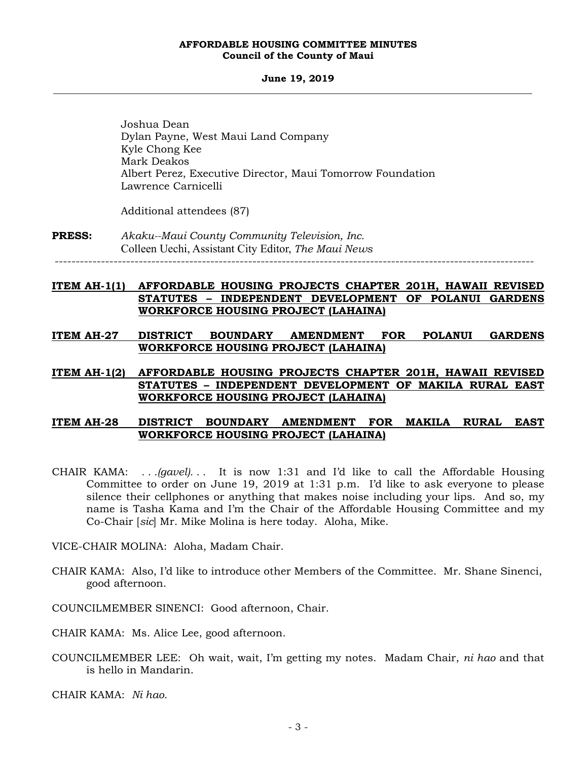#### **June 19, 2019 \_\_\_\_\_\_\_\_\_\_\_\_\_\_\_\_\_\_\_\_\_\_\_\_\_\_\_\_\_\_\_\_\_\_\_\_\_\_\_\_\_\_\_\_\_\_\_\_\_\_\_\_\_\_\_\_\_\_\_\_\_\_\_\_\_\_\_\_\_\_\_\_\_\_\_\_\_\_\_\_\_\_\_\_\_\_\_\_\_\_\_\_\_\_\_\_\_\_\_**

 Joshua Dean Dylan Payne, West Maui Land Company Kyle Chong Kee Mark Deakos Albert Perez, Executive Director, Maui Tomorrow Foundation Lawrence Carnicelli

Additional attendees (87)

**PRESS:** *Akaku--Maui County Community Television, Inc.*  Colleen Uechi, Assistant City Editor, *The Maui News*  ------------------------------------------------------------------------------------------------------------------

# **ITEM AH-1(1) AFFORDABLE HOUSING PROJECTS CHAPTER 201H, HAWAII REVISED STATUTES – INDEPENDENT DEVELOPMENT OF POLANUI GARDENS WORKFORCE HOUSING PROJECT (LAHAINA)**

**ITEM AH-27 DISTRICT BOUNDARY AMENDMENT FOR POLANUI GARDENS WORKFORCE HOUSING PROJECT (LAHAINA)** 

## **ITEM AH-1(2) AFFORDABLE HOUSING PROJECTS CHAPTER 201H, HAWAII REVISED STATUTES – INDEPENDENT DEVELOPMENT OF MAKILA RURAL EAST WORKFORCE HOUSING PROJECT (LAHAINA)**

## **ITEM AH-28 DISTRICT BOUNDARY AMENDMENT FOR MAKILA RURAL EAST WORKFORCE HOUSING PROJECT (LAHAINA)**

- CHAIR KAMA: *. . .(gavel). . .* It is now 1:31 and I'd like to call the Affordable Housing Committee to order on June 19, 2019 at 1:31 p.m. I'd like to ask everyone to please silence their cellphones or anything that makes noise including your lips. And so, my name is Tasha Kama and I'm the Chair of the Affordable Housing Committee and my Co-Chair [*sic*] Mr. Mike Molina is here today. Aloha, Mike.
- VICE-CHAIR MOLINA: Aloha, Madam Chair.
- CHAIR KAMA: Also, I'd like to introduce other Members of the Committee. Mr. Shane Sinenci, good afternoon.
- COUNCILMEMBER SINENCI: Good afternoon, Chair.
- CHAIR KAMA: Ms. Alice Lee, good afternoon.
- COUNCILMEMBER LEE: Oh wait, wait, I'm getting my notes. Madam Chair, *ni hao* and that is hello in Mandarin.

CHAIR KAMA: *Ni hao.*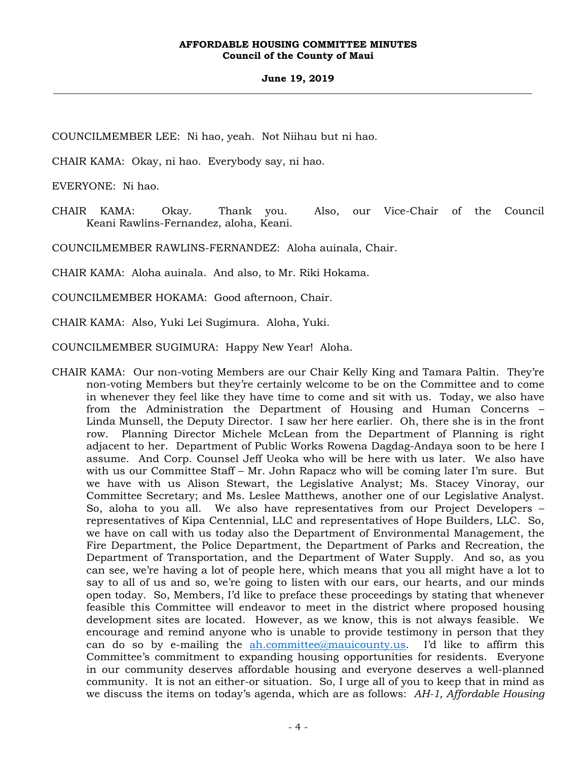#### **June 19, 2019 \_\_\_\_\_\_\_\_\_\_\_\_\_\_\_\_\_\_\_\_\_\_\_\_\_\_\_\_\_\_\_\_\_\_\_\_\_\_\_\_\_\_\_\_\_\_\_\_\_\_\_\_\_\_\_\_\_\_\_\_\_\_\_\_\_\_\_\_\_\_\_\_\_\_\_\_\_\_\_\_\_\_\_\_\_\_\_\_\_\_\_\_\_\_\_\_\_\_\_**

COUNCILMEMBER LEE: Ni hao, yeah. Not Niihau but ni hao.

CHAIR KAMA: Okay, ni hao. Everybody say, ni hao.

EVERYONE: Ni hao.

CHAIR KAMA: Okay. Thank you. Also, our Vice-Chair of the Council Keani Rawlins-Fernandez, aloha, Keani.

COUNCILMEMBER RAWLINS-FERNANDEZ: Aloha auinala, Chair.

CHAIR KAMA: Aloha auinala. And also, to Mr. Riki Hokama.

COUNCILMEMBER HOKAMA: Good afternoon, Chair.

CHAIR KAMA: Also, Yuki Lei Sugimura. Aloha, Yuki.

COUNCILMEMBER SUGIMURA: Happy New Year! Aloha.

CHAIR KAMA: Our non-voting Members are our Chair Kelly King and Tamara Paltin. They're non-voting Members but they're certainly welcome to be on the Committee and to come in whenever they feel like they have time to come and sit with us. Today, we also have from the Administration the Department of Housing and Human Concerns – Linda Munsell, the Deputy Director. I saw her here earlier. Oh, there she is in the front row. Planning Director Michele McLean from the Department of Planning is right adjacent to her. Department of Public Works Rowena Dagdag-Andaya soon to be here I assume. And Corp. Counsel Jeff Ueoka who will be here with us later. We also have with us our Committee Staff – Mr. John Rapacz who will be coming later I'm sure. But we have with us Alison Stewart, the Legislative Analyst; Ms. Stacey Vinoray, our Committee Secretary; and Ms. Leslee Matthews, another one of our Legislative Analyst. So, aloha to you all. We also have representatives from our Project Developers – representatives of Kipa Centennial, LLC and representatives of Hope Builders, LLC. So, we have on call with us today also the Department of Environmental Management, the Fire Department, the Police Department, the Department of Parks and Recreation, the Department of Transportation, and the Department of Water Supply. And so, as you can see, we're having a lot of people here, which means that you all might have a lot to say to all of us and so, we're going to listen with our ears, our hearts, and our minds open today. So, Members, I'd like to preface these proceedings by stating that whenever feasible this Committee will endeavor to meet in the district where proposed housing development sites are located. However, as we know, this is not always feasible. We encourage and remind anyone who is unable to provide testimony in person that they can do so by e-mailing the ah.committee@mauicounty.us. I'd like to affirm this Committee's commitment to expanding housing opportunities for residents. Everyone in our community deserves affordable housing and everyone deserves a well-planned community. It is not an either-or situation. So, I urge all of you to keep that in mind as we discuss the items on today's agenda, which are as follows: *AH-1, Affordable Housing*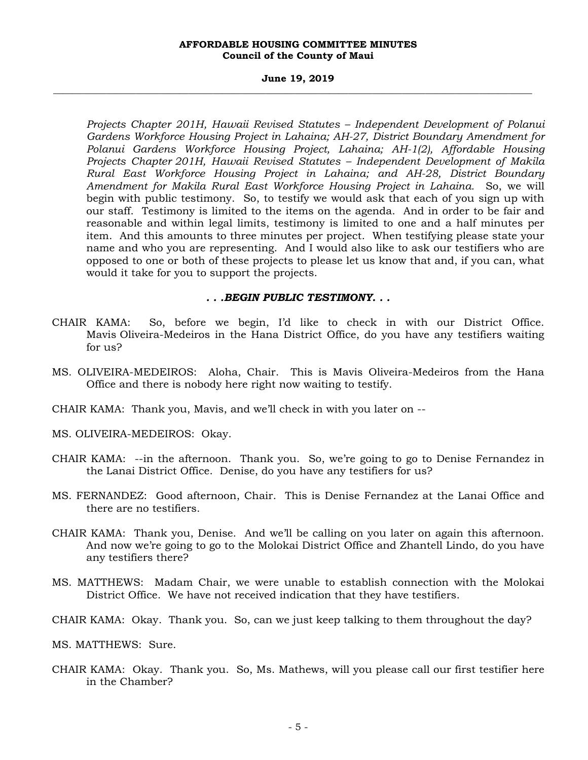#### **June 19, 2019 \_\_\_\_\_\_\_\_\_\_\_\_\_\_\_\_\_\_\_\_\_\_\_\_\_\_\_\_\_\_\_\_\_\_\_\_\_\_\_\_\_\_\_\_\_\_\_\_\_\_\_\_\_\_\_\_\_\_\_\_\_\_\_\_\_\_\_\_\_\_\_\_\_\_\_\_\_\_\_\_\_\_\_\_\_\_\_\_\_\_\_\_\_\_\_\_\_\_\_**

*Projects Chapter 201H, Hawaii Revised Statutes – Independent Development of Polanui Gardens Workforce Housing Project in Lahaina; AH-27, District Boundary Amendment for Polanui Gardens Workforce Housing Project, Lahaina; AH-1(2), Affordable Housing Projects Chapter 201H, Hawaii Revised Statutes – Independent Development of Makila Rural East Workforce Housing Project in Lahaina; and AH-28, District Boundary Amendment for Makila Rural East Workforce Housing Project in Lahaina.* So, we will begin with public testimony. So, to testify we would ask that each of you sign up with our staff. Testimony is limited to the items on the agenda. And in order to be fair and reasonable and within legal limits, testimony is limited to one and a half minutes per item. And this amounts to three minutes per project. When testifying please state your name and who you are representing. And I would also like to ask our testifiers who are opposed to one or both of these projects to please let us know that and, if you can, what would it take for you to support the projects.

## *. . .BEGIN PUBLIC TESTIMONY. . .*

- CHAIR KAMA: So, before we begin, I'd like to check in with our District Office. Mavis Oliveira-Medeiros in the Hana District Office, do you have any testifiers waiting for us?
- MS. OLIVEIRA-MEDEIROS: Aloha, Chair. This is Mavis Oliveira-Medeiros from the Hana Office and there is nobody here right now waiting to testify.
- CHAIR KAMA: Thank you, Mavis, and we'll check in with you later on --
- MS. OLIVEIRA-MEDEIROS: Okay.
- CHAIR KAMA: --in the afternoon. Thank you. So, we're going to go to Denise Fernandez in the Lanai District Office. Denise, do you have any testifiers for us?
- MS. FERNANDEZ: Good afternoon, Chair. This is Denise Fernandez at the Lanai Office and there are no testifiers.
- CHAIR KAMA: Thank you, Denise. And we'll be calling on you later on again this afternoon. And now we're going to go to the Molokai District Office and Zhantell Lindo, do you have any testifiers there?
- MS. MATTHEWS: Madam Chair, we were unable to establish connection with the Molokai District Office. We have not received indication that they have testifiers.
- CHAIR KAMA: Okay. Thank you. So, can we just keep talking to them throughout the day?
- MS. MATTHEWS: Sure.
- CHAIR KAMA: Okay. Thank you. So, Ms. Mathews, will you please call our first testifier here in the Chamber?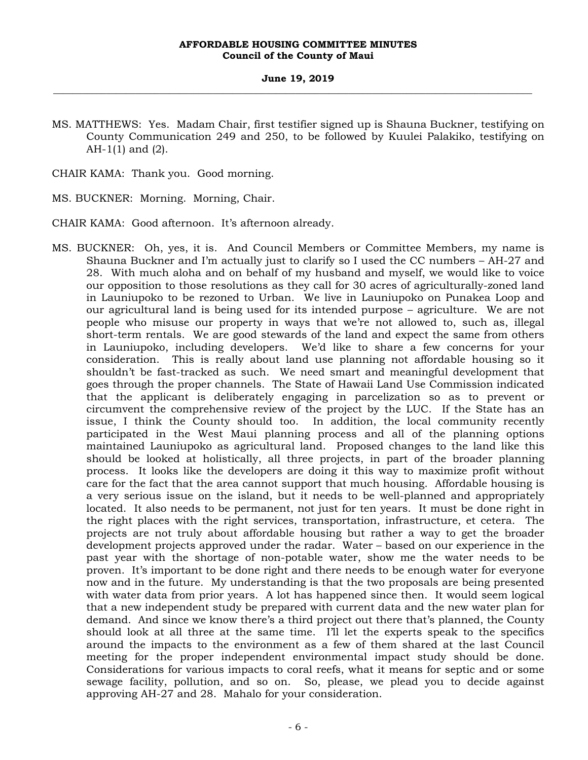#### **June 19, 2019 \_\_\_\_\_\_\_\_\_\_\_\_\_\_\_\_\_\_\_\_\_\_\_\_\_\_\_\_\_\_\_\_\_\_\_\_\_\_\_\_\_\_\_\_\_\_\_\_\_\_\_\_\_\_\_\_\_\_\_\_\_\_\_\_\_\_\_\_\_\_\_\_\_\_\_\_\_\_\_\_\_\_\_\_\_\_\_\_\_\_\_\_\_\_\_\_\_\_\_**

MS. MATTHEWS: Yes. Madam Chair, first testifier signed up is Shauna Buckner, testifying on County Communication 249 and 250, to be followed by Kuulei Palakiko, testifying on AH-1(1) and (2).

CHAIR KAMA: Thank you. Good morning.

MS. BUCKNER: Morning. Morning, Chair.

CHAIR KAMA: Good afternoon. It's afternoon already.

MS. BUCKNER: Oh, yes, it is. And Council Members or Committee Members, my name is Shauna Buckner and I'm actually just to clarify so I used the CC numbers – AH-27 and 28. With much aloha and on behalf of my husband and myself, we would like to voice our opposition to those resolutions as they call for 30 acres of agriculturally-zoned land in Launiupoko to be rezoned to Urban. We live in Launiupoko on Punakea Loop and our agricultural land is being used for its intended purpose – agriculture. We are not people who misuse our property in ways that we're not allowed to, such as, illegal short-term rentals. We are good stewards of the land and expect the same from others in Launiupoko, including developers. We'd like to share a few concerns for your consideration. This is really about land use planning not affordable housing so it shouldn't be fast-tracked as such. We need smart and meaningful development that goes through the proper channels. The State of Hawaii Land Use Commission indicated that the applicant is deliberately engaging in parcelization so as to prevent or circumvent the comprehensive review of the project by the LUC. If the State has an issue, I think the County should too. In addition, the local community recently participated in the West Maui planning process and all of the planning options maintained Launiupoko as agricultural land. Proposed changes to the land like this should be looked at holistically, all three projects, in part of the broader planning process. It looks like the developers are doing it this way to maximize profit without care for the fact that the area cannot support that much housing. Affordable housing is a very serious issue on the island, but it needs to be well-planned and appropriately located. It also needs to be permanent, not just for ten years. It must be done right in the right places with the right services, transportation, infrastructure, et cetera. The projects are not truly about affordable housing but rather a way to get the broader development projects approved under the radar. Water – based on our experience in the past year with the shortage of non-potable water, show me the water needs to be proven. It's important to be done right and there needs to be enough water for everyone now and in the future. My understanding is that the two proposals are being presented with water data from prior years. A lot has happened since then. It would seem logical that a new independent study be prepared with current data and the new water plan for demand. And since we know there's a third project out there that's planned, the County should look at all three at the same time. I'll let the experts speak to the specifics around the impacts to the environment as a few of them shared at the last Council meeting for the proper independent environmental impact study should be done. Considerations for various impacts to coral reefs, what it means for septic and or some sewage facility, pollution, and so on. So, please, we plead you to decide against approving AH-27 and 28. Mahalo for your consideration.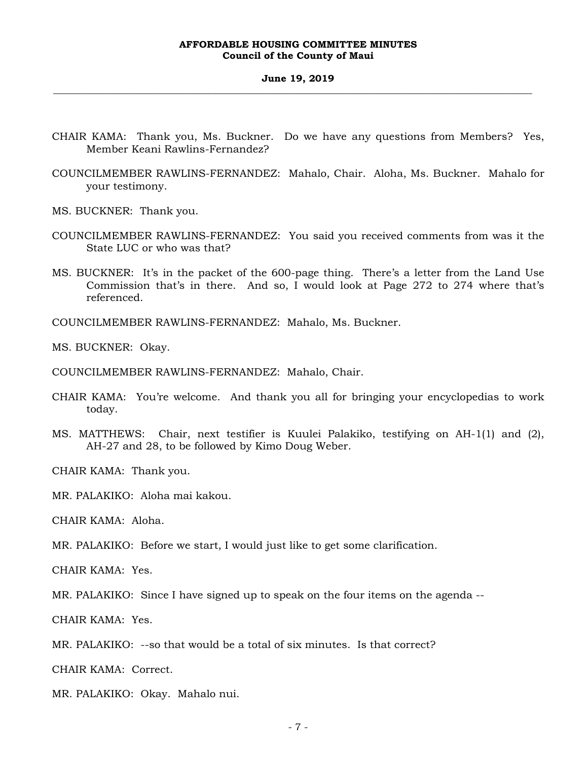#### **June 19, 2019 \_\_\_\_\_\_\_\_\_\_\_\_\_\_\_\_\_\_\_\_\_\_\_\_\_\_\_\_\_\_\_\_\_\_\_\_\_\_\_\_\_\_\_\_\_\_\_\_\_\_\_\_\_\_\_\_\_\_\_\_\_\_\_\_\_\_\_\_\_\_\_\_\_\_\_\_\_\_\_\_\_\_\_\_\_\_\_\_\_\_\_\_\_\_\_\_\_\_\_**

- CHAIR KAMA: Thank you, Ms. Buckner. Do we have any questions from Members? Yes, Member Keani Rawlins-Fernandez?
- COUNCILMEMBER RAWLINS-FERNANDEZ: Mahalo, Chair. Aloha, Ms. Buckner. Mahalo for your testimony.
- MS. BUCKNER: Thank you.
- COUNCILMEMBER RAWLINS-FERNANDEZ: You said you received comments from was it the State LUC or who was that?
- MS. BUCKNER: It's in the packet of the 600-page thing. There's a letter from the Land Use Commission that's in there. And so, I would look at Page 272 to 274 where that's referenced.

COUNCILMEMBER RAWLINS-FERNANDEZ: Mahalo, Ms. Buckner.

MS. BUCKNER: Okay.

COUNCILMEMBER RAWLINS-FERNANDEZ: Mahalo, Chair.

- CHAIR KAMA: You're welcome. And thank you all for bringing your encyclopedias to work today.
- MS. MATTHEWS: Chair, next testifier is Kuulei Palakiko, testifying on AH-1(1) and (2), AH-27 and 28, to be followed by Kimo Doug Weber.

CHAIR KAMA: Thank you.

MR. PALAKIKO: Aloha mai kakou.

CHAIR KAMA: Aloha.

MR. PALAKIKO: Before we start, I would just like to get some clarification.

CHAIR KAMA: Yes.

MR. PALAKIKO: Since I have signed up to speak on the four items on the agenda --

CHAIR KAMA: Yes.

MR. PALAKIKO: --so that would be a total of six minutes. Is that correct?

CHAIR KAMA: Correct.

MR. PALAKIKO: Okay. Mahalo nui.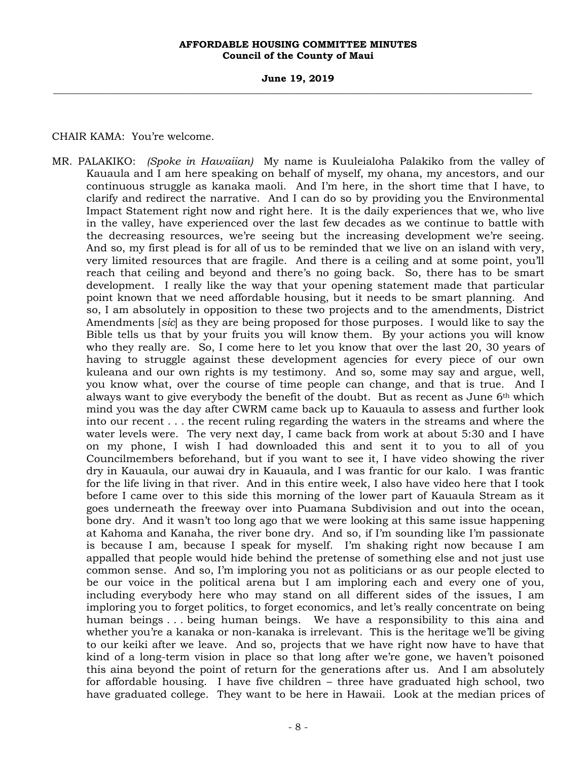**June 19, 2019 \_\_\_\_\_\_\_\_\_\_\_\_\_\_\_\_\_\_\_\_\_\_\_\_\_\_\_\_\_\_\_\_\_\_\_\_\_\_\_\_\_\_\_\_\_\_\_\_\_\_\_\_\_\_\_\_\_\_\_\_\_\_\_\_\_\_\_\_\_\_\_\_\_\_\_\_\_\_\_\_\_\_\_\_\_\_\_\_\_\_\_\_\_\_\_\_\_\_\_** 

CHAIR KAMA: You're welcome.

MR. PALAKIKO: *(Spoke in Hawaiian)* My name is Kuuleialoha Palakiko from the valley of Kauaula and I am here speaking on behalf of myself, my ohana, my ancestors, and our continuous struggle as kanaka maoli. And I'm here, in the short time that I have, to clarify and redirect the narrative. And I can do so by providing you the Environmental Impact Statement right now and right here. It is the daily experiences that we, who live in the valley, have experienced over the last few decades as we continue to battle with the decreasing resources, we're seeing but the increasing development we're seeing. And so, my first plead is for all of us to be reminded that we live on an island with very, very limited resources that are fragile. And there is a ceiling and at some point, you'll reach that ceiling and beyond and there's no going back. So, there has to be smart development. I really like the way that your opening statement made that particular point known that we need affordable housing, but it needs to be smart planning. And so, I am absolutely in opposition to these two projects and to the amendments, District Amendments [*sic*] as they are being proposed for those purposes. I would like to say the Bible tells us that by your fruits you will know them. By your actions you will know who they really are. So, I come here to let you know that over the last 20, 30 years of having to struggle against these development agencies for every piece of our own kuleana and our own rights is my testimony. And so, some may say and argue, well, you know what, over the course of time people can change, and that is true. And I always want to give everybody the benefit of the doubt. But as recent as June  $6<sup>th</sup>$  which mind you was the day after CWRM came back up to Kauaula to assess and further look into our recent . . . the recent ruling regarding the waters in the streams and where the water levels were. The very next day, I came back from work at about 5:30 and I have on my phone, I wish I had downloaded this and sent it to you to all of you Councilmembers beforehand, but if you want to see it, I have video showing the river dry in Kauaula, our auwai dry in Kauaula, and I was frantic for our kalo. I was frantic for the life living in that river. And in this entire week, I also have video here that I took before I came over to this side this morning of the lower part of Kauaula Stream as it goes underneath the freeway over into Puamana Subdivision and out into the ocean, bone dry. And it wasn't too long ago that we were looking at this same issue happening at Kahoma and Kanaha, the river bone dry. And so, if I'm sounding like I'm passionate is because I am, because I speak for myself. I'm shaking right now because I am appalled that people would hide behind the pretense of something else and not just use common sense. And so, I'm imploring you not as politicians or as our people elected to be our voice in the political arena but I am imploring each and every one of you, including everybody here who may stand on all different sides of the issues, I am imploring you to forget politics, to forget economics, and let's really concentrate on being human beings . . . being human beings. We have a responsibility to this aina and whether you're a kanaka or non-kanaka is irrelevant. This is the heritage we'll be giving to our keiki after we leave. And so, projects that we have right now have to have that kind of a long-term vision in place so that long after we're gone, we haven't poisoned this aina beyond the point of return for the generations after us. And I am absolutely for affordable housing. I have five children – three have graduated high school, two have graduated college. They want to be here in Hawaii. Look at the median prices of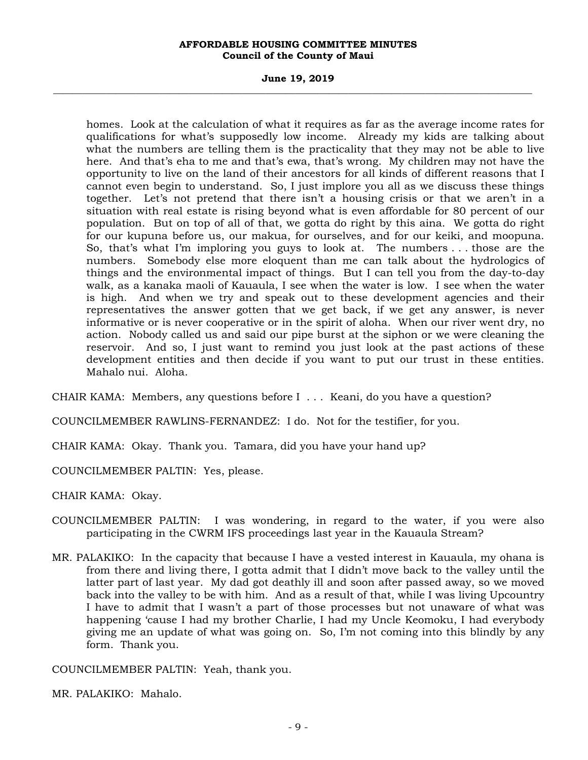#### **June 19, 2019 \_\_\_\_\_\_\_\_\_\_\_\_\_\_\_\_\_\_\_\_\_\_\_\_\_\_\_\_\_\_\_\_\_\_\_\_\_\_\_\_\_\_\_\_\_\_\_\_\_\_\_\_\_\_\_\_\_\_\_\_\_\_\_\_\_\_\_\_\_\_\_\_\_\_\_\_\_\_\_\_\_\_\_\_\_\_\_\_\_\_\_\_\_\_\_\_\_\_\_**

homes. Look at the calculation of what it requires as far as the average income rates for qualifications for what's supposedly low income. Already my kids are talking about what the numbers are telling them is the practicality that they may not be able to live here. And that's eha to me and that's ewa, that's wrong. My children may not have the opportunity to live on the land of their ancestors for all kinds of different reasons that I cannot even begin to understand. So, I just implore you all as we discuss these things together. Let's not pretend that there isn't a housing crisis or that we aren't in a situation with real estate is rising beyond what is even affordable for 80 percent of our population. But on top of all of that, we gotta do right by this aina. We gotta do right for our kupuna before us, our makua, for ourselves, and for our keiki, and moopuna. So, that's what I'm imploring you guys to look at. The numbers . . . those are the numbers. Somebody else more eloquent than me can talk about the hydrologics of things and the environmental impact of things. But I can tell you from the day-to-day walk, as a kanaka maoli of Kauaula, I see when the water is low. I see when the water is high. And when we try and speak out to these development agencies and their representatives the answer gotten that we get back, if we get any answer, is never informative or is never cooperative or in the spirit of aloha. When our river went dry, no action. Nobody called us and said our pipe burst at the siphon or we were cleaning the reservoir. And so, I just want to remind you just look at the past actions of these development entities and then decide if you want to put our trust in these entities. Mahalo nui. Aloha.

CHAIR KAMA: Members, any questions before I . . . Keani, do you have a question?

COUNCILMEMBER RAWLINS-FERNANDEZ: I do. Not for the testifier, for you.

CHAIR KAMA: Okay. Thank you. Tamara, did you have your hand up?

COUNCILMEMBER PALTIN: Yes, please.

CHAIR KAMA: Okay.

- COUNCILMEMBER PALTIN: I was wondering, in regard to the water, if you were also participating in the CWRM IFS proceedings last year in the Kauaula Stream?
- MR. PALAKIKO: In the capacity that because I have a vested interest in Kauaula, my ohana is from there and living there, I gotta admit that I didn't move back to the valley until the latter part of last year. My dad got deathly ill and soon after passed away, so we moved back into the valley to be with him. And as a result of that, while I was living Upcountry I have to admit that I wasn't a part of those processes but not unaware of what was happening 'cause I had my brother Charlie, I had my Uncle Keomoku, I had everybody giving me an update of what was going on. So, I'm not coming into this blindly by any form. Thank you.

COUNCILMEMBER PALTIN: Yeah, thank you.

MR. PALAKIKO: Mahalo.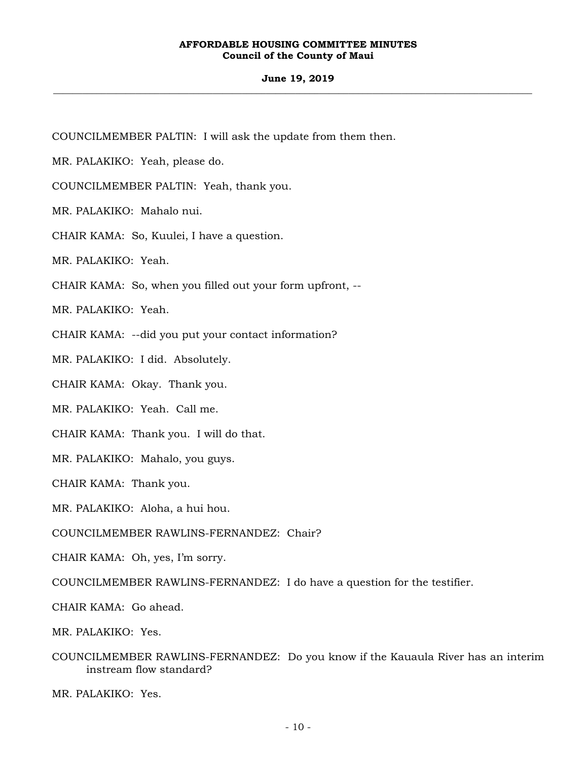#### **June 19, 2019 \_\_\_\_\_\_\_\_\_\_\_\_\_\_\_\_\_\_\_\_\_\_\_\_\_\_\_\_\_\_\_\_\_\_\_\_\_\_\_\_\_\_\_\_\_\_\_\_\_\_\_\_\_\_\_\_\_\_\_\_\_\_\_\_\_\_\_\_\_\_\_\_\_\_\_\_\_\_\_\_\_\_\_\_\_\_\_\_\_\_\_\_\_\_\_\_\_\_\_**

COUNCILMEMBER PALTIN: I will ask the update from them then.

MR. PALAKIKO: Yeah, please do.

COUNCILMEMBER PALTIN: Yeah, thank you.

MR. PALAKIKO: Mahalo nui.

CHAIR KAMA: So, Kuulei, I have a question.

MR. PALAKIKO: Yeah.

CHAIR KAMA: So, when you filled out your form upfront, --

MR. PALAKIKO: Yeah.

CHAIR KAMA: --did you put your contact information?

MR. PALAKIKO: I did. Absolutely.

CHAIR KAMA: Okay. Thank you.

MR. PALAKIKO: Yeah. Call me.

CHAIR KAMA: Thank you. I will do that.

MR. PALAKIKO: Mahalo, you guys.

CHAIR KAMA: Thank you.

MR. PALAKIKO: Aloha, a hui hou.

COUNCILMEMBER RAWLINS-FERNANDEZ: Chair?

CHAIR KAMA: Oh, yes, I'm sorry.

COUNCILMEMBER RAWLINS-FERNANDEZ: I do have a question for the testifier.

CHAIR KAMA: Go ahead.

MR. PALAKIKO: Yes.

COUNCILMEMBER RAWLINS-FERNANDEZ: Do you know if the Kauaula River has an interim instream flow standard?

MR. PALAKIKO: Yes.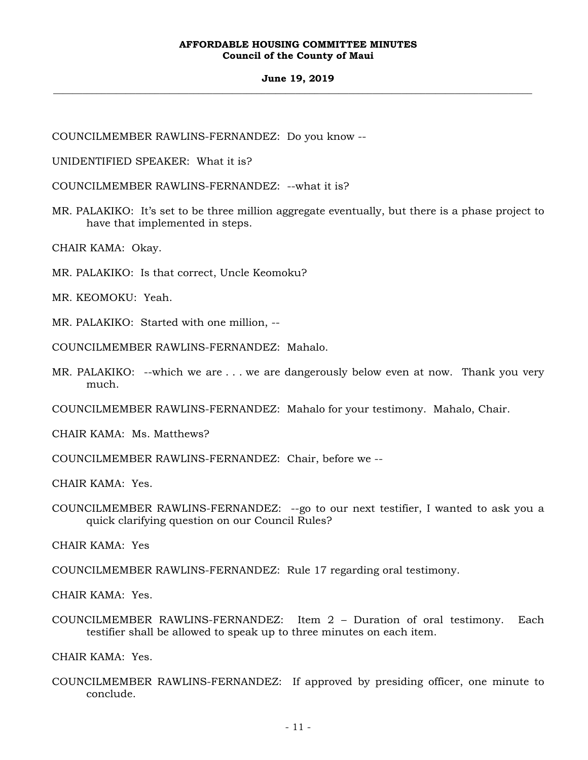#### **June 19, 2019 \_\_\_\_\_\_\_\_\_\_\_\_\_\_\_\_\_\_\_\_\_\_\_\_\_\_\_\_\_\_\_\_\_\_\_\_\_\_\_\_\_\_\_\_\_\_\_\_\_\_\_\_\_\_\_\_\_\_\_\_\_\_\_\_\_\_\_\_\_\_\_\_\_\_\_\_\_\_\_\_\_\_\_\_\_\_\_\_\_\_\_\_\_\_\_\_\_\_\_**

COUNCILMEMBER RAWLINS-FERNANDEZ: Do you know --

UNIDENTIFIED SPEAKER: What it is?

COUNCILMEMBER RAWLINS-FERNANDEZ: --what it is?

MR. PALAKIKO: It's set to be three million aggregate eventually, but there is a phase project to have that implemented in steps.

CHAIR KAMA: Okay.

MR. PALAKIKO: Is that correct, Uncle Keomoku?

MR. KEOMOKU: Yeah.

MR. PALAKIKO: Started with one million, --

COUNCILMEMBER RAWLINS-FERNANDEZ: Mahalo.

MR. PALAKIKO: --which we are . . . we are dangerously below even at now. Thank you very much.

COUNCILMEMBER RAWLINS-FERNANDEZ: Mahalo for your testimony. Mahalo, Chair.

CHAIR KAMA: Ms. Matthews?

COUNCILMEMBER RAWLINS-FERNANDEZ: Chair, before we --

CHAIR KAMA: Yes.

COUNCILMEMBER RAWLINS-FERNANDEZ: --go to our next testifier, I wanted to ask you a quick clarifying question on our Council Rules?

CHAIR KAMA: Yes

COUNCILMEMBER RAWLINS-FERNANDEZ: Rule 17 regarding oral testimony.

CHAIR KAMA: Yes.

COUNCILMEMBER RAWLINS-FERNANDEZ: Item 2 – Duration of oral testimony. Each testifier shall be allowed to speak up to three minutes on each item.

CHAIR KAMA: Yes.

COUNCILMEMBER RAWLINS-FERNANDEZ: If approved by presiding officer, one minute to conclude.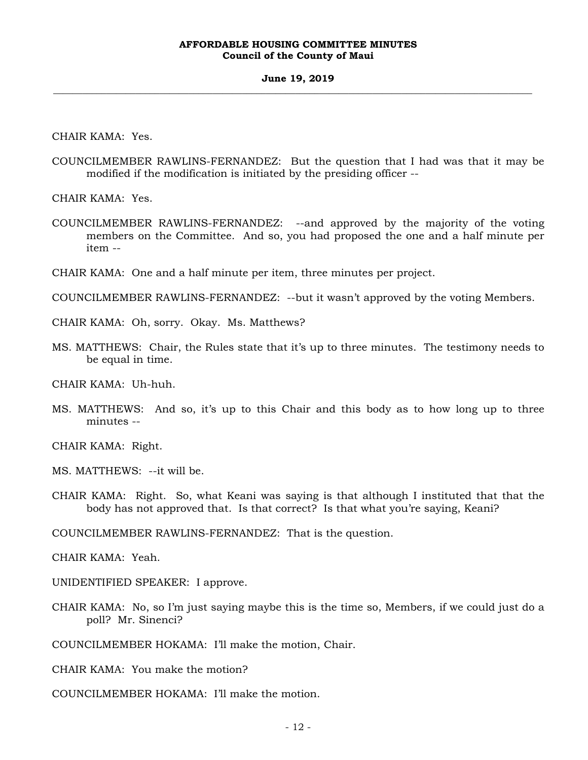#### **June 19, 2019 \_\_\_\_\_\_\_\_\_\_\_\_\_\_\_\_\_\_\_\_\_\_\_\_\_\_\_\_\_\_\_\_\_\_\_\_\_\_\_\_\_\_\_\_\_\_\_\_\_\_\_\_\_\_\_\_\_\_\_\_\_\_\_\_\_\_\_\_\_\_\_\_\_\_\_\_\_\_\_\_\_\_\_\_\_\_\_\_\_\_\_\_\_\_\_\_\_\_\_**

CHAIR KAMA: Yes.

COUNCILMEMBER RAWLINS-FERNANDEZ: But the question that I had was that it may be modified if the modification is initiated by the presiding officer --

CHAIR KAMA: Yes.

- COUNCILMEMBER RAWLINS-FERNANDEZ: --and approved by the majority of the voting members on the Committee. And so, you had proposed the one and a half minute per item --
- CHAIR KAMA: One and a half minute per item, three minutes per project.

COUNCILMEMBER RAWLINS-FERNANDEZ: --but it wasn't approved by the voting Members.

CHAIR KAMA: Oh, sorry. Okay. Ms. Matthews?

MS. MATTHEWS: Chair, the Rules state that it's up to three minutes. The testimony needs to be equal in time.

CHAIR KAMA: Uh-huh.

MS. MATTHEWS: And so, it's up to this Chair and this body as to how long up to three minutes --

CHAIR KAMA: Right.

MS. MATTHEWS: --it will be.

CHAIR KAMA: Right. So, what Keani was saying is that although I instituted that that the body has not approved that. Is that correct? Is that what you're saying, Keani?

COUNCILMEMBER RAWLINS-FERNANDEZ: That is the question.

CHAIR KAMA: Yeah.

UNIDENTIFIED SPEAKER: I approve.

CHAIR KAMA: No, so I'm just saying maybe this is the time so, Members, if we could just do a poll? Mr. Sinenci?

COUNCILMEMBER HOKAMA: I'll make the motion, Chair.

CHAIR KAMA: You make the motion?

COUNCILMEMBER HOKAMA: I'll make the motion.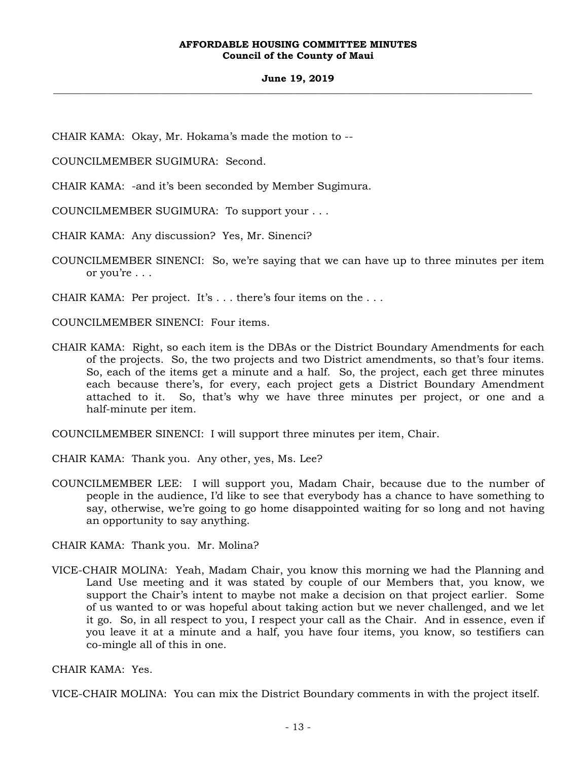### **June 19, 2019 \_\_\_\_\_\_\_\_\_\_\_\_\_\_\_\_\_\_\_\_\_\_\_\_\_\_\_\_\_\_\_\_\_\_\_\_\_\_\_\_\_\_\_\_\_\_\_\_\_\_\_\_\_\_\_\_\_\_\_\_\_\_\_\_\_\_\_\_\_\_\_\_\_\_\_\_\_\_\_\_\_\_\_\_\_\_\_\_\_\_\_\_\_\_\_\_\_\_\_**

CHAIR KAMA: Okay, Mr. Hokama's made the motion to --

COUNCILMEMBER SUGIMURA: Second.

CHAIR KAMA: -and it's been seconded by Member Sugimura.

COUNCILMEMBER SUGIMURA: To support your . . .

CHAIR KAMA: Any discussion? Yes, Mr. Sinenci?

COUNCILMEMBER SINENCI: So, we're saying that we can have up to three minutes per item or you're . . .

CHAIR KAMA: Per project. It's . . . there's four items on the . . .

COUNCILMEMBER SINENCI: Four items.

CHAIR KAMA: Right, so each item is the DBAs or the District Boundary Amendments for each of the projects. So, the two projects and two District amendments, so that's four items. So, each of the items get a minute and a half. So, the project, each get three minutes each because there's, for every, each project gets a District Boundary Amendment attached to it. So, that's why we have three minutes per project, or one and a half-minute per item.

COUNCILMEMBER SINENCI: I will support three minutes per item, Chair.

- CHAIR KAMA: Thank you. Any other, yes, Ms. Lee?
- COUNCILMEMBER LEE: I will support you, Madam Chair, because due to the number of people in the audience, I'd like to see that everybody has a chance to have something to say, otherwise, we're going to go home disappointed waiting for so long and not having an opportunity to say anything.

CHAIR KAMA: Thank you. Mr. Molina?

VICE-CHAIR MOLINA: Yeah, Madam Chair, you know this morning we had the Planning and Land Use meeting and it was stated by couple of our Members that, you know, we support the Chair's intent to maybe not make a decision on that project earlier. Some of us wanted to or was hopeful about taking action but we never challenged, and we let it go. So, in all respect to you, I respect your call as the Chair. And in essence, even if you leave it at a minute and a half, you have four items, you know, so testifiers can co-mingle all of this in one.

CHAIR KAMA: Yes.

VICE-CHAIR MOLINA: You can mix the District Boundary comments in with the project itself.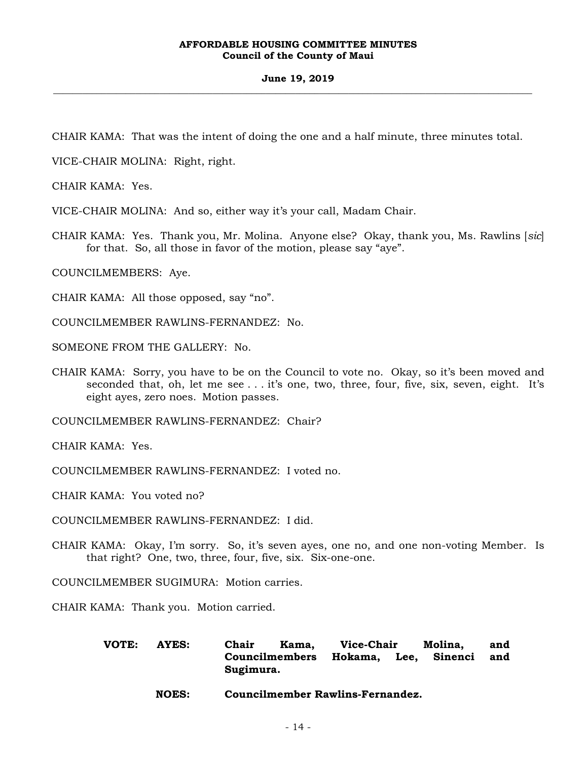#### **June 19, 2019 \_\_\_\_\_\_\_\_\_\_\_\_\_\_\_\_\_\_\_\_\_\_\_\_\_\_\_\_\_\_\_\_\_\_\_\_\_\_\_\_\_\_\_\_\_\_\_\_\_\_\_\_\_\_\_\_\_\_\_\_\_\_\_\_\_\_\_\_\_\_\_\_\_\_\_\_\_\_\_\_\_\_\_\_\_\_\_\_\_\_\_\_\_\_\_\_\_\_\_**

CHAIR KAMA: That was the intent of doing the one and a half minute, three minutes total.

VICE-CHAIR MOLINA: Right, right.

CHAIR KAMA: Yes.

VICE-CHAIR MOLINA: And so, either way it's your call, Madam Chair.

CHAIR KAMA: Yes. Thank you, Mr. Molina. Anyone else? Okay, thank you, Ms. Rawlins [*sic*] for that. So, all those in favor of the motion, please say "aye".

COUNCILMEMBERS: Aye.

CHAIR KAMA: All those opposed, say "no".

COUNCILMEMBER RAWLINS-FERNANDEZ: No.

SOMEONE FROM THE GALLERY: No.

CHAIR KAMA: Sorry, you have to be on the Council to vote no. Okay, so it's been moved and seconded that, oh, let me see . . . it's one, two, three, four, five, six, seven, eight. It's eight ayes, zero noes. Motion passes.

COUNCILMEMBER RAWLINS-FERNANDEZ: Chair?

CHAIR KAMA: Yes.

COUNCILMEMBER RAWLINS-FERNANDEZ: I voted no.

CHAIR KAMA: You voted no?

COUNCILMEMBER RAWLINS-FERNANDEZ: I did.

CHAIR KAMA: Okay, I'm sorry. So, it's seven ayes, one no, and one non-voting Member. Is that right? One, two, three, four, five, six. Six-one-one.

COUNCILMEMBER SUGIMURA: Motion carries.

CHAIR KAMA: Thank you. Motion carried.

| VOTE: | AYES: | Chair                               | Kama. | Vice-Chair |  | Molina, | and |
|-------|-------|-------------------------------------|-------|------------|--|---------|-----|
|       |       | Councilmembers Hokama, Lee, Sinenci |       |            |  |         | and |
|       |       | Sugimura.                           |       |            |  |         |     |

 **NOES: Councilmember Rawlins-Fernandez.**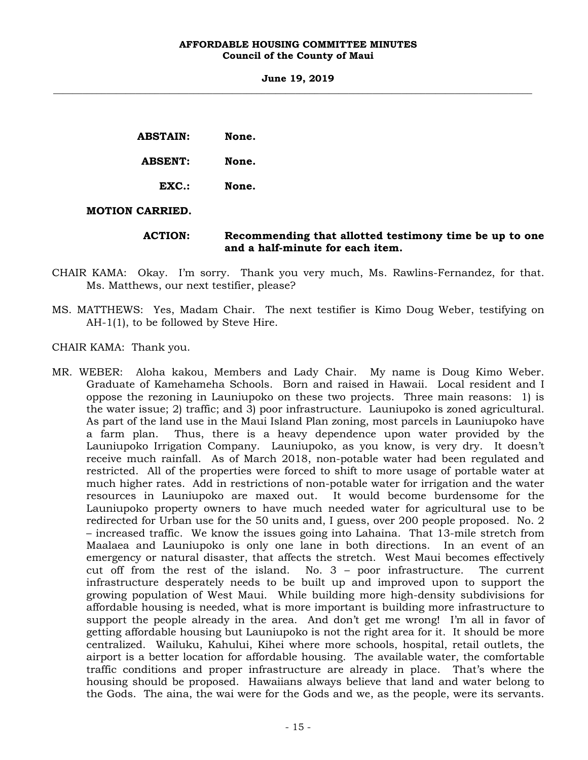**June 19, 2019 \_\_\_\_\_\_\_\_\_\_\_\_\_\_\_\_\_\_\_\_\_\_\_\_\_\_\_\_\_\_\_\_\_\_\_\_\_\_\_\_\_\_\_\_\_\_\_\_\_\_\_\_\_\_\_\_\_\_\_\_\_\_\_\_\_\_\_\_\_\_\_\_\_\_\_\_\_\_\_\_\_\_\_\_\_\_\_\_\_\_\_\_\_\_\_\_\_\_\_** 

| <b>ABSTAIN:</b> | None. |
|-----------------|-------|
| <b>ABSENT:</b>  | None. |
| EXC.            | None. |
|                 |       |

## **MOTION CARRIED.**

 **ACTION: Recommending that allotted testimony time be up to one and a half-minute for each item.** 

- CHAIR KAMA: Okay. I'm sorry. Thank you very much, Ms. Rawlins-Fernandez, for that. Ms. Matthews, our next testifier, please?
- MS. MATTHEWS: Yes, Madam Chair. The next testifier is Kimo Doug Weber, testifying on AH-1(1), to be followed by Steve Hire.

CHAIR KAMA: Thank you.

MR. WEBER: Aloha kakou, Members and Lady Chair. My name is Doug Kimo Weber. Graduate of Kamehameha Schools. Born and raised in Hawaii. Local resident and I oppose the rezoning in Launiupoko on these two projects. Three main reasons: 1) is the water issue; 2) traffic; and 3) poor infrastructure. Launiupoko is zoned agricultural. As part of the land use in the Maui Island Plan zoning, most parcels in Launiupoko have a farm plan. Thus, there is a heavy dependence upon water provided by the Launiupoko Irrigation Company. Launiupoko, as you know, is very dry. It doesn't receive much rainfall. As of March 2018, non-potable water had been regulated and restricted. All of the properties were forced to shift to more usage of portable water at much higher rates. Add in restrictions of non-potable water for irrigation and the water resources in Launiupoko are maxed out. It would become burdensome for the Launiupoko property owners to have much needed water for agricultural use to be redirected for Urban use for the 50 units and, I guess, over 200 people proposed. No. 2 – increased traffic. We know the issues going into Lahaina. That 13-mile stretch from Maalaea and Launiupoko is only one lane in both directions. In an event of an emergency or natural disaster, that affects the stretch. West Maui becomes effectively cut off from the rest of the island. No. 3 – poor infrastructure. The current infrastructure desperately needs to be built up and improved upon to support the growing population of West Maui. While building more high-density subdivisions for affordable housing is needed, what is more important is building more infrastructure to support the people already in the area. And don't get me wrong! I'm all in favor of getting affordable housing but Launiupoko is not the right area for it. It should be more centralized. Wailuku, Kahului, Kihei where more schools, hospital, retail outlets, the airport is a better location for affordable housing. The available water, the comfortable traffic conditions and proper infrastructure are already in place. That's where the housing should be proposed. Hawaiians always believe that land and water belong to the Gods. The aina, the wai were for the Gods and we, as the people, were its servants.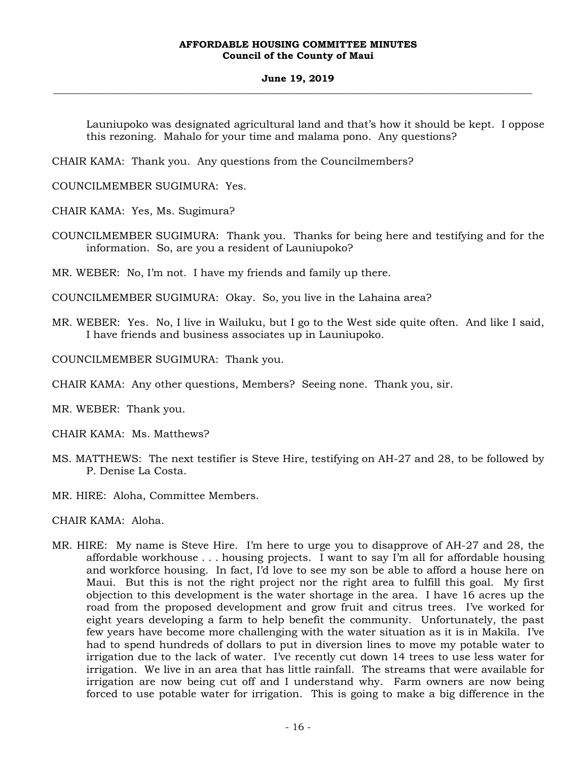#### **June 19, 2019 \_\_\_\_\_\_\_\_\_\_\_\_\_\_\_\_\_\_\_\_\_\_\_\_\_\_\_\_\_\_\_\_\_\_\_\_\_\_\_\_\_\_\_\_\_\_\_\_\_\_\_\_\_\_\_\_\_\_\_\_\_\_\_\_\_\_\_\_\_\_\_\_\_\_\_\_\_\_\_\_\_\_\_\_\_\_\_\_\_\_\_\_\_\_\_\_\_\_\_**

Launiupoko was designated agricultural land and that's how it should be kept. I oppose this rezoning. Mahalo for your time and malama pono. Any questions?

CHAIR KAMA: Thank you. Any questions from the Councilmembers?

COUNCILMEMBER SUGIMURA: Yes.

CHAIR KAMA: Yes, Ms. Sugimura?

COUNCILMEMBER SUGIMURA: Thank you. Thanks for being here and testifying and for the information. So, are you a resident of Launiupoko?

MR. WEBER: No, I'm not. I have my friends and family up there.

COUNCILMEMBER SUGIMURA: Okay. So, you live in the Lahaina area?

MR. WEBER: Yes. No, I live in Wailuku, but I go to the West side quite often. And like I said, I have friends and business associates up in Launiupoko.

COUNCILMEMBER SUGIMURA: Thank you.

CHAIR KAMA: Any other questions, Members? Seeing none. Thank you, sir.

MR. WEBER: Thank you.

CHAIR KAMA: Ms. Matthews?

- MS. MATTHEWS: The next testifier is Steve Hire, testifying on AH-27 and 28, to be followed by P. Denise La Costa.
- MR. HIRE: Aloha, Committee Members.

CHAIR KAMA: Aloha.

MR. HIRE: My name is Steve Hire. I'm here to urge you to disapprove of AH-27 and 28, the affordable workhouse . . . housing projects. I want to say I'm all for affordable housing and workforce housing. In fact, I'd love to see my son be able to afford a house here on Maui. But this is not the right project nor the right area to fulfill this goal. My first objection to this development is the water shortage in the area. I have 16 acres up the road from the proposed development and grow fruit and citrus trees. I've worked for eight years developing a farm to help benefit the community. Unfortunately, the past few years have become more challenging with the water situation as it is in Makila. I've had to spend hundreds of dollars to put in diversion lines to move my potable water to irrigation due to the lack of water. I've recently cut down 14 trees to use less water for irrigation. We live in an area that has little rainfall. The streams that were available for irrigation are now being cut off and I understand why. Farm owners are now being forced to use potable water for irrigation. This is going to make a big difference in the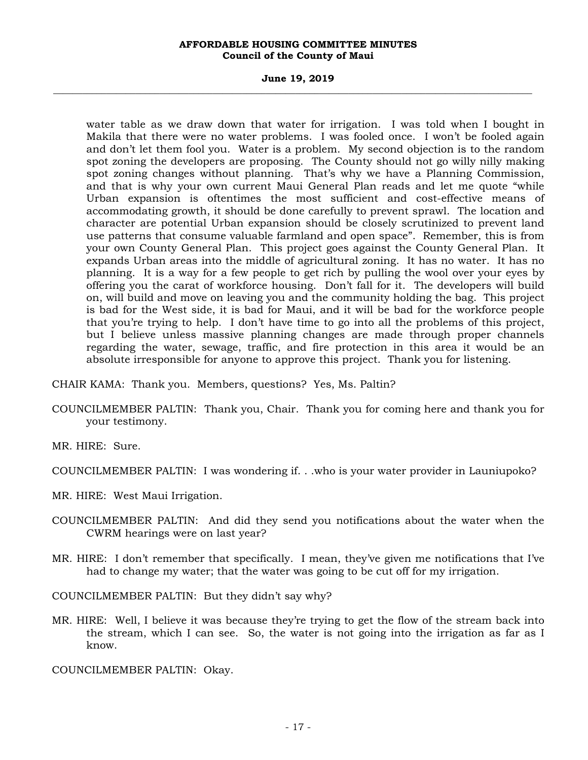#### **June 19, 2019 \_\_\_\_\_\_\_\_\_\_\_\_\_\_\_\_\_\_\_\_\_\_\_\_\_\_\_\_\_\_\_\_\_\_\_\_\_\_\_\_\_\_\_\_\_\_\_\_\_\_\_\_\_\_\_\_\_\_\_\_\_\_\_\_\_\_\_\_\_\_\_\_\_\_\_\_\_\_\_\_\_\_\_\_\_\_\_\_\_\_\_\_\_\_\_\_\_\_\_**

water table as we draw down that water for irrigation. I was told when I bought in Makila that there were no water problems. I was fooled once. I won't be fooled again and don't let them fool you. Water is a problem. My second objection is to the random spot zoning the developers are proposing. The County should not go willy nilly making spot zoning changes without planning. That's why we have a Planning Commission, and that is why your own current Maui General Plan reads and let me quote "while Urban expansion is oftentimes the most sufficient and cost-effective means of accommodating growth, it should be done carefully to prevent sprawl. The location and character are potential Urban expansion should be closely scrutinized to prevent land use patterns that consume valuable farmland and open space". Remember, this is from your own County General Plan. This project goes against the County General Plan. It expands Urban areas into the middle of agricultural zoning. It has no water. It has no planning. It is a way for a few people to get rich by pulling the wool over your eyes by offering you the carat of workforce housing. Don't fall for it. The developers will build on, will build and move on leaving you and the community holding the bag. This project is bad for the West side, it is bad for Maui, and it will be bad for the workforce people that you're trying to help. I don't have time to go into all the problems of this project, but I believe unless massive planning changes are made through proper channels regarding the water, sewage, traffic, and fire protection in this area it would be an absolute irresponsible for anyone to approve this project. Thank you for listening.

- CHAIR KAMA: Thank you. Members, questions? Yes, Ms. Paltin?
- COUNCILMEMBER PALTIN: Thank you, Chair. Thank you for coming here and thank you for your testimony.

MR. HIRE: Sure.

- COUNCILMEMBER PALTIN: I was wondering if. . .who is your water provider in Launiupoko?
- MR. HIRE: West Maui Irrigation.
- COUNCILMEMBER PALTIN: And did they send you notifications about the water when the CWRM hearings were on last year?
- MR. HIRE: I don't remember that specifically. I mean, they've given me notifications that I've had to change my water; that the water was going to be cut off for my irrigation.

COUNCILMEMBER PALTIN: But they didn't say why?

MR. HIRE: Well, I believe it was because they're trying to get the flow of the stream back into the stream, which I can see. So, the water is not going into the irrigation as far as I know.

COUNCILMEMBER PALTIN: Okay.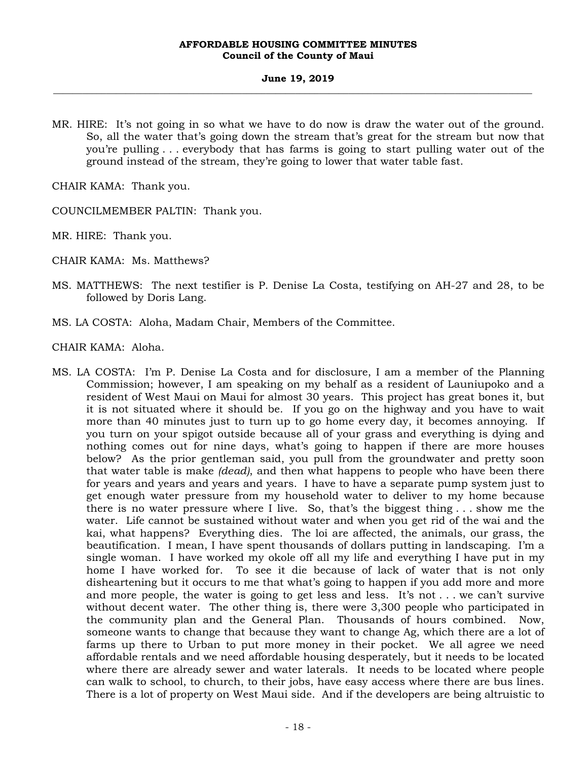#### **June 19, 2019 \_\_\_\_\_\_\_\_\_\_\_\_\_\_\_\_\_\_\_\_\_\_\_\_\_\_\_\_\_\_\_\_\_\_\_\_\_\_\_\_\_\_\_\_\_\_\_\_\_\_\_\_\_\_\_\_\_\_\_\_\_\_\_\_\_\_\_\_\_\_\_\_\_\_\_\_\_\_\_\_\_\_\_\_\_\_\_\_\_\_\_\_\_\_\_\_\_\_\_**

MR. HIRE: It's not going in so what we have to do now is draw the water out of the ground. So, all the water that's going down the stream that's great for the stream but now that you're pulling . . . everybody that has farms is going to start pulling water out of the ground instead of the stream, they're going to lower that water table fast.

CHAIR KAMA: Thank you.

COUNCILMEMBER PALTIN: Thank you.

MR. HIRE: Thank you.

CHAIR KAMA: Ms. Matthews?

- MS. MATTHEWS: The next testifier is P. Denise La Costa, testifying on AH-27 and 28, to be followed by Doris Lang.
- MS. LA COSTA: Aloha, Madam Chair, Members of the Committee.

CHAIR KAMA: Aloha.

MS. LA COSTA: I'm P. Denise La Costa and for disclosure, I am a member of the Planning Commission; however, I am speaking on my behalf as a resident of Launiupoko and a resident of West Maui on Maui for almost 30 years. This project has great bones it, but it is not situated where it should be. If you go on the highway and you have to wait more than 40 minutes just to turn up to go home every day, it becomes annoying. If you turn on your spigot outside because all of your grass and everything is dying and nothing comes out for nine days, what's going to happen if there are more houses below? As the prior gentleman said, you pull from the groundwater and pretty soon that water table is make *(dead)*, and then what happens to people who have been there for years and years and years and years. I have to have a separate pump system just to get enough water pressure from my household water to deliver to my home because there is no water pressure where I live. So, that's the biggest thing . . . show me the water. Life cannot be sustained without water and when you get rid of the wai and the kai, what happens? Everything dies. The loi are affected, the animals, our grass, the beautification. I mean, I have spent thousands of dollars putting in landscaping. I'm a single woman. I have worked my okole off all my life and everything I have put in my home I have worked for. To see it die because of lack of water that is not only disheartening but it occurs to me that what's going to happen if you add more and more and more people, the water is going to get less and less. It's not . . . we can't survive without decent water. The other thing is, there were 3,300 people who participated in the community plan and the General Plan. Thousands of hours combined. Now, someone wants to change that because they want to change Ag, which there are a lot of farms up there to Urban to put more money in their pocket. We all agree we need affordable rentals and we need affordable housing desperately, but it needs to be located where there are already sewer and water laterals. It needs to be located where people can walk to school, to church, to their jobs, have easy access where there are bus lines. There is a lot of property on West Maui side. And if the developers are being altruistic to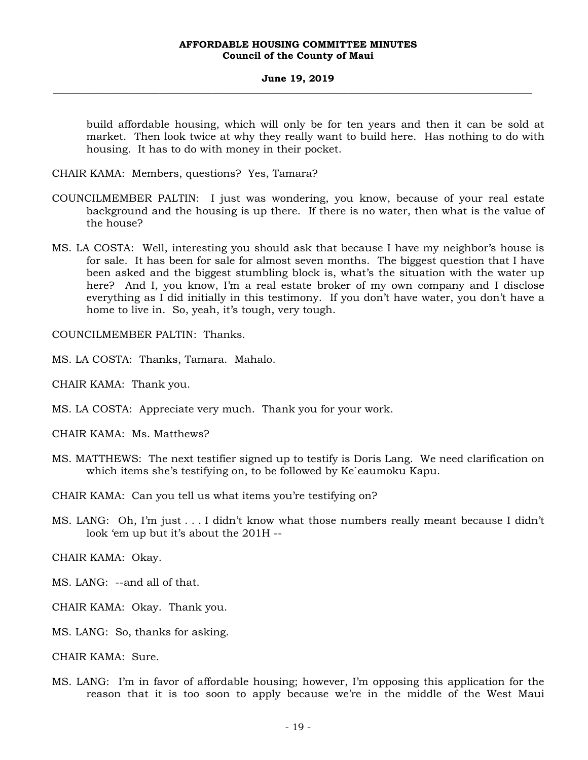#### **June 19, 2019 \_\_\_\_\_\_\_\_\_\_\_\_\_\_\_\_\_\_\_\_\_\_\_\_\_\_\_\_\_\_\_\_\_\_\_\_\_\_\_\_\_\_\_\_\_\_\_\_\_\_\_\_\_\_\_\_\_\_\_\_\_\_\_\_\_\_\_\_\_\_\_\_\_\_\_\_\_\_\_\_\_\_\_\_\_\_\_\_\_\_\_\_\_\_\_\_\_\_\_**

build affordable housing, which will only be for ten years and then it can be sold at market. Then look twice at why they really want to build here. Has nothing to do with housing. It has to do with money in their pocket.

CHAIR KAMA: Members, questions? Yes, Tamara?

- COUNCILMEMBER PALTIN: I just was wondering, you know, because of your real estate background and the housing is up there. If there is no water, then what is the value of the house?
- MS. LA COSTA: Well, interesting you should ask that because I have my neighbor's house is for sale. It has been for sale for almost seven months. The biggest question that I have been asked and the biggest stumbling block is, what's the situation with the water up here? And I, you know, I'm a real estate broker of my own company and I disclose everything as I did initially in this testimony. If you don't have water, you don't have a home to live in. So, yeah, it's tough, very tough.

COUNCILMEMBER PALTIN: Thanks.

MS. LA COSTA: Thanks, Tamara. Mahalo.

CHAIR KAMA: Thank you.

MS. LA COSTA: Appreciate very much. Thank you for your work.

CHAIR KAMA: Ms. Matthews?

MS. MATTHEWS: The next testifier signed up to testify is Doris Lang. We need clarification on which items she's testifying on, to be followed by Ke`eaumoku Kapu.

CHAIR KAMA: Can you tell us what items you're testifying on?

MS. LANG: Oh, I'm just . . . I didn't know what those numbers really meant because I didn't look 'em up but it's about the 201H --

CHAIR KAMA: Okay.

MS. LANG: --and all of that.

CHAIR KAMA: Okay. Thank you.

MS. LANG: So, thanks for asking.

CHAIR KAMA: Sure.

MS. LANG: I'm in favor of affordable housing; however, I'm opposing this application for the reason that it is too soon to apply because we're in the middle of the West Maui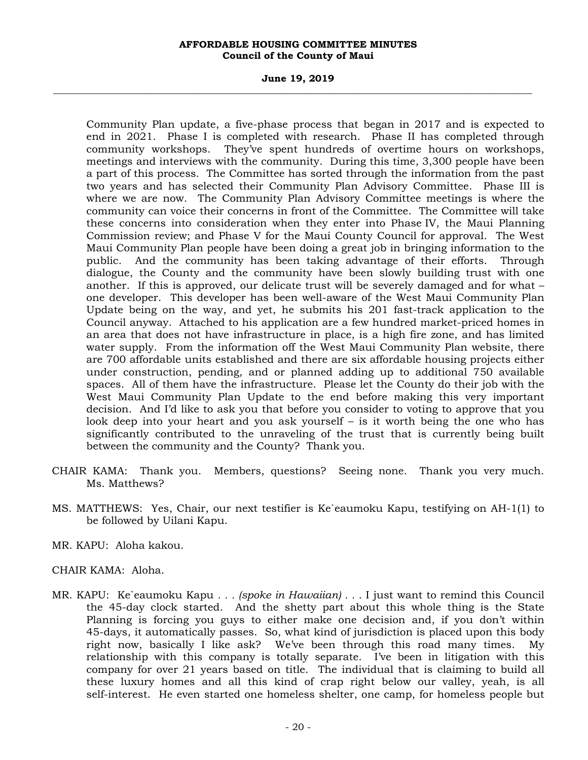#### **June 19, 2019 \_\_\_\_\_\_\_\_\_\_\_\_\_\_\_\_\_\_\_\_\_\_\_\_\_\_\_\_\_\_\_\_\_\_\_\_\_\_\_\_\_\_\_\_\_\_\_\_\_\_\_\_\_\_\_\_\_\_\_\_\_\_\_\_\_\_\_\_\_\_\_\_\_\_\_\_\_\_\_\_\_\_\_\_\_\_\_\_\_\_\_\_\_\_\_\_\_\_\_**

Community Plan update, a five-phase process that began in 2017 and is expected to end in 2021. Phase I is completed with research. Phase II has completed through community workshops. They've spent hundreds of overtime hours on workshops, meetings and interviews with the community. During this time, 3,300 people have been a part of this process. The Committee has sorted through the information from the past two years and has selected their Community Plan Advisory Committee. Phase III is where we are now. The Community Plan Advisory Committee meetings is where the community can voice their concerns in front of the Committee. The Committee will take these concerns into consideration when they enter into Phase IV, the Maui Planning Commission review; and Phase V for the Maui County Council for approval. The West Maui Community Plan people have been doing a great job in bringing information to the public. And the community has been taking advantage of their efforts. Through dialogue, the County and the community have been slowly building trust with one another. If this is approved, our delicate trust will be severely damaged and for what – one developer. This developer has been well-aware of the West Maui Community Plan Update being on the way, and yet, he submits his 201 fast-track application to the Council anyway. Attached to his application are a few hundred market-priced homes in an area that does not have infrastructure in place, is a high fire zone, and has limited water supply. From the information off the West Maui Community Plan website, there are 700 affordable units established and there are six affordable housing projects either under construction, pending, and or planned adding up to additional 750 available spaces. All of them have the infrastructure. Please let the County do their job with the West Maui Community Plan Update to the end before making this very important decision. And I'd like to ask you that before you consider to voting to approve that you look deep into your heart and you ask yourself – is it worth being the one who has significantly contributed to the unraveling of the trust that is currently being built between the community and the County? Thank you.

- CHAIR KAMA: Thank you. Members, questions? Seeing none. Thank you very much. Ms. Matthews?
- MS. MATTHEWS: Yes, Chair, our next testifier is Ke`eaumoku Kapu, testifying on AH-1(1) to be followed by Uilani Kapu.
- MR. KAPU: Aloha kakou.
- CHAIR KAMA: Aloha.
- MR. KAPU: Ke`eaumoku Kapu *. . . (spoke in Hawaiian) . . .* I just want to remind this Council the 45-day clock started. And the shetty part about this whole thing is the State Planning is forcing you guys to either make one decision and, if you don't within 45-days, it automatically passes. So, what kind of jurisdiction is placed upon this body right now, basically I like ask? We've been through this road many times. My relationship with this company is totally separate. I've been in litigation with this company for over 21 years based on title. The individual that is claiming to build all these luxury homes and all this kind of crap right below our valley, yeah, is all self-interest. He even started one homeless shelter, one camp, for homeless people but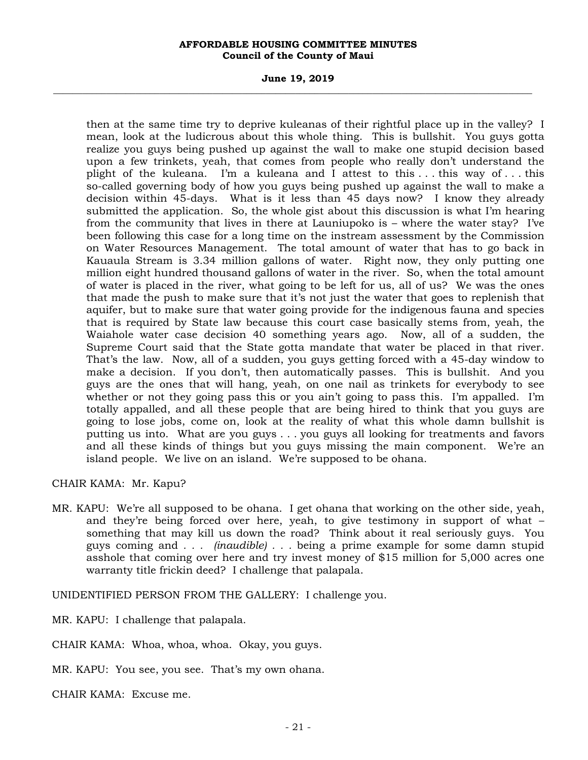#### **June 19, 2019 \_\_\_\_\_\_\_\_\_\_\_\_\_\_\_\_\_\_\_\_\_\_\_\_\_\_\_\_\_\_\_\_\_\_\_\_\_\_\_\_\_\_\_\_\_\_\_\_\_\_\_\_\_\_\_\_\_\_\_\_\_\_\_\_\_\_\_\_\_\_\_\_\_\_\_\_\_\_\_\_\_\_\_\_\_\_\_\_\_\_\_\_\_\_\_\_\_\_\_**

then at the same time try to deprive kuleanas of their rightful place up in the valley? I mean, look at the ludicrous about this whole thing. This is bullshit. You guys gotta realize you guys being pushed up against the wall to make one stupid decision based upon a few trinkets, yeah, that comes from people who really don't understand the plight of the kuleana. I'm a kuleana and I attest to this . . . this way of . . . this so-called governing body of how you guys being pushed up against the wall to make a decision within 45-days. What is it less than 45 days now? I know they already submitted the application. So, the whole gist about this discussion is what I'm hearing from the community that lives in there at Launiupoko is – where the water stay? I've been following this case for a long time on the instream assessment by the Commission on Water Resources Management. The total amount of water that has to go back in Kauaula Stream is 3.34 million gallons of water. Right now, they only putting one million eight hundred thousand gallons of water in the river. So, when the total amount of water is placed in the river, what going to be left for us, all of us? We was the ones that made the push to make sure that it's not just the water that goes to replenish that aquifer, but to make sure that water going provide for the indigenous fauna and species that is required by State law because this court case basically stems from, yeah, the Waiahole water case decision 40 something years ago. Now, all of a sudden, the Supreme Court said that the State gotta mandate that water be placed in that river. That's the law. Now, all of a sudden, you guys getting forced with a 45-day window to make a decision. If you don't, then automatically passes. This is bullshit. And you guys are the ones that will hang, yeah, on one nail as trinkets for everybody to see whether or not they going pass this or you ain't going to pass this. I'm appalled. I'm totally appalled, and all these people that are being hired to think that you guys are going to lose jobs, come on, look at the reality of what this whole damn bullshit is putting us into. What are you guys . . . you guys all looking for treatments and favors and all these kinds of things but you guys missing the main component. We're an island people. We live on an island. We're supposed to be ohana.

## CHAIR KAMA: Mr. Kapu?

MR. KAPU: We're all supposed to be ohana. I get ohana that working on the other side, yeah, and they're being forced over here, yeah, to give testimony in support of what – something that may kill us down the road? Think about it real seriously guys. You guys coming and *. . . (inaudible) . . .* being a prime example for some damn stupid asshole that coming over here and try invest money of \$15 million for 5,000 acres one warranty title frickin deed? I challenge that palapala.

UNIDENTIFIED PERSON FROM THE GALLERY: I challenge you.

MR. KAPU: I challenge that palapala.

CHAIR KAMA: Whoa, whoa, whoa. Okay, you guys.

MR. KAPU: You see, you see. That's my own ohana.

CHAIR KAMA: Excuse me.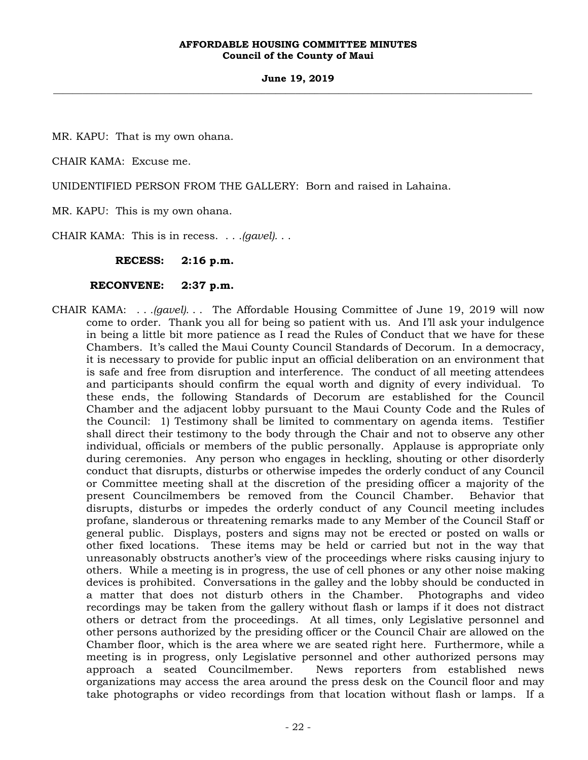#### **June 19, 2019 \_\_\_\_\_\_\_\_\_\_\_\_\_\_\_\_\_\_\_\_\_\_\_\_\_\_\_\_\_\_\_\_\_\_\_\_\_\_\_\_\_\_\_\_\_\_\_\_\_\_\_\_\_\_\_\_\_\_\_\_\_\_\_\_\_\_\_\_\_\_\_\_\_\_\_\_\_\_\_\_\_\_\_\_\_\_\_\_\_\_\_\_\_\_\_\_\_\_\_**

MR. KAPU: That is my own ohana.

CHAIR KAMA: Excuse me.

UNIDENTIFIED PERSON FROM THE GALLERY: Born and raised in Lahaina.

MR. KAPU: This is my own ohana.

CHAIR KAMA: This is in recess. . . *.(gavel).* . .

**RECESS: 2:16 p.m.** 

## **RECONVENE: 2:37 p.m.**

CHAIR KAMA: . . *.(gavel).* . . The Affordable Housing Committee of June 19, 2019 will now come to order. Thank you all for being so patient with us. And I'll ask your indulgence in being a little bit more patience as I read the Rules of Conduct that we have for these Chambers. It's called the Maui County Council Standards of Decorum. In a democracy, it is necessary to provide for public input an official deliberation on an environment that is safe and free from disruption and interference. The conduct of all meeting attendees and participants should confirm the equal worth and dignity of every individual. To these ends, the following Standards of Decorum are established for the Council Chamber and the adjacent lobby pursuant to the Maui County Code and the Rules of the Council: 1) Testimony shall be limited to commentary on agenda items. Testifier shall direct their testimony to the body through the Chair and not to observe any other individual, officials or members of the public personally. Applause is appropriate only during ceremonies. Any person who engages in heckling, shouting or other disorderly conduct that disrupts, disturbs or otherwise impedes the orderly conduct of any Council or Committee meeting shall at the discretion of the presiding officer a majority of the present Councilmembers be removed from the Council Chamber. Behavior that disrupts, disturbs or impedes the orderly conduct of any Council meeting includes profane, slanderous or threatening remarks made to any Member of the Council Staff or general public. Displays, posters and signs may not be erected or posted on walls or other fixed locations. These items may be held or carried but not in the way that unreasonably obstructs another's view of the proceedings where risks causing injury to others. While a meeting is in progress, the use of cell phones or any other noise making devices is prohibited. Conversations in the galley and the lobby should be conducted in a matter that does not disturb others in the Chamber. Photographs and video recordings may be taken from the gallery without flash or lamps if it does not distract others or detract from the proceedings. At all times, only Legislative personnel and other persons authorized by the presiding officer or the Council Chair are allowed on the Chamber floor, which is the area where we are seated right here. Furthermore, while a meeting is in progress, only Legislative personnel and other authorized persons may approach a seated Councilmember. News reporters from established news organizations may access the area around the press desk on the Council floor and may take photographs or video recordings from that location without flash or lamps. If a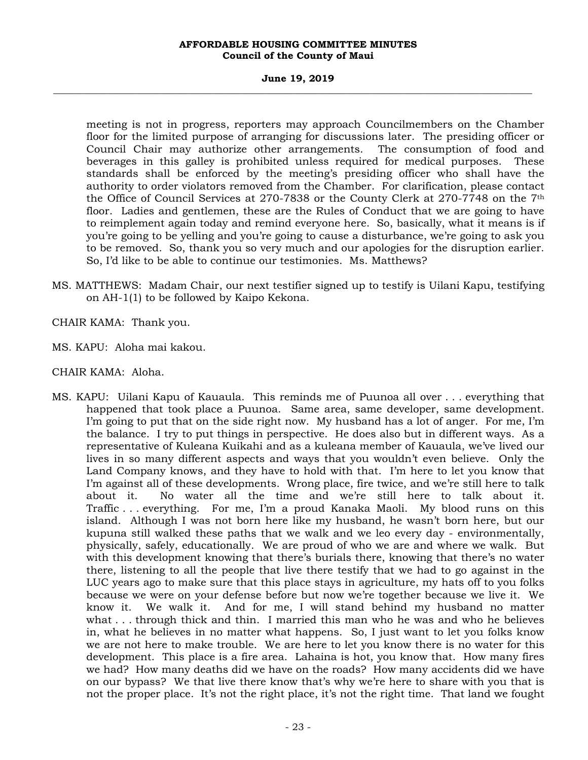#### **June 19, 2019 \_\_\_\_\_\_\_\_\_\_\_\_\_\_\_\_\_\_\_\_\_\_\_\_\_\_\_\_\_\_\_\_\_\_\_\_\_\_\_\_\_\_\_\_\_\_\_\_\_\_\_\_\_\_\_\_\_\_\_\_\_\_\_\_\_\_\_\_\_\_\_\_\_\_\_\_\_\_\_\_\_\_\_\_\_\_\_\_\_\_\_\_\_\_\_\_\_\_\_**

meeting is not in progress, reporters may approach Councilmembers on the Chamber floor for the limited purpose of arranging for discussions later. The presiding officer or Council Chair may authorize other arrangements. The consumption of food and beverages in this galley is prohibited unless required for medical purposes. These standards shall be enforced by the meeting's presiding officer who shall have the authority to order violators removed from the Chamber. For clarification, please contact the Office of Council Services at 270-7838 or the County Clerk at 270-7748 on the 7th floor. Ladies and gentlemen, these are the Rules of Conduct that we are going to have to reimplement again today and remind everyone here. So, basically, what it means is if you're going to be yelling and you're going to cause a disturbance, we're going to ask you to be removed. So, thank you so very much and our apologies for the disruption earlier. So, I'd like to be able to continue our testimonies. Ms. Matthews?

- MS. MATTHEWS: Madam Chair, our next testifier signed up to testify is Uilani Kapu, testifying on AH-1(1) to be followed by Kaipo Kekona.
- CHAIR KAMA: Thank you.
- MS. KAPU: Aloha mai kakou.
- CHAIR KAMA: Aloha.
- MS. KAPU: Uilani Kapu of Kauaula. This reminds me of Puunoa all over . . . everything that happened that took place a Puunoa. Same area, same developer, same development. I'm going to put that on the side right now. My husband has a lot of anger. For me, I'm the balance. I try to put things in perspective. He does also but in different ways. As a representative of Kuleana Kuikahi and as a kuleana member of Kauaula, we've lived our lives in so many different aspects and ways that you wouldn't even believe. Only the Land Company knows, and they have to hold with that. I'm here to let you know that I'm against all of these developments. Wrong place, fire twice, and we're still here to talk about it. No water all the time and we're still here to talk about it. Traffic . . . everything. For me, I'm a proud Kanaka Maoli. My blood runs on this island. Although I was not born here like my husband, he wasn't born here, but our kupuna still walked these paths that we walk and we leo every day - environmentally, physically, safely, educationally. We are proud of who we are and where we walk. But with this development knowing that there's burials there, knowing that there's no water there, listening to all the people that live there testify that we had to go against in the LUC years ago to make sure that this place stays in agriculture, my hats off to you folks because we were on your defense before but now we're together because we live it. We know it. We walk it. And for me, I will stand behind my husband no matter what . . . through thick and thin. I married this man who he was and who he believes in, what he believes in no matter what happens. So, I just want to let you folks know we are not here to make trouble. We are here to let you know there is no water for this development. This place is a fire area. Lahaina is hot, you know that. How many fires we had? How many deaths did we have on the roads? How many accidents did we have on our bypass? We that live there know that's why we're here to share with you that is not the proper place. It's not the right place, it's not the right time. That land we fought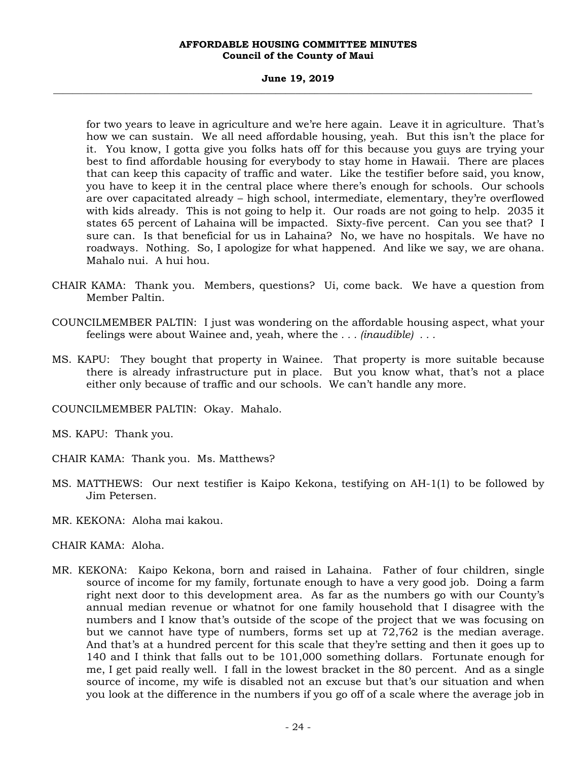#### **June 19, 2019 \_\_\_\_\_\_\_\_\_\_\_\_\_\_\_\_\_\_\_\_\_\_\_\_\_\_\_\_\_\_\_\_\_\_\_\_\_\_\_\_\_\_\_\_\_\_\_\_\_\_\_\_\_\_\_\_\_\_\_\_\_\_\_\_\_\_\_\_\_\_\_\_\_\_\_\_\_\_\_\_\_\_\_\_\_\_\_\_\_\_\_\_\_\_\_\_\_\_\_**

for two years to leave in agriculture and we're here again. Leave it in agriculture. That's how we can sustain. We all need affordable housing, yeah. But this isn't the place for it. You know, I gotta give you folks hats off for this because you guys are trying your best to find affordable housing for everybody to stay home in Hawaii. There are places that can keep this capacity of traffic and water. Like the testifier before said, you know, you have to keep it in the central place where there's enough for schools. Our schools are over capacitated already – high school, intermediate, elementary, they're overflowed with kids already. This is not going to help it. Our roads are not going to help. 2035 it states 65 percent of Lahaina will be impacted. Sixty-five percent. Can you see that? I sure can. Is that beneficial for us in Lahaina? No, we have no hospitals. We have no roadways. Nothing. So, I apologize for what happened. And like we say, we are ohana. Mahalo nui. A hui hou.

- CHAIR KAMA: Thank you. Members, questions? Ui, come back. We have a question from Member Paltin.
- COUNCILMEMBER PALTIN: I just was wondering on the affordable housing aspect, what your feelings were about Wainee and, yeah, where the *. . . (inaudible) . . .*
- MS. KAPU: They bought that property in Wainee. That property is more suitable because there is already infrastructure put in place. But you know what, that's not a place either only because of traffic and our schools. We can't handle any more.
- COUNCILMEMBER PALTIN: Okay. Mahalo.

MS. KAPU: Thank you.

- CHAIR KAMA: Thank you. Ms. Matthews?
- MS. MATTHEWS: Our next testifier is Kaipo Kekona, testifying on AH-1(1) to be followed by Jim Petersen.
- MR. KEKONA: Aloha mai kakou.
- CHAIR KAMA: Aloha.
- MR. KEKONA: Kaipo Kekona, born and raised in Lahaina. Father of four children, single source of income for my family, fortunate enough to have a very good job. Doing a farm right next door to this development area. As far as the numbers go with our County's annual median revenue or whatnot for one family household that I disagree with the numbers and I know that's outside of the scope of the project that we was focusing on but we cannot have type of numbers, forms set up at 72,762 is the median average. And that's at a hundred percent for this scale that they're setting and then it goes up to 140 and I think that falls out to be 101,000 something dollars. Fortunate enough for me, I get paid really well. I fall in the lowest bracket in the 80 percent. And as a single source of income, my wife is disabled not an excuse but that's our situation and when you look at the difference in the numbers if you go off of a scale where the average job in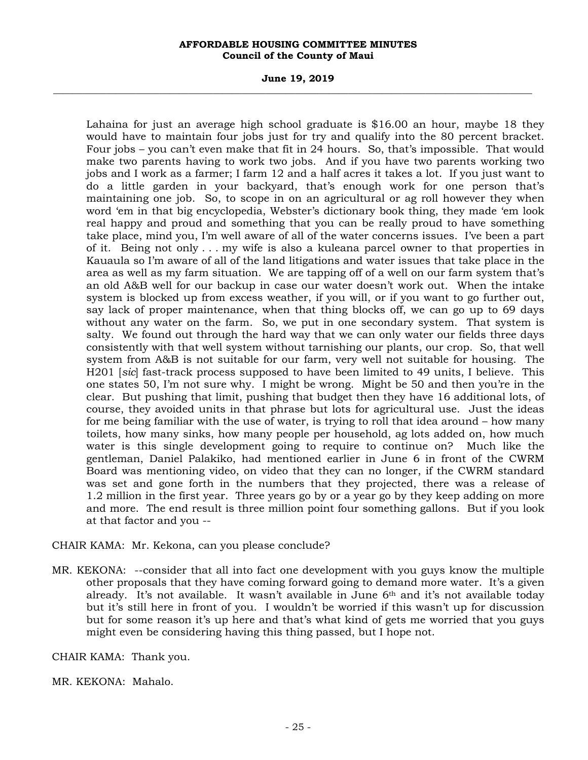#### **June 19, 2019 \_\_\_\_\_\_\_\_\_\_\_\_\_\_\_\_\_\_\_\_\_\_\_\_\_\_\_\_\_\_\_\_\_\_\_\_\_\_\_\_\_\_\_\_\_\_\_\_\_\_\_\_\_\_\_\_\_\_\_\_\_\_\_\_\_\_\_\_\_\_\_\_\_\_\_\_\_\_\_\_\_\_\_\_\_\_\_\_\_\_\_\_\_\_\_\_\_\_\_**

Lahaina for just an average high school graduate is \$16.00 an hour, maybe 18 they would have to maintain four jobs just for try and qualify into the 80 percent bracket. Four jobs – you can't even make that fit in 24 hours. So, that's impossible. That would make two parents having to work two jobs. And if you have two parents working two jobs and I work as a farmer; I farm 12 and a half acres it takes a lot. If you just want to do a little garden in your backyard, that's enough work for one person that's maintaining one job. So, to scope in on an agricultural or ag roll however they when word 'em in that big encyclopedia, Webster's dictionary book thing, they made 'em look real happy and proud and something that you can be really proud to have something take place, mind you, I'm well aware of all of the water concerns issues. I've been a part of it. Being not only . . . my wife is also a kuleana parcel owner to that properties in Kauaula so I'm aware of all of the land litigations and water issues that take place in the area as well as my farm situation. We are tapping off of a well on our farm system that's an old A&B well for our backup in case our water doesn't work out. When the intake system is blocked up from excess weather, if you will, or if you want to go further out, say lack of proper maintenance, when that thing blocks off, we can go up to 69 days without any water on the farm. So, we put in one secondary system. That system is salty. We found out through the hard way that we can only water our fields three days consistently with that well system without tarnishing our plants, our crop. So, that well system from A&B is not suitable for our farm, very well not suitable for housing. The H201 [*sic*] fast-track process supposed to have been limited to 49 units, I believe. This one states 50, I'm not sure why. I might be wrong. Might be 50 and then you're in the clear. But pushing that limit, pushing that budget then they have 16 additional lots, of course, they avoided units in that phrase but lots for agricultural use. Just the ideas for me being familiar with the use of water, is trying to roll that idea around – how many toilets, how many sinks, how many people per household, ag lots added on, how much water is this single development going to require to continue on? Much like the gentleman, Daniel Palakiko, had mentioned earlier in June 6 in front of the CWRM Board was mentioning video, on video that they can no longer, if the CWRM standard was set and gone forth in the numbers that they projected, there was a release of 1.2 million in the first year. Three years go by or a year go by they keep adding on more and more. The end result is three million point four something gallons. But if you look at that factor and you --

CHAIR KAMA: Mr. Kekona, can you please conclude?

MR. KEKONA: --consider that all into fact one development with you guys know the multiple other proposals that they have coming forward going to demand more water. It's a given already. It's not available. It wasn't available in June 6th and it's not available today but it's still here in front of you. I wouldn't be worried if this wasn't up for discussion but for some reason it's up here and that's what kind of gets me worried that you guys might even be considering having this thing passed, but I hope not.

CHAIR KAMA: Thank you.

MR. KEKONA: Mahalo.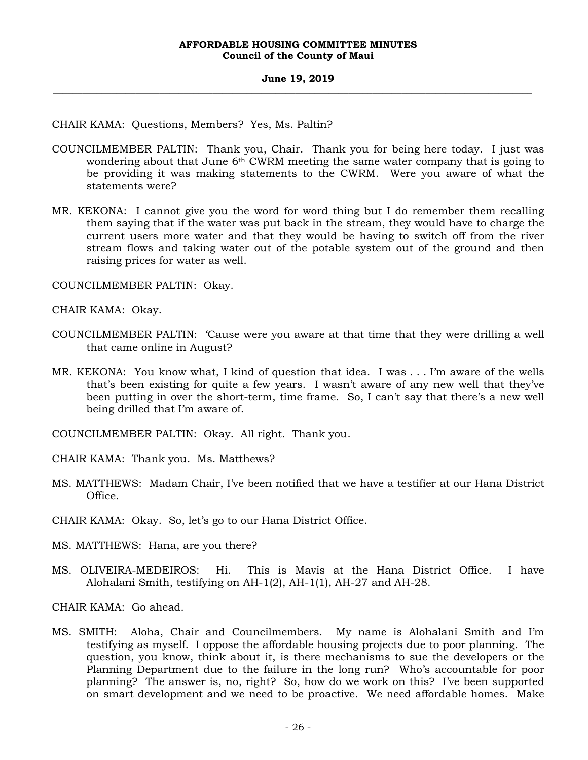#### **June 19, 2019 \_\_\_\_\_\_\_\_\_\_\_\_\_\_\_\_\_\_\_\_\_\_\_\_\_\_\_\_\_\_\_\_\_\_\_\_\_\_\_\_\_\_\_\_\_\_\_\_\_\_\_\_\_\_\_\_\_\_\_\_\_\_\_\_\_\_\_\_\_\_\_\_\_\_\_\_\_\_\_\_\_\_\_\_\_\_\_\_\_\_\_\_\_\_\_\_\_\_\_**

CHAIR KAMA: Questions, Members? Yes, Ms. Paltin?

- COUNCILMEMBER PALTIN: Thank you, Chair. Thank you for being here today. I just was wondering about that June 6<sup>th</sup> CWRM meeting the same water company that is going to be providing it was making statements to the CWRM. Were you aware of what the statements were?
- MR. KEKONA: I cannot give you the word for word thing but I do remember them recalling them saying that if the water was put back in the stream, they would have to charge the current users more water and that they would be having to switch off from the river stream flows and taking water out of the potable system out of the ground and then raising prices for water as well.

COUNCILMEMBER PALTIN: Okay.

CHAIR KAMA: Okay.

- COUNCILMEMBER PALTIN: 'Cause were you aware at that time that they were drilling a well that came online in August?
- MR. KEKONA: You know what, I kind of question that idea. I was . . . I'm aware of the wells that's been existing for quite a few years. I wasn't aware of any new well that they've been putting in over the short-term, time frame. So, I can't say that there's a new well being drilled that I'm aware of.
- COUNCILMEMBER PALTIN: Okay. All right. Thank you.
- CHAIR KAMA: Thank you. Ms. Matthews?
- MS. MATTHEWS: Madam Chair, I've been notified that we have a testifier at our Hana District Office.

CHAIR KAMA: Okay. So, let's go to our Hana District Office.

- MS. MATTHEWS: Hana, are you there?
- MS. OLIVEIRA-MEDEIROS: Hi. This is Mavis at the Hana District Office. I have Alohalani Smith, testifying on AH-1(2), AH-1(1), AH-27 and AH-28.

CHAIR KAMA: Go ahead.

MS. SMITH: Aloha, Chair and Councilmembers. My name is Alohalani Smith and I'm testifying as myself. I oppose the affordable housing projects due to poor planning. The question, you know, think about it, is there mechanisms to sue the developers or the Planning Department due to the failure in the long run? Who's accountable for poor planning? The answer is, no, right? So, how do we work on this? I've been supported on smart development and we need to be proactive. We need affordable homes. Make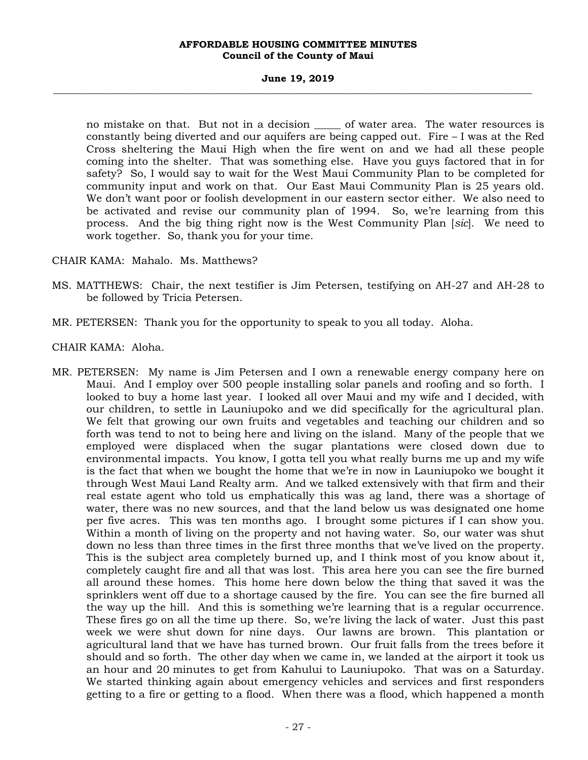#### **June 19, 2019 \_\_\_\_\_\_\_\_\_\_\_\_\_\_\_\_\_\_\_\_\_\_\_\_\_\_\_\_\_\_\_\_\_\_\_\_\_\_\_\_\_\_\_\_\_\_\_\_\_\_\_\_\_\_\_\_\_\_\_\_\_\_\_\_\_\_\_\_\_\_\_\_\_\_\_\_\_\_\_\_\_\_\_\_\_\_\_\_\_\_\_\_\_\_\_\_\_\_\_**

no mistake on that. But not in a decision of water area. The water resources is constantly being diverted and our aquifers are being capped out. Fire – I was at the Red Cross sheltering the Maui High when the fire went on and we had all these people coming into the shelter. That was something else. Have you guys factored that in for safety? So, I would say to wait for the West Maui Community Plan to be completed for community input and work on that. Our East Maui Community Plan is 25 years old. We don't want poor or foolish development in our eastern sector either. We also need to be activated and revise our community plan of 1994. So, we're learning from this process. And the big thing right now is the West Community Plan [*sic*]. We need to work together. So, thank you for your time.

## CHAIR KAMA: Mahalo. Ms. Matthews?

- MS. MATTHEWS: Chair, the next testifier is Jim Petersen, testifying on AH-27 and AH-28 to be followed by Tricia Petersen.
- MR. PETERSEN: Thank you for the opportunity to speak to you all today. Aloha.
- CHAIR KAMA: Aloha.
- MR. PETERSEN: My name is Jim Petersen and I own a renewable energy company here on Maui. And I employ over 500 people installing solar panels and roofing and so forth. I looked to buy a home last year. I looked all over Maui and my wife and I decided, with our children, to settle in Launiupoko and we did specifically for the agricultural plan. We felt that growing our own fruits and vegetables and teaching our children and so forth was tend to not to being here and living on the island. Many of the people that we employed were displaced when the sugar plantations were closed down due to environmental impacts. You know, I gotta tell you what really burns me up and my wife is the fact that when we bought the home that we're in now in Launiupoko we bought it through West Maui Land Realty arm. And we talked extensively with that firm and their real estate agent who told us emphatically this was ag land, there was a shortage of water, there was no new sources, and that the land below us was designated one home per five acres. This was ten months ago. I brought some pictures if I can show you. Within a month of living on the property and not having water. So, our water was shut down no less than three times in the first three months that we've lived on the property. This is the subject area completely burned up, and I think most of you know about it, completely caught fire and all that was lost. This area here you can see the fire burned all around these homes. This home here down below the thing that saved it was the sprinklers went off due to a shortage caused by the fire. You can see the fire burned all the way up the hill. And this is something we're learning that is a regular occurrence. These fires go on all the time up there. So, we're living the lack of water. Just this past week we were shut down for nine days. Our lawns are brown. This plantation or agricultural land that we have has turned brown. Our fruit falls from the trees before it should and so forth. The other day when we came in, we landed at the airport it took us an hour and 20 minutes to get from Kahului to Launiupoko. That was on a Saturday. We started thinking again about emergency vehicles and services and first responders getting to a fire or getting to a flood. When there was a flood, which happened a month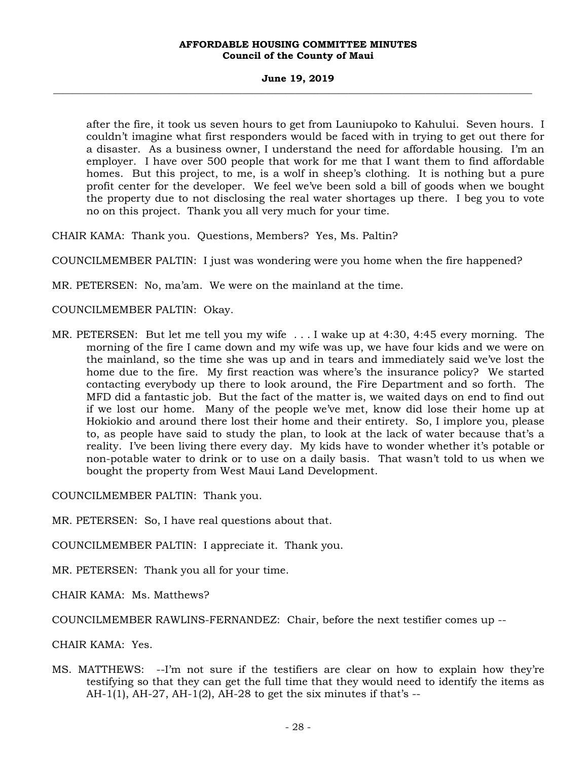#### **June 19, 2019 \_\_\_\_\_\_\_\_\_\_\_\_\_\_\_\_\_\_\_\_\_\_\_\_\_\_\_\_\_\_\_\_\_\_\_\_\_\_\_\_\_\_\_\_\_\_\_\_\_\_\_\_\_\_\_\_\_\_\_\_\_\_\_\_\_\_\_\_\_\_\_\_\_\_\_\_\_\_\_\_\_\_\_\_\_\_\_\_\_\_\_\_\_\_\_\_\_\_\_**

after the fire, it took us seven hours to get from Launiupoko to Kahului. Seven hours. I couldn't imagine what first responders would be faced with in trying to get out there for a disaster. As a business owner, I understand the need for affordable housing. I'm an employer. I have over 500 people that work for me that I want them to find affordable homes. But this project, to me, is a wolf in sheep's clothing. It is nothing but a pure profit center for the developer. We feel we've been sold a bill of goods when we bought the property due to not disclosing the real water shortages up there. I beg you to vote no on this project. Thank you all very much for your time.

CHAIR KAMA: Thank you. Questions, Members? Yes, Ms. Paltin?

COUNCILMEMBER PALTIN: I just was wondering were you home when the fire happened?

MR. PETERSEN: No, ma'am. We were on the mainland at the time.

COUNCILMEMBER PALTIN: Okay.

MR. PETERSEN: But let me tell you my wife . . . I wake up at 4:30, 4:45 every morning. The morning of the fire I came down and my wife was up, we have four kids and we were on the mainland, so the time she was up and in tears and immediately said we've lost the home due to the fire. My first reaction was where's the insurance policy? We started contacting everybody up there to look around, the Fire Department and so forth. The MFD did a fantastic job. But the fact of the matter is, we waited days on end to find out if we lost our home. Many of the people we've met, know did lose their home up at Hokiokio and around there lost their home and their entirety. So, I implore you, please to, as people have said to study the plan, to look at the lack of water because that's a reality. I've been living there every day. My kids have to wonder whether it's potable or non-potable water to drink or to use on a daily basis. That wasn't told to us when we bought the property from West Maui Land Development.

COUNCILMEMBER PALTIN: Thank you.

MR. PETERSEN: So, I have real questions about that.

COUNCILMEMBER PALTIN: I appreciate it. Thank you.

MR. PETERSEN: Thank you all for your time.

CHAIR KAMA: Ms. Matthews?

COUNCILMEMBER RAWLINS-FERNANDEZ: Chair, before the next testifier comes up --

CHAIR KAMA: Yes.

MS. MATTHEWS: --I'm not sure if the testifiers are clear on how to explain how they're testifying so that they can get the full time that they would need to identify the items as  $AH-1(1)$ ,  $AH-27$ ,  $AH-1(2)$ ,  $AH-28$  to get the six minutes if that's  $-5$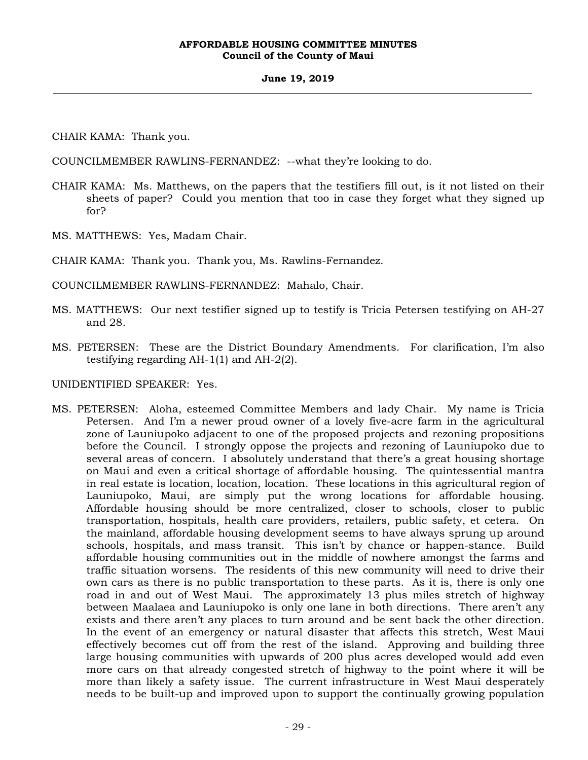#### **June 19, 2019 \_\_\_\_\_\_\_\_\_\_\_\_\_\_\_\_\_\_\_\_\_\_\_\_\_\_\_\_\_\_\_\_\_\_\_\_\_\_\_\_\_\_\_\_\_\_\_\_\_\_\_\_\_\_\_\_\_\_\_\_\_\_\_\_\_\_\_\_\_\_\_\_\_\_\_\_\_\_\_\_\_\_\_\_\_\_\_\_\_\_\_\_\_\_\_\_\_\_\_**

CHAIR KAMA: Thank you.

COUNCILMEMBER RAWLINS-FERNANDEZ: --what they're looking to do.

- CHAIR KAMA: Ms. Matthews, on the papers that the testifiers fill out, is it not listed on their sheets of paper? Could you mention that too in case they forget what they signed up for?
- MS. MATTHEWS: Yes, Madam Chair.

CHAIR KAMA: Thank you. Thank you, Ms. Rawlins-Fernandez.

COUNCILMEMBER RAWLINS-FERNANDEZ: Mahalo, Chair.

- MS. MATTHEWS: Our next testifier signed up to testify is Tricia Petersen testifying on AH-27 and 28.
- MS. PETERSEN: These are the District Boundary Amendments. For clarification, I'm also testifying regarding AH-1(1) and AH-2(2).

UNIDENTIFIED SPEAKER: Yes.

MS. PETERSEN: Aloha, esteemed Committee Members and lady Chair. My name is Tricia Petersen. And I'm a newer proud owner of a lovely five-acre farm in the agricultural zone of Launiupoko adjacent to one of the proposed projects and rezoning propositions before the Council. I strongly oppose the projects and rezoning of Launiupoko due to several areas of concern. I absolutely understand that there's a great housing shortage on Maui and even a critical shortage of affordable housing. The quintessential mantra in real estate is location, location, location. These locations in this agricultural region of Launiupoko, Maui, are simply put the wrong locations for affordable housing. Affordable housing should be more centralized, closer to schools, closer to public transportation, hospitals, health care providers, retailers, public safety, et cetera. On the mainland, affordable housing development seems to have always sprung up around schools, hospitals, and mass transit. This isn't by chance or happen-stance. Build affordable housing communities out in the middle of nowhere amongst the farms and traffic situation worsens. The residents of this new community will need to drive their own cars as there is no public transportation to these parts. As it is, there is only one road in and out of West Maui. The approximately 13 plus miles stretch of highway between Maalaea and Launiupoko is only one lane in both directions. There aren't any exists and there aren't any places to turn around and be sent back the other direction. In the event of an emergency or natural disaster that affects this stretch, West Maui effectively becomes cut off from the rest of the island. Approving and building three large housing communities with upwards of 200 plus acres developed would add even more cars on that already congested stretch of highway to the point where it will be more than likely a safety issue. The current infrastructure in West Maui desperately needs to be built-up and improved upon to support the continually growing population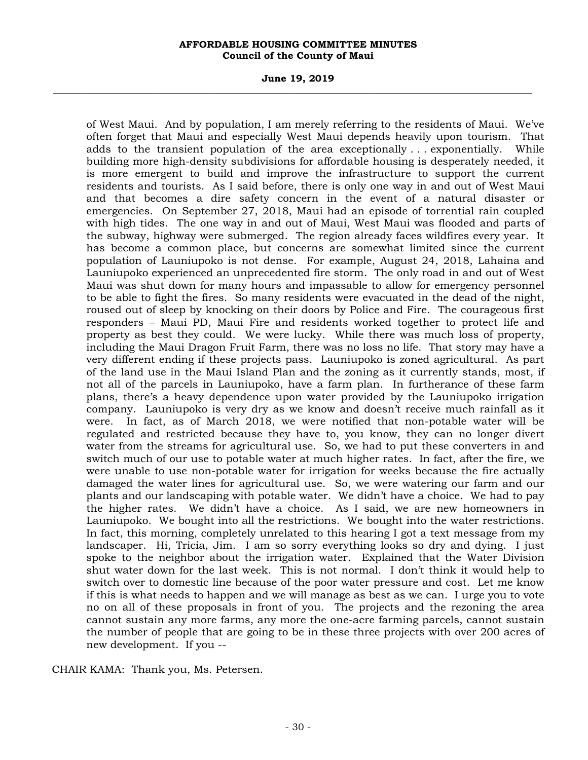#### **June 19, 2019 \_\_\_\_\_\_\_\_\_\_\_\_\_\_\_\_\_\_\_\_\_\_\_\_\_\_\_\_\_\_\_\_\_\_\_\_\_\_\_\_\_\_\_\_\_\_\_\_\_\_\_\_\_\_\_\_\_\_\_\_\_\_\_\_\_\_\_\_\_\_\_\_\_\_\_\_\_\_\_\_\_\_\_\_\_\_\_\_\_\_\_\_\_\_\_\_\_\_\_**

of West Maui. And by population, I am merely referring to the residents of Maui. We've often forget that Maui and especially West Maui depends heavily upon tourism. That adds to the transient population of the area exceptionally . . . exponentially. While building more high-density subdivisions for affordable housing is desperately needed, it is more emergent to build and improve the infrastructure to support the current residents and tourists. As I said before, there is only one way in and out of West Maui and that becomes a dire safety concern in the event of a natural disaster or emergencies. On September 27, 2018, Maui had an episode of torrential rain coupled with high tides. The one way in and out of Maui, West Maui was flooded and parts of the subway, highway were submerged. The region already faces wildfires every year. It has become a common place, but concerns are somewhat limited since the current population of Launiupoko is not dense. For example, August 24, 2018, Lahaina and Launiupoko experienced an unprecedented fire storm. The only road in and out of West Maui was shut down for many hours and impassable to allow for emergency personnel to be able to fight the fires. So many residents were evacuated in the dead of the night, roused out of sleep by knocking on their doors by Police and Fire. The courageous first responders – Maui PD, Maui Fire and residents worked together to protect life and property as best they could. We were lucky. While there was much loss of property, including the Maui Dragon Fruit Farm, there was no loss no life. That story may have a very different ending if these projects pass. Launiupoko is zoned agricultural. As part of the land use in the Maui Island Plan and the zoning as it currently stands, most, if not all of the parcels in Launiupoko, have a farm plan. In furtherance of these farm plans, there's a heavy dependence upon water provided by the Launiupoko irrigation company. Launiupoko is very dry as we know and doesn't receive much rainfall as it were. In fact, as of March 2018, we were notified that non-potable water will be regulated and restricted because they have to, you know, they can no longer divert water from the streams for agricultural use. So, we had to put these converters in and switch much of our use to potable water at much higher rates. In fact, after the fire, we were unable to use non-potable water for irrigation for weeks because the fire actually damaged the water lines for agricultural use. So, we were watering our farm and our plants and our landscaping with potable water. We didn't have a choice. We had to pay the higher rates. We didn't have a choice. As I said, we are new homeowners in Launiupoko. We bought into all the restrictions. We bought into the water restrictions. In fact, this morning, completely unrelated to this hearing I got a text message from my landscaper. Hi, Tricia, Jim. I am so sorry everything looks so dry and dying. I just spoke to the neighbor about the irrigation water. Explained that the Water Division shut water down for the last week. This is not normal. I don't think it would help to switch over to domestic line because of the poor water pressure and cost. Let me know if this is what needs to happen and we will manage as best as we can. I urge you to vote no on all of these proposals in front of you. The projects and the rezoning the area cannot sustain any more farms, any more the one-acre farming parcels, cannot sustain the number of people that are going to be in these three projects with over 200 acres of new development. If you --

CHAIR KAMA: Thank you, Ms. Petersen.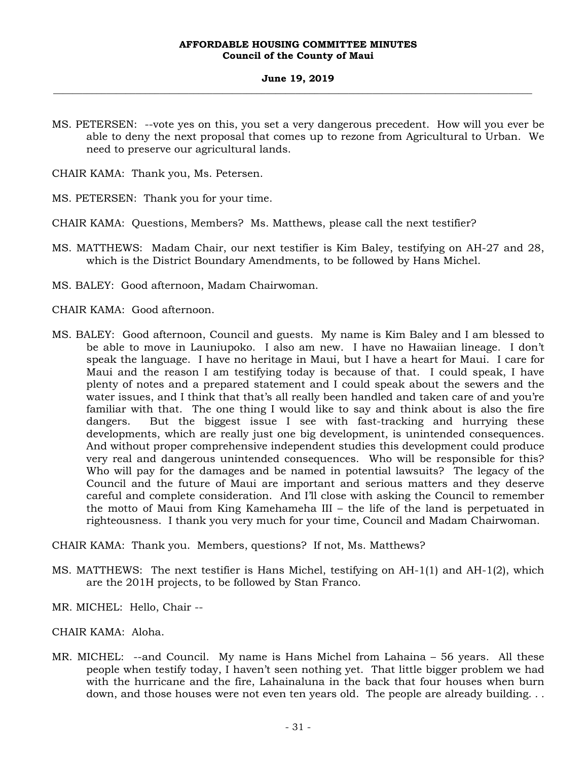#### **June 19, 2019 \_\_\_\_\_\_\_\_\_\_\_\_\_\_\_\_\_\_\_\_\_\_\_\_\_\_\_\_\_\_\_\_\_\_\_\_\_\_\_\_\_\_\_\_\_\_\_\_\_\_\_\_\_\_\_\_\_\_\_\_\_\_\_\_\_\_\_\_\_\_\_\_\_\_\_\_\_\_\_\_\_\_\_\_\_\_\_\_\_\_\_\_\_\_\_\_\_\_\_**

MS. PETERSEN: --vote yes on this, you set a very dangerous precedent. How will you ever be able to deny the next proposal that comes up to rezone from Agricultural to Urban. We need to preserve our agricultural lands.

CHAIR KAMA: Thank you, Ms. Petersen.

MS. PETERSEN: Thank you for your time.

- CHAIR KAMA: Questions, Members? Ms. Matthews, please call the next testifier?
- MS. MATTHEWS: Madam Chair, our next testifier is Kim Baley, testifying on AH-27 and 28, which is the District Boundary Amendments, to be followed by Hans Michel.
- MS. BALEY: Good afternoon, Madam Chairwoman.

CHAIR KAMA: Good afternoon.

MS. BALEY: Good afternoon, Council and guests. My name is Kim Baley and I am blessed to be able to move in Launiupoko. I also am new. I have no Hawaiian lineage. I don't speak the language. I have no heritage in Maui, but I have a heart for Maui. I care for Maui and the reason I am testifying today is because of that. I could speak, I have plenty of notes and a prepared statement and I could speak about the sewers and the water issues, and I think that that's all really been handled and taken care of and you're familiar with that. The one thing I would like to say and think about is also the fire dangers. But the biggest issue I see with fast-tracking and hurrying these developments, which are really just one big development, is unintended consequences. And without proper comprehensive independent studies this development could produce very real and dangerous unintended consequences. Who will be responsible for this? Who will pay for the damages and be named in potential lawsuits? The legacy of the Council and the future of Maui are important and serious matters and they deserve careful and complete consideration. And I'll close with asking the Council to remember the motto of Maui from King Kamehameha III – the life of the land is perpetuated in righteousness. I thank you very much for your time, Council and Madam Chairwoman.

CHAIR KAMA: Thank you. Members, questions? If not, Ms. Matthews?

- MS. MATTHEWS: The next testifier is Hans Michel, testifying on AH-1(1) and AH-1(2), which are the 201H projects, to be followed by Stan Franco.
- MR. MICHEL: Hello, Chair --
- CHAIR KAMA: Aloha.
- MR. MICHEL: --and Council. My name is Hans Michel from Lahaina 56 years. All these people when testify today, I haven't seen nothing yet. That little bigger problem we had with the hurricane and the fire, Lahainaluna in the back that four houses when burn down, and those houses were not even ten years old. The people are already building*. . .*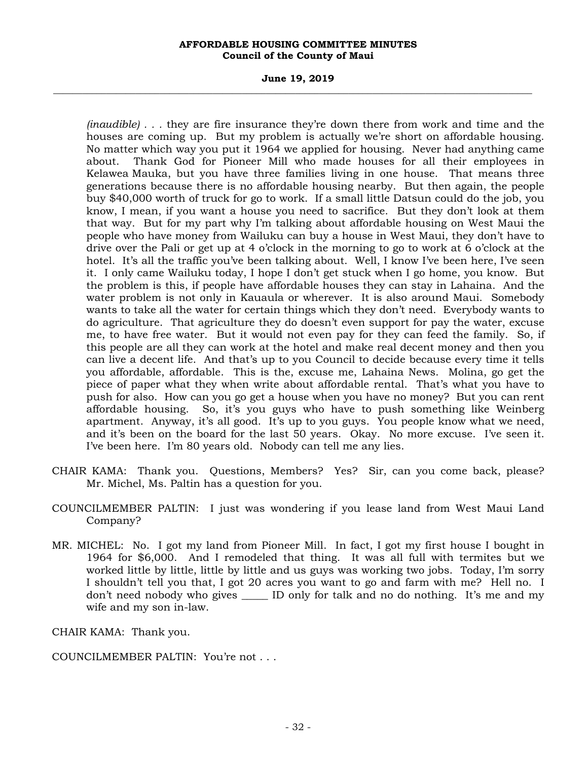#### **June 19, 2019 \_\_\_\_\_\_\_\_\_\_\_\_\_\_\_\_\_\_\_\_\_\_\_\_\_\_\_\_\_\_\_\_\_\_\_\_\_\_\_\_\_\_\_\_\_\_\_\_\_\_\_\_\_\_\_\_\_\_\_\_\_\_\_\_\_\_\_\_\_\_\_\_\_\_\_\_\_\_\_\_\_\_\_\_\_\_\_\_\_\_\_\_\_\_\_\_\_\_\_**

*(inaudible) . . .* they are fire insurance they're down there from work and time and the houses are coming up. But my problem is actually we're short on affordable housing. No matter which way you put it 1964 we applied for housing. Never had anything came about. Thank God for Pioneer Mill who made houses for all their employees in Kelawea Mauka, but you have three families living in one house. That means three generations because there is no affordable housing nearby. But then again, the people buy \$40,000 worth of truck for go to work. If a small little Datsun could do the job, you know, I mean, if you want a house you need to sacrifice. But they don't look at them that way. But for my part why I'm talking about affordable housing on West Maui the people who have money from Wailuku can buy a house in West Maui, they don't have to drive over the Pali or get up at 4 o'clock in the morning to go to work at 6 o'clock at the hotel. It's all the traffic you've been talking about. Well, I know I've been here, I've seen it. I only came Wailuku today, I hope I don't get stuck when I go home, you know. But the problem is this, if people have affordable houses they can stay in Lahaina. And the water problem is not only in Kauaula or wherever. It is also around Maui. Somebody wants to take all the water for certain things which they don't need. Everybody wants to do agriculture. That agriculture they do doesn't even support for pay the water, excuse me, to have free water. But it would not even pay for they can feed the family. So, if this people are all they can work at the hotel and make real decent money and then you can live a decent life. And that's up to you Council to decide because every time it tells you affordable, affordable. This is the, excuse me, Lahaina News. Molina, go get the piece of paper what they when write about affordable rental. That's what you have to push for also. How can you go get a house when you have no money? But you can rent affordable housing. So, it's you guys who have to push something like Weinberg apartment. Anyway, it's all good. It's up to you guys. You people know what we need, and it's been on the board for the last 50 years. Okay. No more excuse. I've seen it. I've been here. I'm 80 years old. Nobody can tell me any lies.

- CHAIR KAMA: Thank you. Questions, Members? Yes? Sir, can you come back, please? Mr. Michel, Ms. Paltin has a question for you.
- COUNCILMEMBER PALTIN: I just was wondering if you lease land from West Maui Land Company?
- MR. MICHEL: No. I got my land from Pioneer Mill. In fact, I got my first house I bought in 1964 for \$6,000. And I remodeled that thing. It was all full with termites but we worked little by little, little by little and us guys was working two jobs. Today, I'm sorry I shouldn't tell you that, I got 20 acres you want to go and farm with me? Hell no. I don't need nobody who gives \_\_\_\_\_ ID only for talk and no do nothing. It's me and my wife and my son in-law.

CHAIR KAMA: Thank you.

COUNCILMEMBER PALTIN: You're not . . .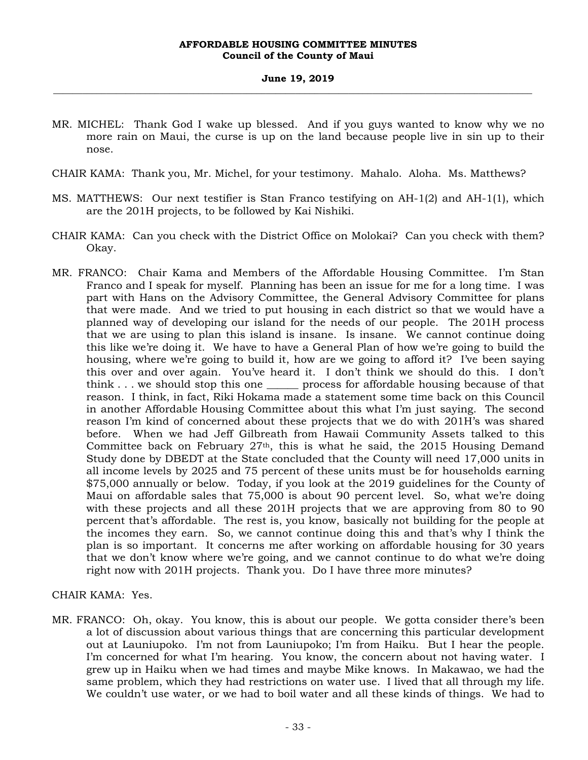#### **June 19, 2019 \_\_\_\_\_\_\_\_\_\_\_\_\_\_\_\_\_\_\_\_\_\_\_\_\_\_\_\_\_\_\_\_\_\_\_\_\_\_\_\_\_\_\_\_\_\_\_\_\_\_\_\_\_\_\_\_\_\_\_\_\_\_\_\_\_\_\_\_\_\_\_\_\_\_\_\_\_\_\_\_\_\_\_\_\_\_\_\_\_\_\_\_\_\_\_\_\_\_\_**

- MR. MICHEL: Thank God I wake up blessed. And if you guys wanted to know why we no more rain on Maui, the curse is up on the land because people live in sin up to their nose.
- CHAIR KAMA: Thank you, Mr. Michel, for your testimony. Mahalo. Aloha. Ms. Matthews?
- MS. MATTHEWS: Our next testifier is Stan Franco testifying on AH-1(2) and AH-1(1), which are the 201H projects, to be followed by Kai Nishiki.
- CHAIR KAMA: Can you check with the District Office on Molokai? Can you check with them? Okay.
- MR. FRANCO: Chair Kama and Members of the Affordable Housing Committee. I'm Stan Franco and I speak for myself. Planning has been an issue for me for a long time. I was part with Hans on the Advisory Committee, the General Advisory Committee for plans that were made. And we tried to put housing in each district so that we would have a planned way of developing our island for the needs of our people. The 201H process that we are using to plan this island is insane. Is insane. We cannot continue doing this like we're doing it. We have to have a General Plan of how we're going to build the housing, where we're going to build it, how are we going to afford it? I've been saying this over and over again. You've heard it. I don't think we should do this. I don't think . . . we should stop this one \_\_\_\_\_\_ process for affordable housing because of that reason. I think, in fact, Riki Hokama made a statement some time back on this Council in another Affordable Housing Committee about this what I'm just saying. The second reason I'm kind of concerned about these projects that we do with 201H's was shared before. When we had Jeff Gilbreath from Hawaii Community Assets talked to this Committee back on February  $27<sup>th</sup>$ , this is what he said, the 2015 Housing Demand Study done by DBEDT at the State concluded that the County will need 17,000 units in all income levels by 2025 and 75 percent of these units must be for households earning \$75,000 annually or below. Today, if you look at the 2019 guidelines for the County of Maui on affordable sales that 75,000 is about 90 percent level. So, what we're doing with these projects and all these 201H projects that we are approving from 80 to 90 percent that's affordable. The rest is, you know, basically not building for the people at the incomes they earn. So, we cannot continue doing this and that's why I think the plan is so important. It concerns me after working on affordable housing for 30 years that we don't know where we're going, and we cannot continue to do what we're doing right now with 201H projects. Thank you. Do I have three more minutes?

## CHAIR KAMA: Yes.

MR. FRANCO: Oh, okay. You know, this is about our people. We gotta consider there's been a lot of discussion about various things that are concerning this particular development out at Launiupoko. I'm not from Launiupoko; I'm from Haiku. But I hear the people. I'm concerned for what I'm hearing. You know, the concern about not having water. I grew up in Haiku when we had times and maybe Mike knows. In Makawao, we had the same problem, which they had restrictions on water use. I lived that all through my life. We couldn't use water, or we had to boil water and all these kinds of things. We had to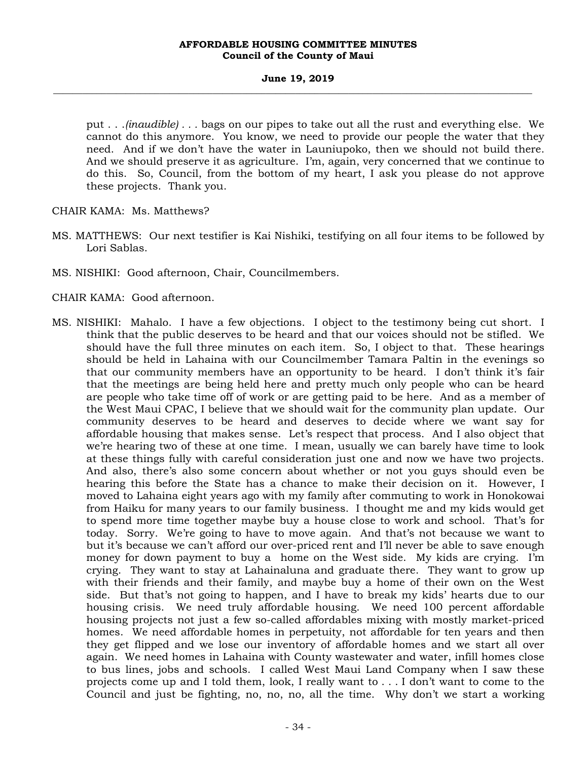#### **June 19, 2019 \_\_\_\_\_\_\_\_\_\_\_\_\_\_\_\_\_\_\_\_\_\_\_\_\_\_\_\_\_\_\_\_\_\_\_\_\_\_\_\_\_\_\_\_\_\_\_\_\_\_\_\_\_\_\_\_\_\_\_\_\_\_\_\_\_\_\_\_\_\_\_\_\_\_\_\_\_\_\_\_\_\_\_\_\_\_\_\_\_\_\_\_\_\_\_\_\_\_\_**

put . . .*(inaudible) . . .* bags on our pipes to take out all the rust and everything else. We cannot do this anymore. You know, we need to provide our people the water that they need. And if we don't have the water in Launiupoko, then we should not build there. And we should preserve it as agriculture. I'm, again, very concerned that we continue to do this. So, Council, from the bottom of my heart, I ask you please do not approve these projects. Thank you.

CHAIR KAMA: Ms. Matthews?

- MS. MATTHEWS: Our next testifier is Kai Nishiki, testifying on all four items to be followed by Lori Sablas.
- MS. NISHIKI: Good afternoon, Chair, Councilmembers.

CHAIR KAMA: Good afternoon.

MS. NISHIKI: Mahalo. I have a few objections. I object to the testimony being cut short. I think that the public deserves to be heard and that our voices should not be stifled. We should have the full three minutes on each item. So, I object to that. These hearings should be held in Lahaina with our Councilmember Tamara Paltin in the evenings so that our community members have an opportunity to be heard. I don't think it's fair that the meetings are being held here and pretty much only people who can be heard are people who take time off of work or are getting paid to be here. And as a member of the West Maui CPAC, I believe that we should wait for the community plan update. Our community deserves to be heard and deserves to decide where we want say for affordable housing that makes sense. Let's respect that process. And I also object that we're hearing two of these at one time. I mean, usually we can barely have time to look at these things fully with careful consideration just one and now we have two projects. And also, there's also some concern about whether or not you guys should even be hearing this before the State has a chance to make their decision on it. However, I moved to Lahaina eight years ago with my family after commuting to work in Honokowai from Haiku for many years to our family business. I thought me and my kids would get to spend more time together maybe buy a house close to work and school. That's for today. Sorry. We're going to have to move again. And that's not because we want to but it's because we can't afford our over-priced rent and I'll never be able to save enough money for down payment to buy a home on the West side. My kids are crying. I'm crying. They want to stay at Lahainaluna and graduate there. They want to grow up with their friends and their family, and maybe buy a home of their own on the West side. But that's not going to happen, and I have to break my kids' hearts due to our housing crisis. We need truly affordable housing. We need 100 percent affordable housing projects not just a few so-called affordables mixing with mostly market-priced homes. We need affordable homes in perpetuity, not affordable for ten years and then they get flipped and we lose our inventory of affordable homes and we start all over again. We need homes in Lahaina with County wastewater and water, infill homes close to bus lines, jobs and schools. I called West Maui Land Company when I saw these projects come up and I told them, look, I really want to . . . I don't want to come to the Council and just be fighting, no, no, no, all the time. Why don't we start a working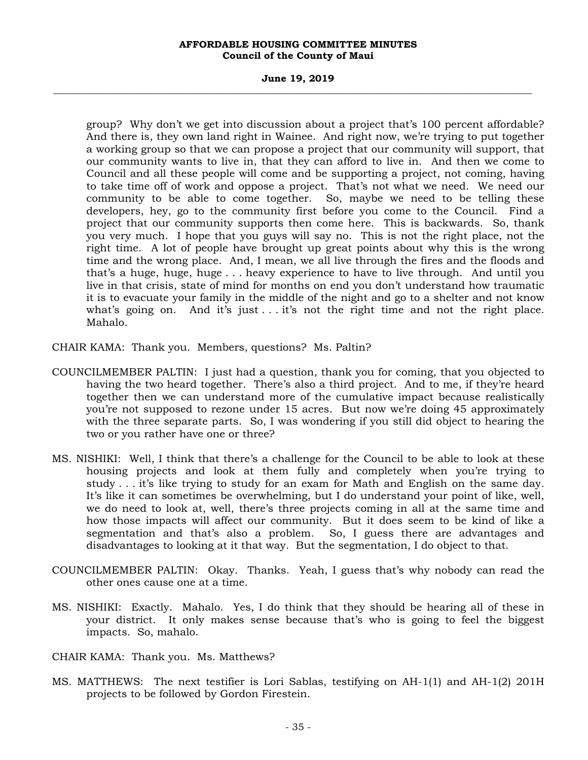#### **June 19, 2019 \_\_\_\_\_\_\_\_\_\_\_\_\_\_\_\_\_\_\_\_\_\_\_\_\_\_\_\_\_\_\_\_\_\_\_\_\_\_\_\_\_\_\_\_\_\_\_\_\_\_\_\_\_\_\_\_\_\_\_\_\_\_\_\_\_\_\_\_\_\_\_\_\_\_\_\_\_\_\_\_\_\_\_\_\_\_\_\_\_\_\_\_\_\_\_\_\_\_\_**

group? Why don't we get into discussion about a project that's 100 percent affordable? And there is, they own land right in Wainee. And right now, we're trying to put together a working group so that we can propose a project that our community will support, that our community wants to live in, that they can afford to live in. And then we come to Council and all these people will come and be supporting a project, not coming, having to take time off of work and oppose a project. That's not what we need. We need our community to be able to come together. So, maybe we need to be telling these developers, hey, go to the community first before you come to the Council. Find a project that our community supports then come here. This is backwards. So, thank you very much. I hope that you guys will say no. This is not the right place, not the right time. A lot of people have brought up great points about why this is the wrong time and the wrong place. And, I mean, we all live through the fires and the floods and that's a huge, huge, huge . . . heavy experience to have to live through. And until you live in that crisis, state of mind for months on end you don't understand how traumatic it is to evacuate your family in the middle of the night and go to a shelter and not know what's going on. And it's just  $\dots$  it's not the right time and not the right place. Mahalo.

CHAIR KAMA: Thank you. Members, questions? Ms. Paltin?

- COUNCILMEMBER PALTIN: I just had a question, thank you for coming, that you objected to having the two heard together. There's also a third project. And to me, if they're heard together then we can understand more of the cumulative impact because realistically you're not supposed to rezone under 15 acres. But now we're doing 45 approximately with the three separate parts. So, I was wondering if you still did object to hearing the two or you rather have one or three?
- MS. NISHIKI: Well, I think that there's a challenge for the Council to be able to look at these housing projects and look at them fully and completely when you're trying to study . . . it's like trying to study for an exam for Math and English on the same day. It's like it can sometimes be overwhelming, but I do understand your point of like, well, we do need to look at, well, there's three projects coming in all at the same time and how those impacts will affect our community. But it does seem to be kind of like a segmentation and that's also a problem. So, I guess there are advantages and disadvantages to looking at it that way. But the segmentation, I do object to that.
- COUNCILMEMBER PALTIN: Okay. Thanks. Yeah, I guess that's why nobody can read the other ones cause one at a time.
- MS. NISHIKI: Exactly. Mahalo. Yes, I do think that they should be hearing all of these in your district. It only makes sense because that's who is going to feel the biggest impacts. So, mahalo.
- CHAIR KAMA: Thank you. Ms. Matthews?
- MS. MATTHEWS: The next testifier is Lori Sablas, testifying on AH-1(1) and AH-1(2) 201H projects to be followed by Gordon Firestein.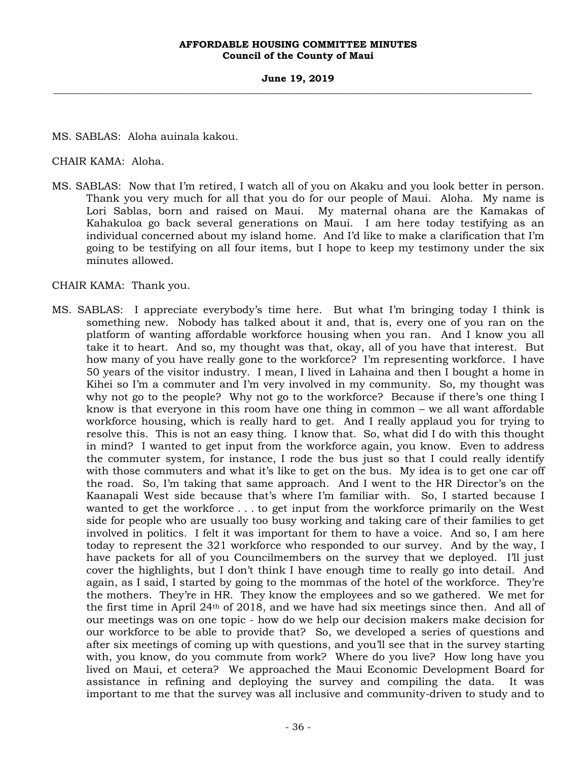**June 19, 2019 \_\_\_\_\_\_\_\_\_\_\_\_\_\_\_\_\_\_\_\_\_\_\_\_\_\_\_\_\_\_\_\_\_\_\_\_\_\_\_\_\_\_\_\_\_\_\_\_\_\_\_\_\_\_\_\_\_\_\_\_\_\_\_\_\_\_\_\_\_\_\_\_\_\_\_\_\_\_\_\_\_\_\_\_\_\_\_\_\_\_\_\_\_\_\_\_\_\_\_** 

MS. SABLAS: Aloha auinala kakou.

CHAIR KAMA: Aloha.

MS. SABLAS: Now that I'm retired, I watch all of you on Akaku and you look better in person. Thank you very much for all that you do for our people of Maui. Aloha. My name is Lori Sablas, born and raised on Maui. My maternal ohana are the Kamakas of Kahakuloa go back several generations on Maui. I am here today testifying as an individual concerned about my island home. And I'd like to make a clarification that I'm going to be testifying on all four items, but I hope to keep my testimony under the six minutes allowed.

CHAIR KAMA: Thank you.

MS. SABLAS: I appreciate everybody's time here. But what I'm bringing today I think is something new. Nobody has talked about it and, that is, every one of you ran on the platform of wanting affordable workforce housing when you ran. And I know you all take it to heart. And so, my thought was that, okay, all of you have that interest. But how many of you have really gone to the workforce? I'm representing workforce. I have 50 years of the visitor industry. I mean, I lived in Lahaina and then I bought a home in Kihei so I'm a commuter and I'm very involved in my community. So, my thought was why not go to the people? Why not go to the workforce? Because if there's one thing I know is that everyone in this room have one thing in common – we all want affordable workforce housing, which is really hard to get. And I really applaud you for trying to resolve this. This is not an easy thing. I know that. So, what did I do with this thought in mind? I wanted to get input from the workforce again, you know. Even to address the commuter system, for instance, I rode the bus just so that I could really identify with those commuters and what it's like to get on the bus. My idea is to get one car off the road. So, I'm taking that same approach. And I went to the HR Director's on the Kaanapali West side because that's where I'm familiar with. So, I started because I wanted to get the workforce . . . to get input from the workforce primarily on the West side for people who are usually too busy working and taking care of their families to get involved in politics. I felt it was important for them to have a voice. And so, I am here today to represent the 321 workforce who responded to our survey. And by the way, I have packets for all of you Councilmembers on the survey that we deployed. I'll just cover the highlights, but I don't think I have enough time to really go into detail. And again, as I said, I started by going to the mommas of the hotel of the workforce. They're the mothers. They're in HR. They know the employees and so we gathered. We met for the first time in April 24th of 2018, and we have had six meetings since then. And all of our meetings was on one topic - how do we help our decision makers make decision for our workforce to be able to provide that? So, we developed a series of questions and after six meetings of coming up with questions, and you'll see that in the survey starting with, you know, do you commute from work? Where do you live? How long have you lived on Maui, et cetera? We approached the Maui Economic Development Board for assistance in refining and deploying the survey and compiling the data. It was important to me that the survey was all inclusive and community-driven to study and to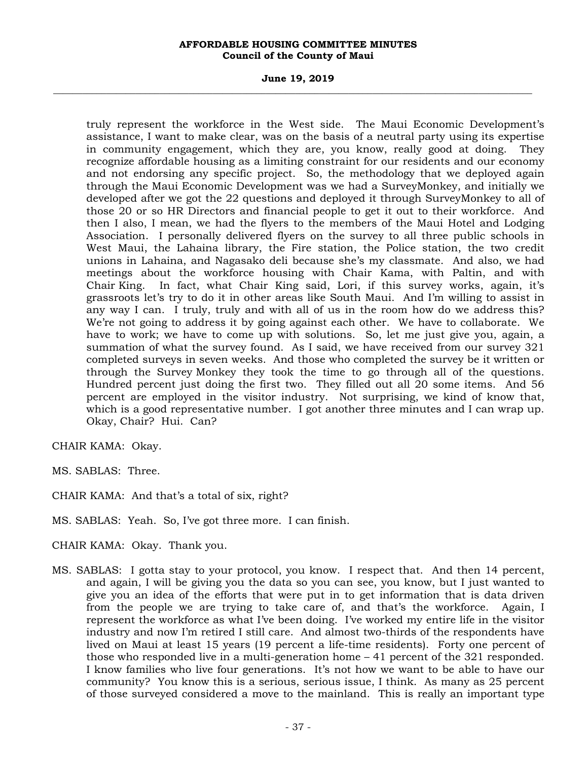### **June 19, 2019 \_\_\_\_\_\_\_\_\_\_\_\_\_\_\_\_\_\_\_\_\_\_\_\_\_\_\_\_\_\_\_\_\_\_\_\_\_\_\_\_\_\_\_\_\_\_\_\_\_\_\_\_\_\_\_\_\_\_\_\_\_\_\_\_\_\_\_\_\_\_\_\_\_\_\_\_\_\_\_\_\_\_\_\_\_\_\_\_\_\_\_\_\_\_\_\_\_\_\_**

truly represent the workforce in the West side. The Maui Economic Development's assistance, I want to make clear, was on the basis of a neutral party using its expertise in community engagement, which they are, you know, really good at doing. They recognize affordable housing as a limiting constraint for our residents and our economy and not endorsing any specific project. So, the methodology that we deployed again through the Maui Economic Development was we had a SurveyMonkey, and initially we developed after we got the 22 questions and deployed it through SurveyMonkey to all of those 20 or so HR Directors and financial people to get it out to their workforce. And then I also, I mean, we had the flyers to the members of the Maui Hotel and Lodging Association. I personally delivered flyers on the survey to all three public schools in West Maui, the Lahaina library, the Fire station, the Police station, the two credit unions in Lahaina, and Nagasako deli because she's my classmate. And also, we had meetings about the workforce housing with Chair Kama, with Paltin, and with Chair King. In fact, what Chair King said, Lori, if this survey works, again, it's grassroots let's try to do it in other areas like South Maui. And I'm willing to assist in any way I can. I truly, truly and with all of us in the room how do we address this? We're not going to address it by going against each other. We have to collaborate. We have to work; we have to come up with solutions. So, let me just give you, again, a summation of what the survey found. As I said, we have received from our survey 321 completed surveys in seven weeks. And those who completed the survey be it written or through the Survey Monkey they took the time to go through all of the questions. Hundred percent just doing the first two. They filled out all 20 some items. And 56 percent are employed in the visitor industry. Not surprising, we kind of know that, which is a good representative number. I got another three minutes and I can wrap up. Okay, Chair? Hui. Can?

CHAIR KAMA: Okay.

- MS. SABLAS: Three.
- CHAIR KAMA: And that's a total of six, right?
- MS. SABLAS: Yeah. So, I've got three more. I can finish.
- CHAIR KAMA: Okay. Thank you.
- MS. SABLAS: I gotta stay to your protocol, you know. I respect that. And then 14 percent, and again, I will be giving you the data so you can see, you know, but I just wanted to give you an idea of the efforts that were put in to get information that is data driven from the people we are trying to take care of, and that's the workforce. Again, I represent the workforce as what I've been doing. I've worked my entire life in the visitor industry and now I'm retired I still care. And almost two-thirds of the respondents have lived on Maui at least 15 years (19 percent a life-time residents). Forty one percent of those who responded live in a multi-generation home – 41 percent of the 321 responded. I know families who live four generations. It's not how we want to be able to have our community? You know this is a serious, serious issue, I think. As many as 25 percent of those surveyed considered a move to the mainland. This is really an important type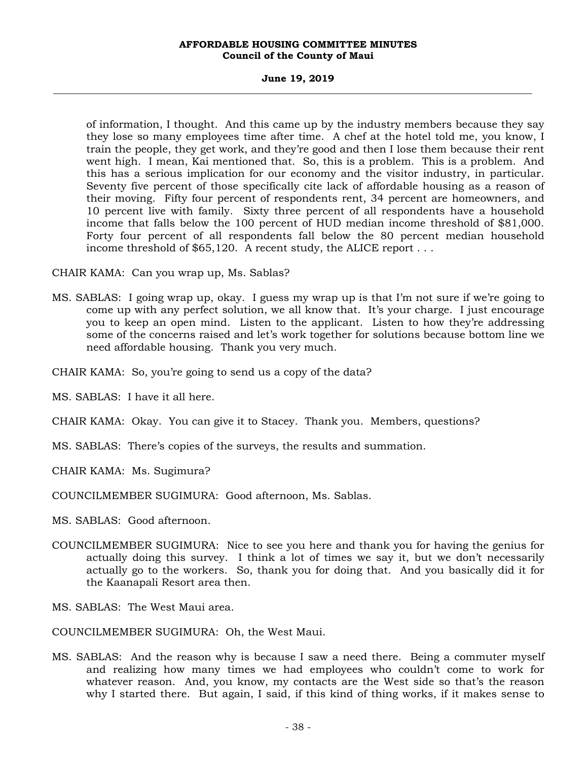### **June 19, 2019 \_\_\_\_\_\_\_\_\_\_\_\_\_\_\_\_\_\_\_\_\_\_\_\_\_\_\_\_\_\_\_\_\_\_\_\_\_\_\_\_\_\_\_\_\_\_\_\_\_\_\_\_\_\_\_\_\_\_\_\_\_\_\_\_\_\_\_\_\_\_\_\_\_\_\_\_\_\_\_\_\_\_\_\_\_\_\_\_\_\_\_\_\_\_\_\_\_\_\_**

of information, I thought. And this came up by the industry members because they say they lose so many employees time after time. A chef at the hotel told me, you know, I train the people, they get work, and they're good and then I lose them because their rent went high. I mean, Kai mentioned that. So, this is a problem. This is a problem. And this has a serious implication for our economy and the visitor industry, in particular. Seventy five percent of those specifically cite lack of affordable housing as a reason of their moving. Fifty four percent of respondents rent, 34 percent are homeowners, and 10 percent live with family. Sixty three percent of all respondents have a household income that falls below the 100 percent of HUD median income threshold of \$81,000. Forty four percent of all respondents fall below the 80 percent median household income threshold of \$65,120. A recent study, the ALICE report . . .

CHAIR KAMA: Can you wrap up, Ms. Sablas?

MS. SABLAS: I going wrap up, okay. I guess my wrap up is that I'm not sure if we're going to come up with any perfect solution, we all know that. It's your charge. I just encourage you to keep an open mind. Listen to the applicant. Listen to how they're addressing some of the concerns raised and let's work together for solutions because bottom line we need affordable housing. Thank you very much.

CHAIR KAMA: So, you're going to send us a copy of the data?

MS. SABLAS: I have it all here.

CHAIR KAMA: Okay. You can give it to Stacey. Thank you. Members, questions?

MS. SABLAS: There's copies of the surveys, the results and summation.

CHAIR KAMA: Ms. Sugimura?

COUNCILMEMBER SUGIMURA: Good afternoon, Ms. Sablas.

MS. SABLAS: Good afternoon.

COUNCILMEMBER SUGIMURA: Nice to see you here and thank you for having the genius for actually doing this survey. I think a lot of times we say it, but we don't necessarily actually go to the workers. So, thank you for doing that. And you basically did it for the Kaanapali Resort area then.

MS. SABLAS: The West Maui area.

COUNCILMEMBER SUGIMURA: Oh, the West Maui.

MS. SABLAS: And the reason why is because I saw a need there. Being a commuter myself and realizing how many times we had employees who couldn't come to work for whatever reason. And, you know, my contacts are the West side so that's the reason why I started there. But again, I said, if this kind of thing works, if it makes sense to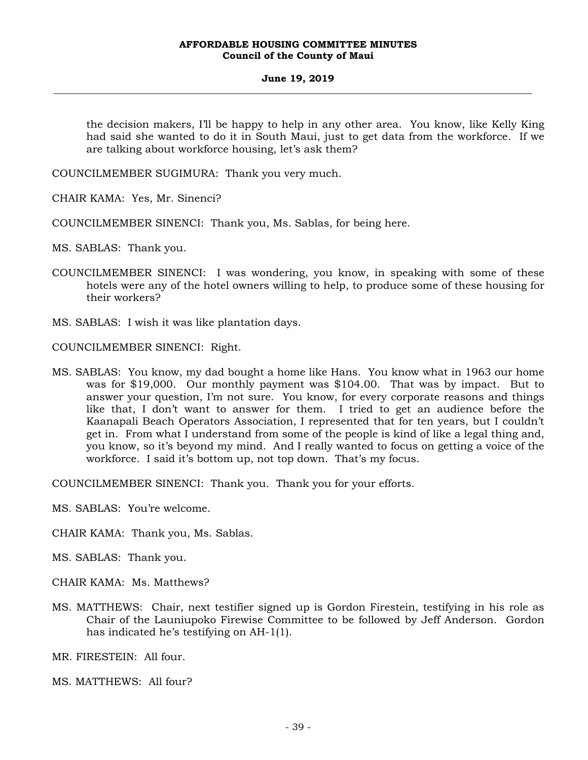### **June 19, 2019 \_\_\_\_\_\_\_\_\_\_\_\_\_\_\_\_\_\_\_\_\_\_\_\_\_\_\_\_\_\_\_\_\_\_\_\_\_\_\_\_\_\_\_\_\_\_\_\_\_\_\_\_\_\_\_\_\_\_\_\_\_\_\_\_\_\_\_\_\_\_\_\_\_\_\_\_\_\_\_\_\_\_\_\_\_\_\_\_\_\_\_\_\_\_\_\_\_\_\_**

the decision makers, I'll be happy to help in any other area. You know, like Kelly King had said she wanted to do it in South Maui, just to get data from the workforce. If we are talking about workforce housing, let's ask them?

COUNCILMEMBER SUGIMURA: Thank you very much.

CHAIR KAMA: Yes, Mr. Sinenci?

COUNCILMEMBER SINENCI: Thank you, Ms. Sablas, for being here.

MS. SABLAS: Thank you.

- COUNCILMEMBER SINENCI: I was wondering, you know, in speaking with some of these hotels were any of the hotel owners willing to help, to produce some of these housing for their workers?
- MS. SABLAS: I wish it was like plantation days.

COUNCILMEMBER SINENCI: Right.

MS. SABLAS: You know, my dad bought a home like Hans. You know what in 1963 our home was for \$19,000. Our monthly payment was \$104.00. That was by impact. But to answer your question, I'm not sure. You know, for every corporate reasons and things like that, I don't want to answer for them. I tried to get an audience before the Kaanapali Beach Operators Association, I represented that for ten years, but I couldn't get in. From what I understand from some of the people is kind of like a legal thing and, you know, so it's beyond my mind. And I really wanted to focus on getting a voice of the workforce. I said it's bottom up, not top down. That's my focus.

COUNCILMEMBER SINENCI: Thank you. Thank you for your efforts.

- MS. SABLAS: You're welcome.
- CHAIR KAMA: Thank you, Ms. Sablas.
- MS. SABLAS: Thank you.
- CHAIR KAMA: Ms. Matthews?
- MS. MATTHEWS: Chair, next testifier signed up is Gordon Firestein, testifying in his role as Chair of the Launiupoko Firewise Committee to be followed by Jeff Anderson. Gordon has indicated he's testifying on AH-1(1).

MR. FIRESTEIN: All four.

MS. MATTHEWS: All four?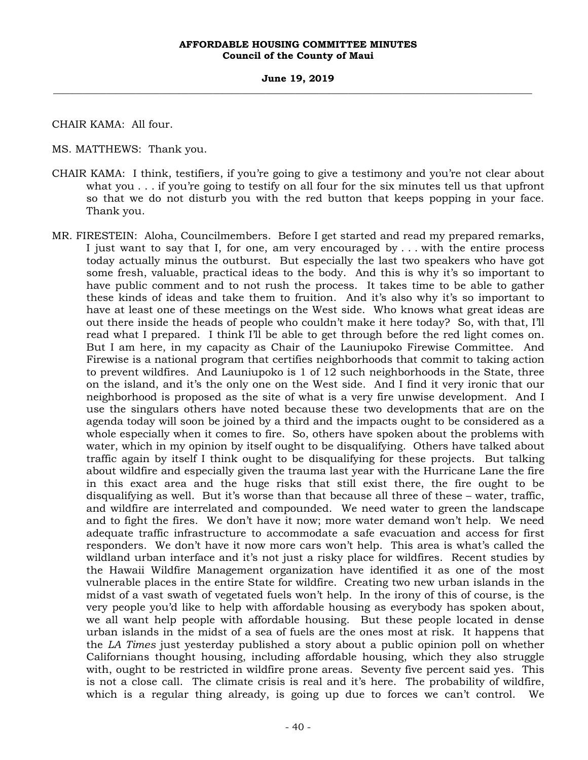CHAIR KAMA: All four.

MS. MATTHEWS: Thank you.

- CHAIR KAMA: I think, testifiers, if you're going to give a testimony and you're not clear about what you . . . if you're going to testify on all four for the six minutes tell us that upfront so that we do not disturb you with the red button that keeps popping in your face. Thank you.
- MR. FIRESTEIN: Aloha, Councilmembers. Before I get started and read my prepared remarks, I just want to say that I, for one, am very encouraged by . . . with the entire process today actually minus the outburst. But especially the last two speakers who have got some fresh, valuable, practical ideas to the body. And this is why it's so important to have public comment and to not rush the process. It takes time to be able to gather these kinds of ideas and take them to fruition. And it's also why it's so important to have at least one of these meetings on the West side. Who knows what great ideas are out there inside the heads of people who couldn't make it here today? So, with that, I'll read what I prepared. I think I'll be able to get through before the red light comes on. But I am here, in my capacity as Chair of the Launiupoko Firewise Committee. And Firewise is a national program that certifies neighborhoods that commit to taking action to prevent wildfires. And Launiupoko is 1 of 12 such neighborhoods in the State, three on the island, and it's the only one on the West side. And I find it very ironic that our neighborhood is proposed as the site of what is a very fire unwise development. And I use the singulars others have noted because these two developments that are on the agenda today will soon be joined by a third and the impacts ought to be considered as a whole especially when it comes to fire. So, others have spoken about the problems with water, which in my opinion by itself ought to be disqualifying. Others have talked about traffic again by itself I think ought to be disqualifying for these projects. But talking about wildfire and especially given the trauma last year with the Hurricane Lane the fire in this exact area and the huge risks that still exist there, the fire ought to be disqualifying as well. But it's worse than that because all three of these – water, traffic, and wildfire are interrelated and compounded. We need water to green the landscape and to fight the fires. We don't have it now; more water demand won't help. We need adequate traffic infrastructure to accommodate a safe evacuation and access for first responders. We don't have it now more cars won't help. This area is what's called the wildland urban interface and it's not just a risky place for wildfires. Recent studies by the Hawaii Wildfire Management organization have identified it as one of the most vulnerable places in the entire State for wildfire. Creating two new urban islands in the midst of a vast swath of vegetated fuels won't help. In the irony of this of course, is the very people you'd like to help with affordable housing as everybody has spoken about, we all want help people with affordable housing. But these people located in dense urban islands in the midst of a sea of fuels are the ones most at risk. It happens that the *LA Times* just yesterday published a story about a public opinion poll on whether Californians thought housing, including affordable housing, which they also struggle with, ought to be restricted in wildfire prone areas. Seventy five percent said yes. This is not a close call. The climate crisis is real and it's here. The probability of wildfire, which is a regular thing already, is going up due to forces we can't control. We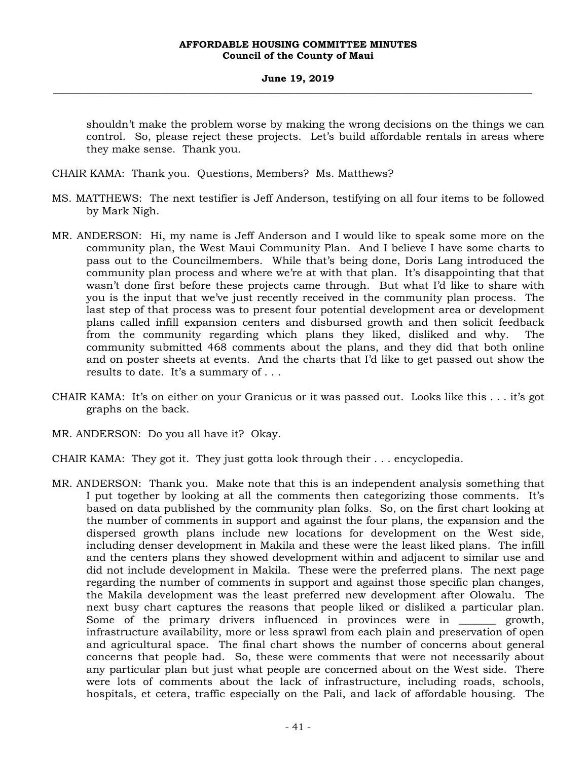shouldn't make the problem worse by making the wrong decisions on the things we can control. So, please reject these projects. Let's build affordable rentals in areas where they make sense. Thank you.

CHAIR KAMA: Thank you. Questions, Members? Ms. Matthews?

- MS. MATTHEWS: The next testifier is Jeff Anderson, testifying on all four items to be followed by Mark Nigh.
- MR. ANDERSON: Hi, my name is Jeff Anderson and I would like to speak some more on the community plan, the West Maui Community Plan. And I believe I have some charts to pass out to the Councilmembers. While that's being done, Doris Lang introduced the community plan process and where we're at with that plan. It's disappointing that that wasn't done first before these projects came through. But what I'd like to share with you is the input that we've just recently received in the community plan process. The last step of that process was to present four potential development area or development plans called infill expansion centers and disbursed growth and then solicit feedback from the community regarding which plans they liked, disliked and why. The community submitted 468 comments about the plans, and they did that both online and on poster sheets at events. And the charts that I'd like to get passed out show the results to date. It's a summary of . . .
- CHAIR KAMA: It's on either on your Granicus or it was passed out. Looks like this . . . it's got graphs on the back.
- MR. ANDERSON: Do you all have it? Okay.
- CHAIR KAMA: They got it. They just gotta look through their . . . encyclopedia.
- MR. ANDERSON: Thank you. Make note that this is an independent analysis something that I put together by looking at all the comments then categorizing those comments. It's based on data published by the community plan folks. So, on the first chart looking at the number of comments in support and against the four plans, the expansion and the dispersed growth plans include new locations for development on the West side, including denser development in Makila and these were the least liked plans. The infill and the centers plans they showed development within and adjacent to similar use and did not include development in Makila. These were the preferred plans. The next page regarding the number of comments in support and against those specific plan changes, the Makila development was the least preferred new development after Olowalu. The next busy chart captures the reasons that people liked or disliked a particular plan. Some of the primary drivers influenced in provinces were in growth, infrastructure availability, more or less sprawl from each plain and preservation of open and agricultural space. The final chart shows the number of concerns about general concerns that people had. So, these were comments that were not necessarily about any particular plan but just what people are concerned about on the West side. There were lots of comments about the lack of infrastructure, including roads, schools, hospitals, et cetera, traffic especially on the Pali, and lack of affordable housing. The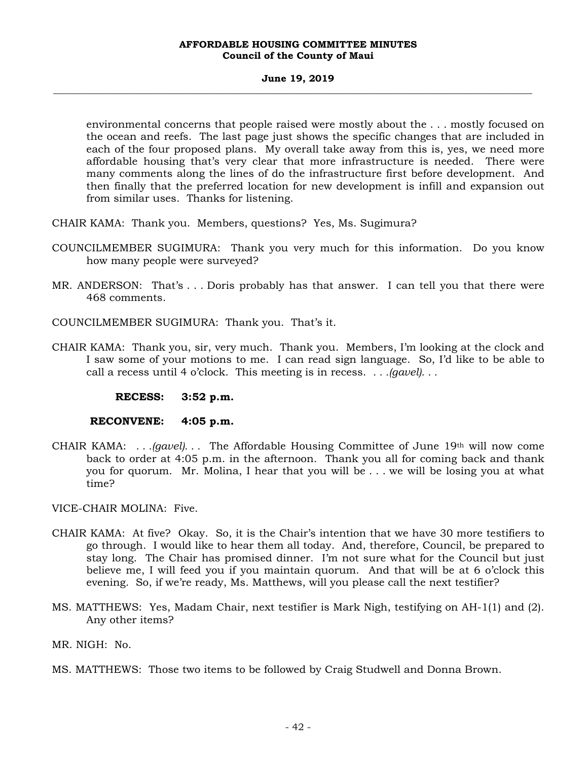### **June 19, 2019 \_\_\_\_\_\_\_\_\_\_\_\_\_\_\_\_\_\_\_\_\_\_\_\_\_\_\_\_\_\_\_\_\_\_\_\_\_\_\_\_\_\_\_\_\_\_\_\_\_\_\_\_\_\_\_\_\_\_\_\_\_\_\_\_\_\_\_\_\_\_\_\_\_\_\_\_\_\_\_\_\_\_\_\_\_\_\_\_\_\_\_\_\_\_\_\_\_\_\_**

environmental concerns that people raised were mostly about the . . . mostly focused on the ocean and reefs. The last page just shows the specific changes that are included in each of the four proposed plans. My overall take away from this is, yes, we need more affordable housing that's very clear that more infrastructure is needed. There were many comments along the lines of do the infrastructure first before development. And then finally that the preferred location for new development is infill and expansion out from similar uses. Thanks for listening.

CHAIR KAMA: Thank you. Members, questions? Yes, Ms. Sugimura?

- COUNCILMEMBER SUGIMURA: Thank you very much for this information. Do you know how many people were surveyed?
- MR. ANDERSON: That's . . . Doris probably has that answer. I can tell you that there were 468 comments.
- COUNCILMEMBER SUGIMURA: Thank you. That's it.
- CHAIR KAMA: Thank you, sir, very much. Thank you. Members, I'm looking at the clock and I saw some of your motions to me. I can read sign language. So, I'd like to be able to call a recess until 4 o'clock. This meeting is in recess. *. . .(gavel). . .*

**RECESS: 3:52 p.m.** 

# **RECONVENE: 4:05 p.m.**

CHAIR KAMA: *. . .(gavel). . .* The Affordable Housing Committee of June 19th will now come back to order at 4:05 p.m. in the afternoon. Thank you all for coming back and thank you for quorum. Mr. Molina, I hear that you will be . . . we will be losing you at what time?

VICE-CHAIR MOLINA: Five.

- CHAIR KAMA: At five? Okay. So, it is the Chair's intention that we have 30 more testifiers to go through. I would like to hear them all today. And, therefore, Council, be prepared to stay long. The Chair has promised dinner. I'm not sure what for the Council but just believe me, I will feed you if you maintain quorum. And that will be at 6 o'clock this evening. So, if we're ready, Ms. Matthews, will you please call the next testifier?
- MS. MATTHEWS: Yes, Madam Chair, next testifier is Mark Nigh, testifying on AH-1(1) and (2). Any other items?

MR. NIGH: No.

MS. MATTHEWS: Those two items to be followed by Craig Studwell and Donna Brown.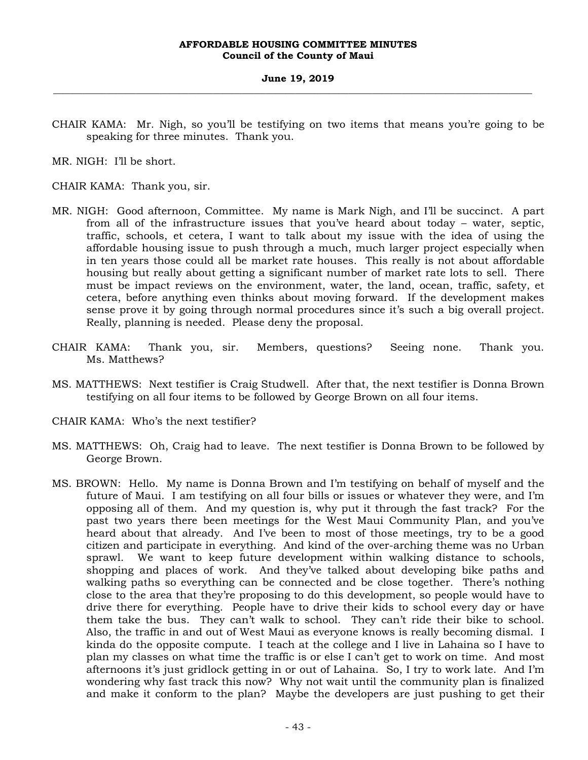CHAIR KAMA: Mr. Nigh, so you'll be testifying on two items that means you're going to be speaking for three minutes. Thank you.

MR. NIGH: I'll be short.

CHAIR KAMA: Thank you, sir.

- MR. NIGH: Good afternoon, Committee. My name is Mark Nigh, and I'll be succinct. A part from all of the infrastructure issues that you've heard about today – water, septic, traffic, schools, et cetera, I want to talk about my issue with the idea of using the affordable housing issue to push through a much, much larger project especially when in ten years those could all be market rate houses. This really is not about affordable housing but really about getting a significant number of market rate lots to sell. There must be impact reviews on the environment, water, the land, ocean, traffic, safety, et cetera, before anything even thinks about moving forward. If the development makes sense prove it by going through normal procedures since it's such a big overall project. Really, planning is needed. Please deny the proposal.
- CHAIR KAMA: Thank you, sir. Members, questions? Seeing none. Thank you. Ms. Matthews?
- MS. MATTHEWS: Next testifier is Craig Studwell. After that, the next testifier is Donna Brown testifying on all four items to be followed by George Brown on all four items.
- CHAIR KAMA: Who's the next testifier?
- MS. MATTHEWS: Oh, Craig had to leave. The next testifier is Donna Brown to be followed by George Brown.
- MS. BROWN: Hello. My name is Donna Brown and I'm testifying on behalf of myself and the future of Maui. I am testifying on all four bills or issues or whatever they were, and I'm opposing all of them. And my question is, why put it through the fast track? For the past two years there been meetings for the West Maui Community Plan, and you've heard about that already. And I've been to most of those meetings, try to be a good citizen and participate in everything. And kind of the over-arching theme was no Urban sprawl. We want to keep future development within walking distance to schools, shopping and places of work. And they've talked about developing bike paths and walking paths so everything can be connected and be close together. There's nothing close to the area that they're proposing to do this development, so people would have to drive there for everything. People have to drive their kids to school every day or have them take the bus. They can't walk to school. They can't ride their bike to school. Also, the traffic in and out of West Maui as everyone knows is really becoming dismal. I kinda do the opposite compute. I teach at the college and I live in Lahaina so I have to plan my classes on what time the traffic is or else I can't get to work on time. And most afternoons it's just gridlock getting in or out of Lahaina. So, I try to work late. And I'm wondering why fast track this now? Why not wait until the community plan is finalized and make it conform to the plan? Maybe the developers are just pushing to get their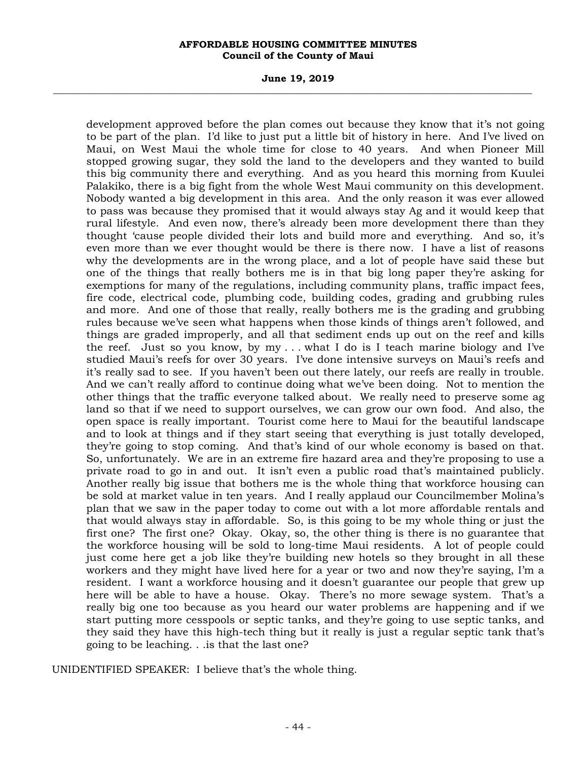### **June 19, 2019 \_\_\_\_\_\_\_\_\_\_\_\_\_\_\_\_\_\_\_\_\_\_\_\_\_\_\_\_\_\_\_\_\_\_\_\_\_\_\_\_\_\_\_\_\_\_\_\_\_\_\_\_\_\_\_\_\_\_\_\_\_\_\_\_\_\_\_\_\_\_\_\_\_\_\_\_\_\_\_\_\_\_\_\_\_\_\_\_\_\_\_\_\_\_\_\_\_\_\_**

development approved before the plan comes out because they know that it's not going to be part of the plan. I'd like to just put a little bit of history in here. And I've lived on Maui, on West Maui the whole time for close to 40 years. And when Pioneer Mill stopped growing sugar, they sold the land to the developers and they wanted to build this big community there and everything. And as you heard this morning from Kuulei Palakiko, there is a big fight from the whole West Maui community on this development. Nobody wanted a big development in this area. And the only reason it was ever allowed to pass was because they promised that it would always stay Ag and it would keep that rural lifestyle. And even now, there's already been more development there than they thought 'cause people divided their lots and build more and everything. And so, it's even more than we ever thought would be there is there now. I have a list of reasons why the developments are in the wrong place, and a lot of people have said these but one of the things that really bothers me is in that big long paper they're asking for exemptions for many of the regulations, including community plans, traffic impact fees, fire code, electrical code, plumbing code, building codes, grading and grubbing rules and more. And one of those that really, really bothers me is the grading and grubbing rules because we've seen what happens when those kinds of things aren't followed, and things are graded improperly, and all that sediment ends up out on the reef and kills the reef. Just so you know, by  $my \dots$  what I do is I teach marine biology and I've studied Maui's reefs for over 30 years. I've done intensive surveys on Maui's reefs and it's really sad to see. If you haven't been out there lately, our reefs are really in trouble. And we can't really afford to continue doing what we've been doing. Not to mention the other things that the traffic everyone talked about. We really need to preserve some ag land so that if we need to support ourselves, we can grow our own food. And also, the open space is really important. Tourist come here to Maui for the beautiful landscape and to look at things and if they start seeing that everything is just totally developed, they're going to stop coming. And that's kind of our whole economy is based on that. So, unfortunately. We are in an extreme fire hazard area and they're proposing to use a private road to go in and out. It isn't even a public road that's maintained publicly. Another really big issue that bothers me is the whole thing that workforce housing can be sold at market value in ten years. And I really applaud our Councilmember Molina's plan that we saw in the paper today to come out with a lot more affordable rentals and that would always stay in affordable. So, is this going to be my whole thing or just the first one? The first one? Okay. Okay, so, the other thing is there is no guarantee that the workforce housing will be sold to long-time Maui residents. A lot of people could just come here get a job like they're building new hotels so they brought in all these workers and they might have lived here for a year or two and now they're saying, I'm a resident. I want a workforce housing and it doesn't guarantee our people that grew up here will be able to have a house. Okay. There's no more sewage system. That's a really big one too because as you heard our water problems are happening and if we start putting more cesspools or septic tanks, and they're going to use septic tanks, and they said they have this high-tech thing but it really is just a regular septic tank that's going to be leaching. . .is that the last one?

UNIDENTIFIED SPEAKER: I believe that's the whole thing.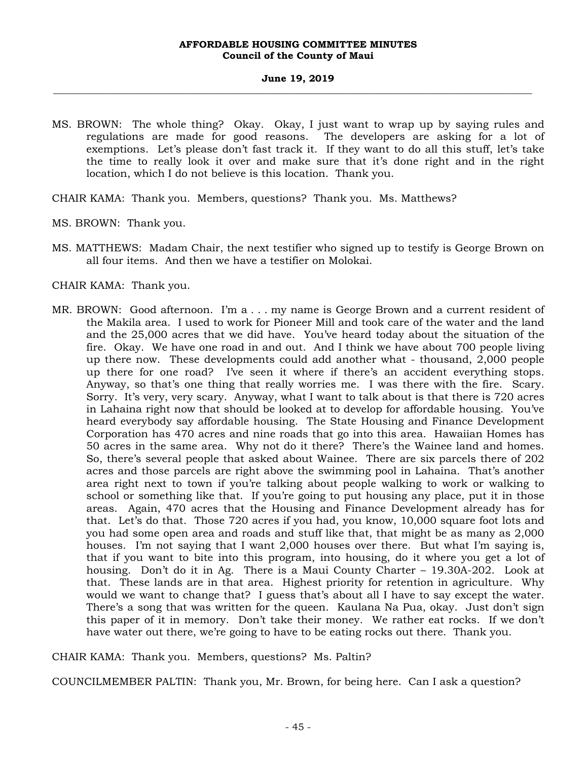- MS. BROWN: The whole thing? Okay. Okay, I just want to wrap up by saying rules and regulations are made for good reasons. The developers are asking for a lot of exemptions. Let's please don't fast track it. If they want to do all this stuff, let's take the time to really look it over and make sure that it's done right and in the right location, which I do not believe is this location. Thank you.
- CHAIR KAMA: Thank you. Members, questions? Thank you. Ms. Matthews?
- MS. BROWN: Thank you.
- MS. MATTHEWS: Madam Chair, the next testifier who signed up to testify is George Brown on all four items. And then we have a testifier on Molokai.
- CHAIR KAMA: Thank you.
- MR. BROWN: Good afternoon. I'm a . . . my name is George Brown and a current resident of the Makila area. I used to work for Pioneer Mill and took care of the water and the land and the 25,000 acres that we did have. You've heard today about the situation of the fire. Okay. We have one road in and out. And I think we have about 700 people living up there now. These developments could add another what - thousand, 2,000 people up there for one road? I've seen it where if there's an accident everything stops. Anyway, so that's one thing that really worries me. I was there with the fire. Scary. Sorry. It's very, very scary. Anyway, what I want to talk about is that there is 720 acres in Lahaina right now that should be looked at to develop for affordable housing. You've heard everybody say affordable housing. The State Housing and Finance Development Corporation has 470 acres and nine roads that go into this area. Hawaiian Homes has 50 acres in the same area. Why not do it there? There's the Wainee land and homes. So, there's several people that asked about Wainee. There are six parcels there of 202 acres and those parcels are right above the swimming pool in Lahaina. That's another area right next to town if you're talking about people walking to work or walking to school or something like that. If you're going to put housing any place, put it in those areas. Again, 470 acres that the Housing and Finance Development already has for that. Let's do that. Those 720 acres if you had, you know, 10,000 square foot lots and you had some open area and roads and stuff like that, that might be as many as 2,000 houses. I'm not saying that I want 2,000 houses over there. But what I'm saying is, that if you want to bite into this program, into housing, do it where you get a lot of housing. Don't do it in Ag. There is a Maui County Charter – 19.30A-202. Look at that. These lands are in that area. Highest priority for retention in agriculture. Why would we want to change that? I guess that's about all I have to say except the water. There's a song that was written for the queen. Kaulana Na Pua, okay. Just don't sign this paper of it in memory. Don't take their money. We rather eat rocks. If we don't have water out there, we're going to have to be eating rocks out there. Thank you.

# CHAIR KAMA: Thank you. Members, questions? Ms. Paltin?

COUNCILMEMBER PALTIN: Thank you, Mr. Brown, for being here. Can I ask a question?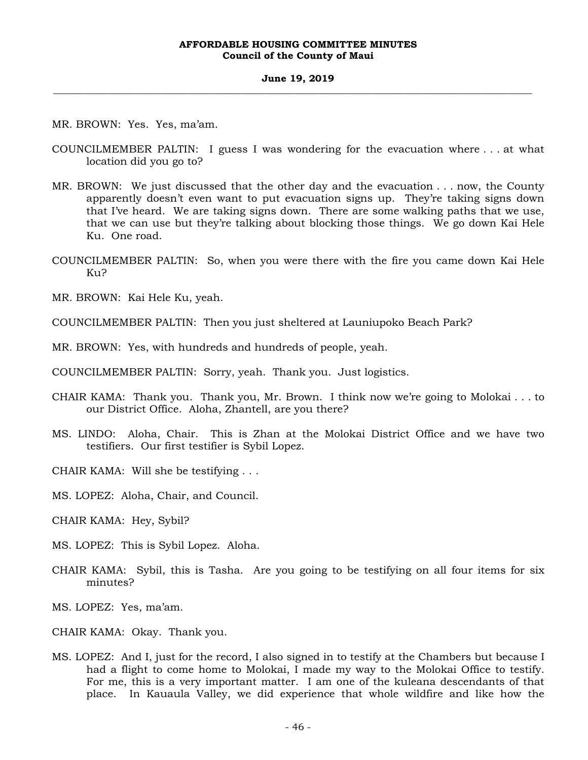MR. BROWN: Yes. Yes, ma'am.

- COUNCILMEMBER PALTIN: I guess I was wondering for the evacuation where . . . at what location did you go to?
- MR. BROWN: We just discussed that the other day and the evacuation . . . now, the County apparently doesn't even want to put evacuation signs up. They're taking signs down that I've heard. We are taking signs down. There are some walking paths that we use, that we can use but they're talking about blocking those things. We go down Kai Hele Ku. One road.
- COUNCILMEMBER PALTIN: So, when you were there with the fire you came down Kai Hele Ku?
- MR. BROWN: Kai Hele Ku, yeah.

COUNCILMEMBER PALTIN: Then you just sheltered at Launiupoko Beach Park?

MR. BROWN: Yes, with hundreds and hundreds of people, yeah.

COUNCILMEMBER PALTIN: Sorry, yeah. Thank you. Just logistics.

- CHAIR KAMA: Thank you. Thank you, Mr. Brown. I think now we're going to Molokai . . . to our District Office. Aloha, Zhantell, are you there?
- MS. LINDO: Aloha, Chair. This is Zhan at the Molokai District Office and we have two testifiers. Our first testifier is Sybil Lopez.

CHAIR KAMA: Will she be testifying . . .

MS. LOPEZ: Aloha, Chair, and Council.

CHAIR KAMA: Hey, Sybil?

- MS. LOPEZ: This is Sybil Lopez. Aloha.
- CHAIR KAMA: Sybil, this is Tasha. Are you going to be testifying on all four items for six minutes?
- MS. LOPEZ: Yes, ma'am.
- CHAIR KAMA: Okay. Thank you.
- MS. LOPEZ: And I, just for the record, I also signed in to testify at the Chambers but because I had a flight to come home to Molokai, I made my way to the Molokai Office to testify. For me, this is a very important matter. I am one of the kuleana descendants of that place. In Kauaula Valley, we did experience that whole wildfire and like how the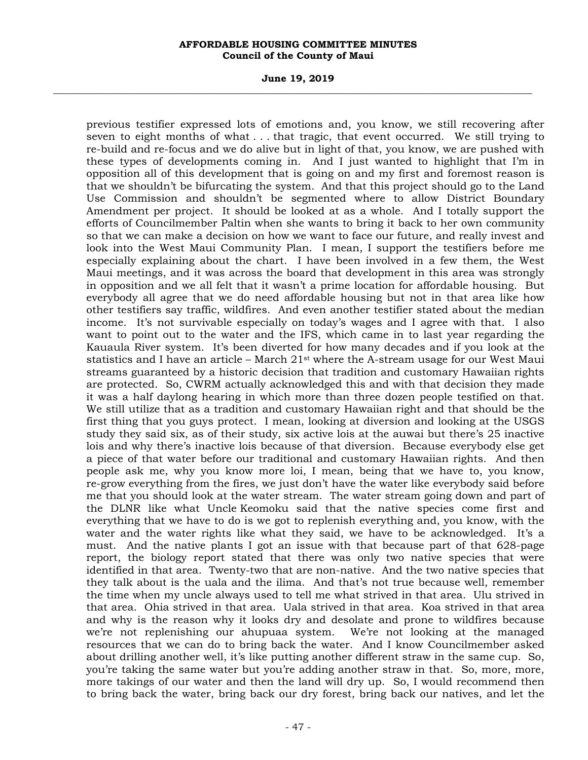### **June 19, 2019 \_\_\_\_\_\_\_\_\_\_\_\_\_\_\_\_\_\_\_\_\_\_\_\_\_\_\_\_\_\_\_\_\_\_\_\_\_\_\_\_\_\_\_\_\_\_\_\_\_\_\_\_\_\_\_\_\_\_\_\_\_\_\_\_\_\_\_\_\_\_\_\_\_\_\_\_\_\_\_\_\_\_\_\_\_\_\_\_\_\_\_\_\_\_\_\_\_\_\_**

previous testifier expressed lots of emotions and, you know, we still recovering after seven to eight months of what . . . that tragic, that event occurred. We still trying to re-build and re-focus and we do alive but in light of that, you know, we are pushed with these types of developments coming in. And I just wanted to highlight that I'm in opposition all of this development that is going on and my first and foremost reason is that we shouldn't be bifurcating the system. And that this project should go to the Land Use Commission and shouldn't be segmented where to allow District Boundary Amendment per project. It should be looked at as a whole. And I totally support the efforts of Councilmember Paltin when she wants to bring it back to her own community so that we can make a decision on how we want to face our future, and really invest and look into the West Maui Community Plan. I mean, I support the testifiers before me especially explaining about the chart. I have been involved in a few them, the West Maui meetings, and it was across the board that development in this area was strongly in opposition and we all felt that it wasn't a prime location for affordable housing. But everybody all agree that we do need affordable housing but not in that area like how other testifiers say traffic, wildfires. And even another testifier stated about the median income. It's not survivable especially on today's wages and I agree with that. I also want to point out to the water and the IFS, which came in to last year regarding the Kauaula River system. It's been diverted for how many decades and if you look at the statistics and I have an article – March  $21<sup>st</sup>$  where the A-stream usage for our West Maui streams guaranteed by a historic decision that tradition and customary Hawaiian rights are protected. So, CWRM actually acknowledged this and with that decision they made it was a half daylong hearing in which more than three dozen people testified on that. We still utilize that as a tradition and customary Hawaiian right and that should be the first thing that you guys protect. I mean, looking at diversion and looking at the USGS study they said six, as of their study, six active lois at the auwai but there's 25 inactive lois and why there's inactive lois because of that diversion. Because everybody else get a piece of that water before our traditional and customary Hawaiian rights. And then people ask me, why you know more loi, I mean, being that we have to, you know, re-grow everything from the fires, we just don't have the water like everybody said before me that you should look at the water stream. The water stream going down and part of the DLNR like what Uncle Keomoku said that the native species come first and everything that we have to do is we got to replenish everything and, you know, with the water and the water rights like what they said, we have to be acknowledged. It's a must. And the native plants I got an issue with that because part of that 628-page report, the biology report stated that there was only two native species that were identified in that area. Twenty-two that are non-native. And the two native species that they talk about is the uala and the ilima. And that's not true because well, remember the time when my uncle always used to tell me what strived in that area. Ulu strived in that area. Ohia strived in that area. Uala strived in that area. Koa strived in that area and why is the reason why it looks dry and desolate and prone to wildfires because we're not replenishing our ahupuaa system. We're not looking at the managed resources that we can do to bring back the water. And I know Councilmember asked about drilling another well, it's like putting another different straw in the same cup. So, you're taking the same water but you're adding another straw in that. So, more, more, more takings of our water and then the land will dry up. So, I would recommend then to bring back the water, bring back our dry forest, bring back our natives, and let the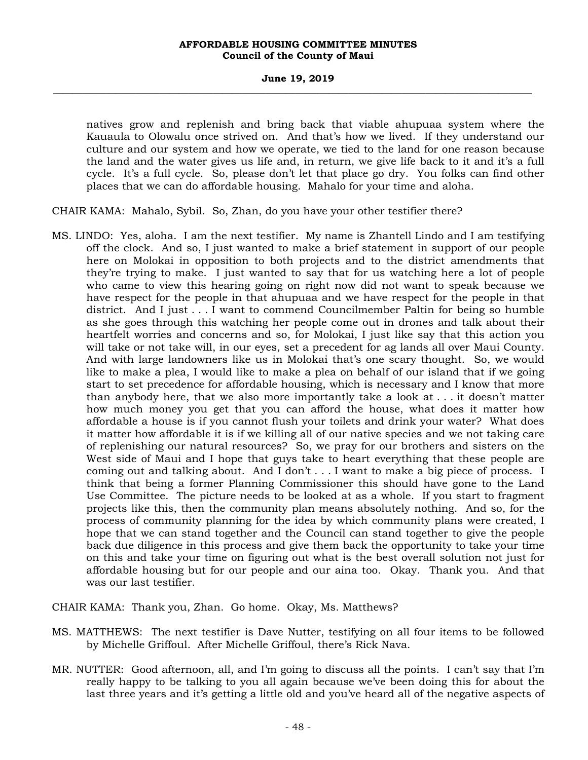### **June 19, 2019 \_\_\_\_\_\_\_\_\_\_\_\_\_\_\_\_\_\_\_\_\_\_\_\_\_\_\_\_\_\_\_\_\_\_\_\_\_\_\_\_\_\_\_\_\_\_\_\_\_\_\_\_\_\_\_\_\_\_\_\_\_\_\_\_\_\_\_\_\_\_\_\_\_\_\_\_\_\_\_\_\_\_\_\_\_\_\_\_\_\_\_\_\_\_\_\_\_\_\_**

natives grow and replenish and bring back that viable ahupuaa system where the Kauaula to Olowalu once strived on. And that's how we lived. If they understand our culture and our system and how we operate, we tied to the land for one reason because the land and the water gives us life and, in return, we give life back to it and it's a full cycle. It's a full cycle. So, please don't let that place go dry. You folks can find other places that we can do affordable housing. Mahalo for your time and aloha.

CHAIR KAMA: Mahalo, Sybil. So, Zhan, do you have your other testifier there?

MS. LINDO: Yes, aloha. I am the next testifier. My name is Zhantell Lindo and I am testifying off the clock. And so, I just wanted to make a brief statement in support of our people here on Molokai in opposition to both projects and to the district amendments that they're trying to make. I just wanted to say that for us watching here a lot of people who came to view this hearing going on right now did not want to speak because we have respect for the people in that ahupuaa and we have respect for the people in that district. And I just . . . I want to commend Councilmember Paltin for being so humble as she goes through this watching her people come out in drones and talk about their heartfelt worries and concerns and so, for Molokai, I just like say that this action you will take or not take will, in our eyes, set a precedent for ag lands all over Maui County. And with large landowners like us in Molokai that's one scary thought. So, we would like to make a plea, I would like to make a plea on behalf of our island that if we going start to set precedence for affordable housing, which is necessary and I know that more than anybody here, that we also more importantly take a look at . . . it doesn't matter how much money you get that you can afford the house, what does it matter how affordable a house is if you cannot flush your toilets and drink your water? What does it matter how affordable it is if we killing all of our native species and we not taking care of replenishing our natural resources? So, we pray for our brothers and sisters on the West side of Maui and I hope that guys take to heart everything that these people are coming out and talking about. And I don't . . . I want to make a big piece of process. I think that being a former Planning Commissioner this should have gone to the Land Use Committee. The picture needs to be looked at as a whole. If you start to fragment projects like this, then the community plan means absolutely nothing. And so, for the process of community planning for the idea by which community plans were created, I hope that we can stand together and the Council can stand together to give the people back due diligence in this process and give them back the opportunity to take your time on this and take your time on figuring out what is the best overall solution not just for affordable housing but for our people and our aina too. Okay. Thank you. And that was our last testifier.

CHAIR KAMA: Thank you, Zhan. Go home. Okay, Ms. Matthews?

- MS. MATTHEWS: The next testifier is Dave Nutter, testifying on all four items to be followed by Michelle Griffoul. After Michelle Griffoul, there's Rick Nava.
- MR. NUTTER: Good afternoon, all, and I'm going to discuss all the points. I can't say that I'm really happy to be talking to you all again because we've been doing this for about the last three years and it's getting a little old and you've heard all of the negative aspects of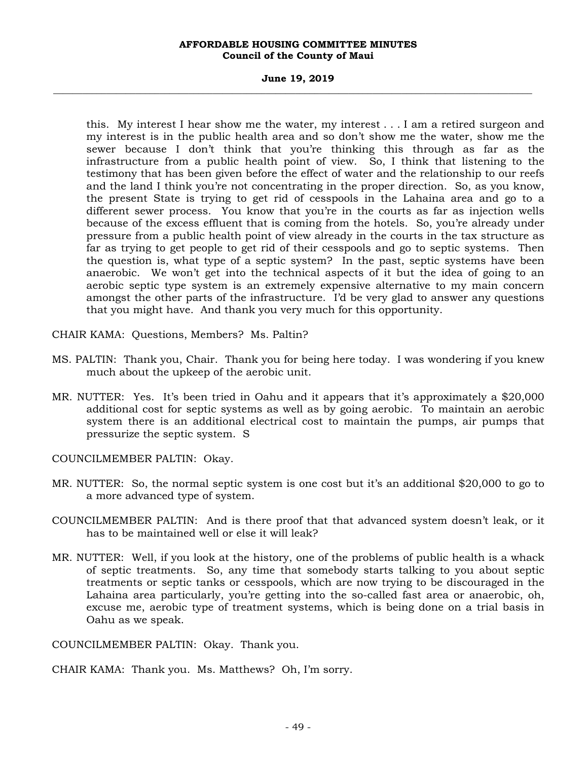### **June 19, 2019 \_\_\_\_\_\_\_\_\_\_\_\_\_\_\_\_\_\_\_\_\_\_\_\_\_\_\_\_\_\_\_\_\_\_\_\_\_\_\_\_\_\_\_\_\_\_\_\_\_\_\_\_\_\_\_\_\_\_\_\_\_\_\_\_\_\_\_\_\_\_\_\_\_\_\_\_\_\_\_\_\_\_\_\_\_\_\_\_\_\_\_\_\_\_\_\_\_\_\_**

this. My interest I hear show me the water, my interest . . . I am a retired surgeon and my interest is in the public health area and so don't show me the water, show me the sewer because I don't think that you're thinking this through as far as the infrastructure from a public health point of view. So, I think that listening to the testimony that has been given before the effect of water and the relationship to our reefs and the land I think you're not concentrating in the proper direction. So, as you know, the present State is trying to get rid of cesspools in the Lahaina area and go to a different sewer process. You know that you're in the courts as far as injection wells because of the excess effluent that is coming from the hotels. So, you're already under pressure from a public health point of view already in the courts in the tax structure as far as trying to get people to get rid of their cesspools and go to septic systems. Then the question is, what type of a septic system? In the past, septic systems have been anaerobic. We won't get into the technical aspects of it but the idea of going to an aerobic septic type system is an extremely expensive alternative to my main concern amongst the other parts of the infrastructure. I'd be very glad to answer any questions that you might have. And thank you very much for this opportunity.

CHAIR KAMA: Questions, Members? Ms. Paltin?

- MS. PALTIN: Thank you, Chair. Thank you for being here today. I was wondering if you knew much about the upkeep of the aerobic unit.
- MR. NUTTER: Yes. It's been tried in Oahu and it appears that it's approximately a \$20,000 additional cost for septic systems as well as by going aerobic. To maintain an aerobic system there is an additional electrical cost to maintain the pumps, air pumps that pressurize the septic system. S

COUNCILMEMBER PALTIN: Okay.

- MR. NUTTER: So, the normal septic system is one cost but it's an additional \$20,000 to go to a more advanced type of system.
- COUNCILMEMBER PALTIN: And is there proof that that advanced system doesn't leak, or it has to be maintained well or else it will leak?
- MR. NUTTER: Well, if you look at the history, one of the problems of public health is a whack of septic treatments. So, any time that somebody starts talking to you about septic treatments or septic tanks or cesspools, which are now trying to be discouraged in the Lahaina area particularly, you're getting into the so-called fast area or anaerobic, oh, excuse me, aerobic type of treatment systems, which is being done on a trial basis in Oahu as we speak.

COUNCILMEMBER PALTIN: Okay. Thank you.

CHAIR KAMA: Thank you. Ms. Matthews? Oh, I'm sorry.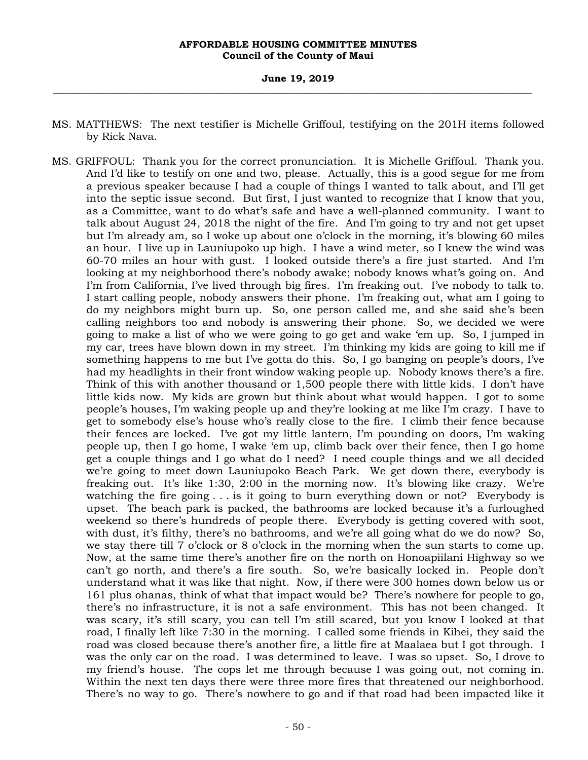### **June 19, 2019 \_\_\_\_\_\_\_\_\_\_\_\_\_\_\_\_\_\_\_\_\_\_\_\_\_\_\_\_\_\_\_\_\_\_\_\_\_\_\_\_\_\_\_\_\_\_\_\_\_\_\_\_\_\_\_\_\_\_\_\_\_\_\_\_\_\_\_\_\_\_\_\_\_\_\_\_\_\_\_\_\_\_\_\_\_\_\_\_\_\_\_\_\_\_\_\_\_\_\_**

- MS. MATTHEWS: The next testifier is Michelle Griffoul, testifying on the 201H items followed by Rick Nava.
- MS. GRIFFOUL: Thank you for the correct pronunciation. It is Michelle Griffoul. Thank you. And I'd like to testify on one and two, please. Actually, this is a good segue for me from a previous speaker because I had a couple of things I wanted to talk about, and I'll get into the septic issue second. But first, I just wanted to recognize that I know that you, as a Committee, want to do what's safe and have a well-planned community. I want to talk about August 24, 2018 the night of the fire. And I'm going to try and not get upset but I'm already am, so I woke up about one o'clock in the morning, it's blowing 60 miles an hour. I live up in Launiupoko up high. I have a wind meter, so I knew the wind was 60-70 miles an hour with gust. I looked outside there's a fire just started. And I'm looking at my neighborhood there's nobody awake; nobody knows what's going on. And I'm from California, I've lived through big fires. I'm freaking out. I've nobody to talk to. I start calling people, nobody answers their phone. I'm freaking out, what am I going to do my neighbors might burn up. So, one person called me, and she said she's been calling neighbors too and nobody is answering their phone. So, we decided we were going to make a list of who we were going to go get and wake 'em up. So, I jumped in my car, trees have blown down in my street. I'm thinking my kids are going to kill me if something happens to me but I've gotta do this. So, I go banging on people's doors, I've had my headlights in their front window waking people up. Nobody knows there's a fire. Think of this with another thousand or 1,500 people there with little kids. I don't have little kids now. My kids are grown but think about what would happen. I got to some people's houses, I'm waking people up and they're looking at me like I'm crazy. I have to get to somebody else's house who's really close to the fire. I climb their fence because their fences are locked. I've got my little lantern, I'm pounding on doors, I'm waking people up, then I go home, I wake 'em up, climb back over their fence, then I go home get a couple things and I go what do I need? I need couple things and we all decided we're going to meet down Launiupoko Beach Park. We get down there, everybody is freaking out. It's like 1:30, 2:00 in the morning now. It's blowing like crazy. We're watching the fire going . . . is it going to burn everything down or not? Everybody is upset. The beach park is packed, the bathrooms are locked because it's a furloughed weekend so there's hundreds of people there. Everybody is getting covered with soot, with dust, it's filthy, there's no bathrooms, and we're all going what do we do now? So, we stay there till 7 o'clock or 8 o'clock in the morning when the sun starts to come up. Now, at the same time there's another fire on the north on Honoapiilani Highway so we can't go north, and there's a fire south. So, we're basically locked in. People don't understand what it was like that night. Now, if there were 300 homes down below us or 161 plus ohanas, think of what that impact would be? There's nowhere for people to go, there's no infrastructure, it is not a safe environment. This has not been changed. It was scary, it's still scary, you can tell I'm still scared, but you know I looked at that road, I finally left like 7:30 in the morning. I called some friends in Kihei, they said the road was closed because there's another fire, a little fire at Maalaea but I got through. I was the only car on the road. I was determined to leave. I was so upset. So, I drove to my friend's house. The cops let me through because I was going out, not coming in. Within the next ten days there were three more fires that threatened our neighborhood. There's no way to go. There's nowhere to go and if that road had been impacted like it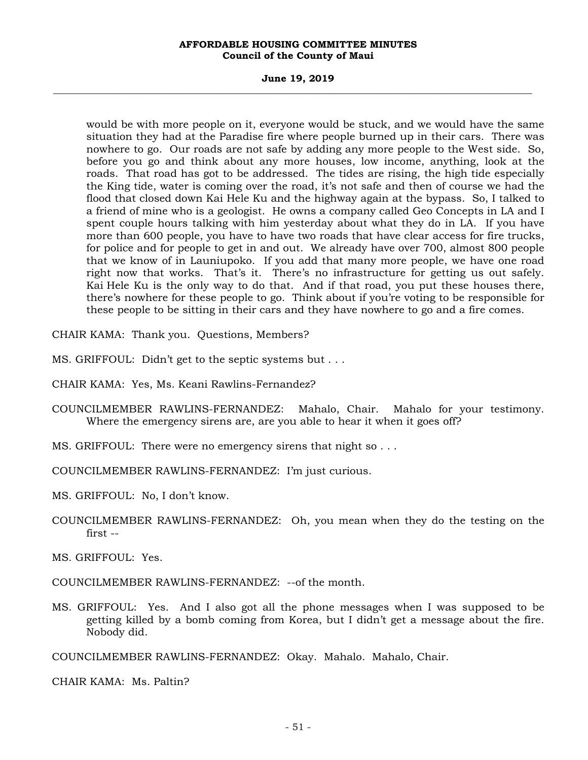### **June 19, 2019 \_\_\_\_\_\_\_\_\_\_\_\_\_\_\_\_\_\_\_\_\_\_\_\_\_\_\_\_\_\_\_\_\_\_\_\_\_\_\_\_\_\_\_\_\_\_\_\_\_\_\_\_\_\_\_\_\_\_\_\_\_\_\_\_\_\_\_\_\_\_\_\_\_\_\_\_\_\_\_\_\_\_\_\_\_\_\_\_\_\_\_\_\_\_\_\_\_\_\_**

would be with more people on it, everyone would be stuck, and we would have the same situation they had at the Paradise fire where people burned up in their cars. There was nowhere to go. Our roads are not safe by adding any more people to the West side. So, before you go and think about any more houses, low income, anything, look at the roads. That road has got to be addressed. The tides are rising, the high tide especially the King tide, water is coming over the road, it's not safe and then of course we had the flood that closed down Kai Hele Ku and the highway again at the bypass. So, I talked to a friend of mine who is a geologist. He owns a company called Geo Concepts in LA and I spent couple hours talking with him yesterday about what they do in LA. If you have more than 600 people, you have to have two roads that have clear access for fire trucks, for police and for people to get in and out. We already have over 700, almost 800 people that we know of in Launiupoko. If you add that many more people, we have one road right now that works. That's it. There's no infrastructure for getting us out safely. Kai Hele Ku is the only way to do that. And if that road, you put these houses there, there's nowhere for these people to go. Think about if you're voting to be responsible for these people to be sitting in their cars and they have nowhere to go and a fire comes.

CHAIR KAMA: Thank you. Questions, Members?

MS. GRIFFOUL: Didn't get to the septic systems but . . .

CHAIR KAMA: Yes, Ms. Keani Rawlins-Fernandez?

- COUNCILMEMBER RAWLINS-FERNANDEZ: Mahalo, Chair. Mahalo for your testimony. Where the emergency sirens are, are you able to hear it when it goes off?
- MS. GRIFFOUL: There were no emergency sirens that night so . . .

COUNCILMEMBER RAWLINS-FERNANDEZ: I'm just curious.

MS. GRIFFOUL: No, I don't know.

COUNCILMEMBER RAWLINS-FERNANDEZ: Oh, you mean when they do the testing on the first --

MS. GRIFFOUL: Yes.

COUNCILMEMBER RAWLINS-FERNANDEZ: --of the month.

MS. GRIFFOUL: Yes. And I also got all the phone messages when I was supposed to be getting killed by a bomb coming from Korea, but I didn't get a message about the fire. Nobody did.

COUNCILMEMBER RAWLINS-FERNANDEZ: Okay. Mahalo. Mahalo, Chair.

CHAIR KAMA: Ms. Paltin?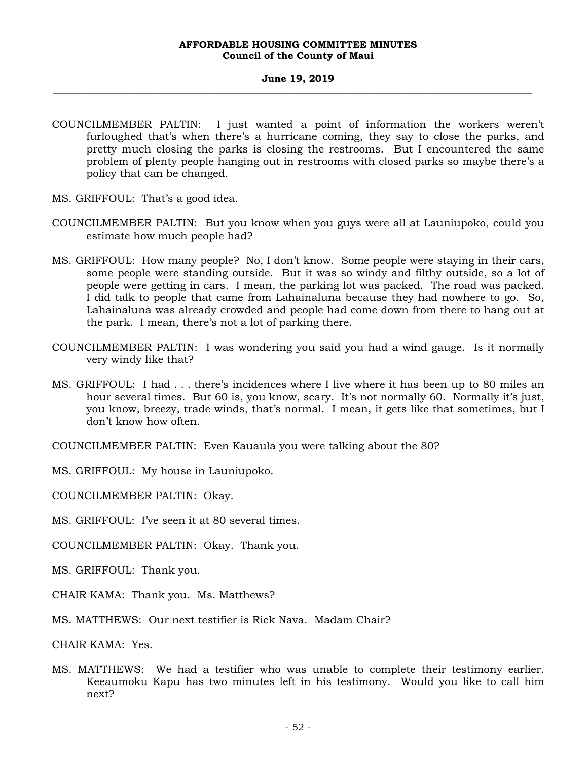### **June 19, 2019 \_\_\_\_\_\_\_\_\_\_\_\_\_\_\_\_\_\_\_\_\_\_\_\_\_\_\_\_\_\_\_\_\_\_\_\_\_\_\_\_\_\_\_\_\_\_\_\_\_\_\_\_\_\_\_\_\_\_\_\_\_\_\_\_\_\_\_\_\_\_\_\_\_\_\_\_\_\_\_\_\_\_\_\_\_\_\_\_\_\_\_\_\_\_\_\_\_\_\_**

- COUNCILMEMBER PALTIN: I just wanted a point of information the workers weren't furloughed that's when there's a hurricane coming, they say to close the parks, and pretty much closing the parks is closing the restrooms. But I encountered the same problem of plenty people hanging out in restrooms with closed parks so maybe there's a policy that can be changed.
- MS. GRIFFOUL: That's a good idea.
- COUNCILMEMBER PALTIN: But you know when you guys were all at Launiupoko, could you estimate how much people had?
- MS. GRIFFOUL: How many people? No, I don't know. Some people were staying in their cars, some people were standing outside. But it was so windy and filthy outside, so a lot of people were getting in cars. I mean, the parking lot was packed. The road was packed. I did talk to people that came from Lahainaluna because they had nowhere to go. So, Lahainaluna was already crowded and people had come down from there to hang out at the park. I mean, there's not a lot of parking there.
- COUNCILMEMBER PALTIN: I was wondering you said you had a wind gauge. Is it normally very windy like that?
- MS. GRIFFOUL: I had . . . there's incidences where I live where it has been up to 80 miles an hour several times. But 60 is, you know, scary. It's not normally 60. Normally it's just, you know, breezy, trade winds, that's normal. I mean, it gets like that sometimes, but I don't know how often.
- COUNCILMEMBER PALTIN: Even Kauaula you were talking about the 80?
- MS. GRIFFOUL: My house in Launiupoko.
- COUNCILMEMBER PALTIN: Okay.
- MS. GRIFFOUL: I've seen it at 80 several times.
- COUNCILMEMBER PALTIN: Okay. Thank you.
- MS. GRIFFOUL: Thank you.
- CHAIR KAMA: Thank you. Ms. Matthews?
- MS. MATTHEWS: Our next testifier is Rick Nava. Madam Chair?
- CHAIR KAMA: Yes.
- MS. MATTHEWS: We had a testifier who was unable to complete their testimony earlier. Keeaumoku Kapu has two minutes left in his testimony. Would you like to call him next?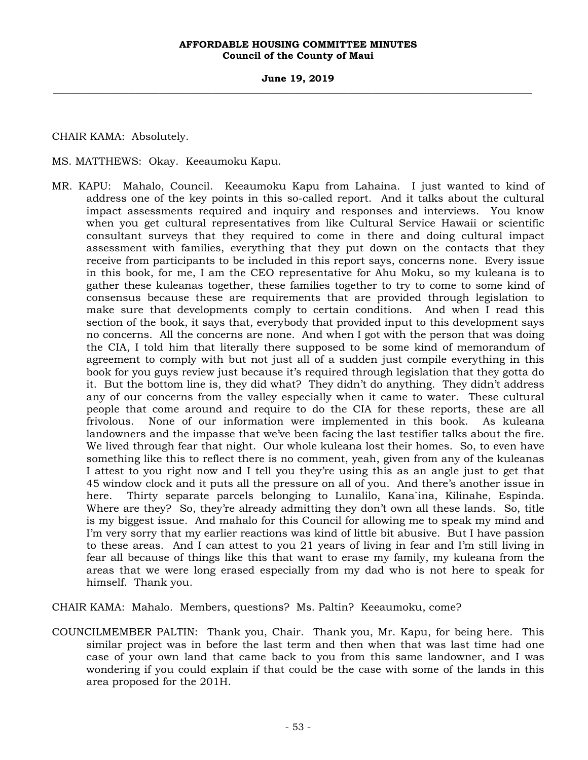### **June 19, 2019 \_\_\_\_\_\_\_\_\_\_\_\_\_\_\_\_\_\_\_\_\_\_\_\_\_\_\_\_\_\_\_\_\_\_\_\_\_\_\_\_\_\_\_\_\_\_\_\_\_\_\_\_\_\_\_\_\_\_\_\_\_\_\_\_\_\_\_\_\_\_\_\_\_\_\_\_\_\_\_\_\_\_\_\_\_\_\_\_\_\_\_\_\_\_\_\_\_\_\_**

CHAIR KAMA: Absolutely.

MS. MATTHEWS: Okay. Keeaumoku Kapu.

MR. KAPU: Mahalo, Council. Keeaumoku Kapu from Lahaina. I just wanted to kind of address one of the key points in this so-called report. And it talks about the cultural impact assessments required and inquiry and responses and interviews. You know when you get cultural representatives from like Cultural Service Hawaii or scientific consultant surveys that they required to come in there and doing cultural impact assessment with families, everything that they put down on the contacts that they receive from participants to be included in this report says, concerns none. Every issue in this book, for me, I am the CEO representative for Ahu Moku, so my kuleana is to gather these kuleanas together, these families together to try to come to some kind of consensus because these are requirements that are provided through legislation to make sure that developments comply to certain conditions. And when I read this section of the book, it says that, everybody that provided input to this development says no concerns. All the concerns are none. And when I got with the person that was doing the CIA, I told him that literally there supposed to be some kind of memorandum of agreement to comply with but not just all of a sudden just compile everything in this book for you guys review just because it's required through legislation that they gotta do it. But the bottom line is, they did what? They didn't do anything. They didn't address any of our concerns from the valley especially when it came to water. These cultural people that come around and require to do the CIA for these reports, these are all frivolous. None of our information were implemented in this book. As kuleana landowners and the impasse that we've been facing the last testifier talks about the fire. We lived through fear that night. Our whole kuleana lost their homes. So, to even have something like this to reflect there is no comment, yeah, given from any of the kuleanas I attest to you right now and I tell you they're using this as an angle just to get that 45 window clock and it puts all the pressure on all of you. And there's another issue in here. Thirty separate parcels belonging to Lunalilo, Kana`ina, Kilinahe, Espinda. Where are they? So, they're already admitting they don't own all these lands. So, title is my biggest issue. And mahalo for this Council for allowing me to speak my mind and I'm very sorry that my earlier reactions was kind of little bit abusive. But I have passion to these areas. And I can attest to you 21 years of living in fear and I'm still living in fear all because of things like this that want to erase my family, my kuleana from the areas that we were long erased especially from my dad who is not here to speak for himself. Thank you.

CHAIR KAMA: Mahalo. Members, questions? Ms. Paltin? Keeaumoku, come?

COUNCILMEMBER PALTIN: Thank you, Chair. Thank you, Mr. Kapu, for being here. This similar project was in before the last term and then when that was last time had one case of your own land that came back to you from this same landowner, and I was wondering if you could explain if that could be the case with some of the lands in this area proposed for the 201H.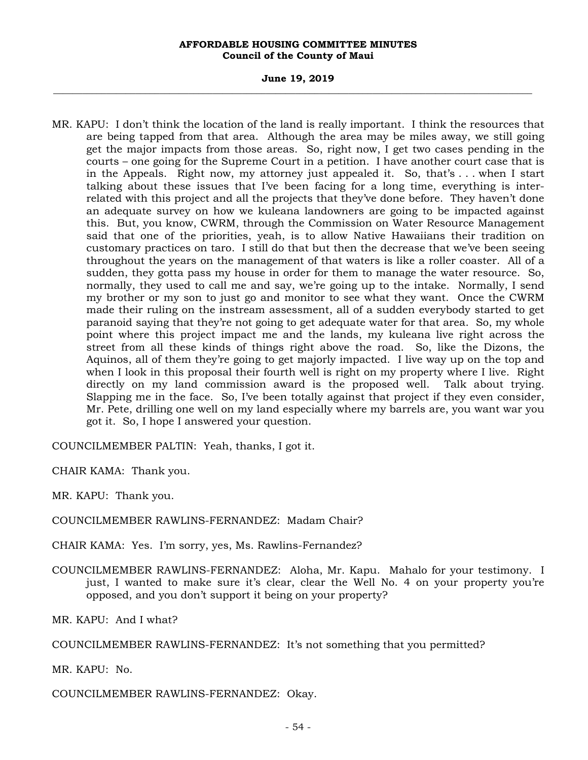### **June 19, 2019 \_\_\_\_\_\_\_\_\_\_\_\_\_\_\_\_\_\_\_\_\_\_\_\_\_\_\_\_\_\_\_\_\_\_\_\_\_\_\_\_\_\_\_\_\_\_\_\_\_\_\_\_\_\_\_\_\_\_\_\_\_\_\_\_\_\_\_\_\_\_\_\_\_\_\_\_\_\_\_\_\_\_\_\_\_\_\_\_\_\_\_\_\_\_\_\_\_\_\_**

MR. KAPU: I don't think the location of the land is really important. I think the resources that are being tapped from that area. Although the area may be miles away, we still going get the major impacts from those areas. So, right now, I get two cases pending in the courts – one going for the Supreme Court in a petition. I have another court case that is in the Appeals. Right now, my attorney just appealed it. So, that's . . . when I start talking about these issues that I've been facing for a long time, everything is interrelated with this project and all the projects that they've done before. They haven't done an adequate survey on how we kuleana landowners are going to be impacted against this. But, you know, CWRM, through the Commission on Water Resource Management said that one of the priorities, yeah, is to allow Native Hawaiians their tradition on customary practices on taro. I still do that but then the decrease that we've been seeing throughout the years on the management of that waters is like a roller coaster. All of a sudden, they gotta pass my house in order for them to manage the water resource. So, normally, they used to call me and say, we're going up to the intake. Normally, I send my brother or my son to just go and monitor to see what they want. Once the CWRM made their ruling on the instream assessment, all of a sudden everybody started to get paranoid saying that they're not going to get adequate water for that area. So, my whole point where this project impact me and the lands, my kuleana live right across the street from all these kinds of things right above the road. So, like the Dizons, the Aquinos, all of them they're going to get majorly impacted. I live way up on the top and when I look in this proposal their fourth well is right on my property where I live. Right directly on my land commission award is the proposed well. Talk about trying. Slapping me in the face. So, I've been totally against that project if they even consider, Mr. Pete, drilling one well on my land especially where my barrels are, you want war you got it. So, I hope I answered your question.

COUNCILMEMBER PALTIN: Yeah, thanks, I got it.

CHAIR KAMA: Thank you.

MR. KAPU: Thank you.

COUNCILMEMBER RAWLINS-FERNANDEZ: Madam Chair?

CHAIR KAMA: Yes. I'm sorry, yes, Ms. Rawlins-Fernandez?

COUNCILMEMBER RAWLINS-FERNANDEZ: Aloha, Mr. Kapu. Mahalo for your testimony. I just, I wanted to make sure it's clear, clear the Well No. 4 on your property you're opposed, and you don't support it being on your property?

MR. KAPU: And I what?

COUNCILMEMBER RAWLINS-FERNANDEZ: It's not something that you permitted?

MR. KAPU: No.

COUNCILMEMBER RAWLINS-FERNANDEZ: Okay.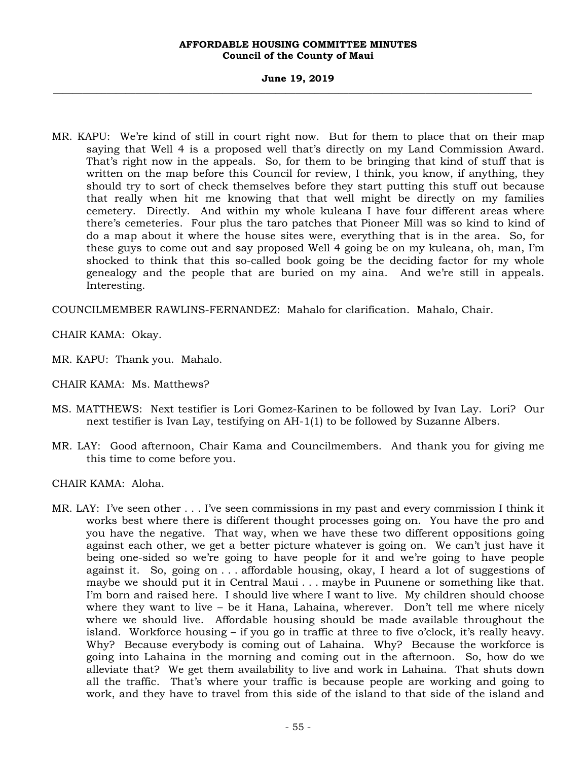### **June 19, 2019 \_\_\_\_\_\_\_\_\_\_\_\_\_\_\_\_\_\_\_\_\_\_\_\_\_\_\_\_\_\_\_\_\_\_\_\_\_\_\_\_\_\_\_\_\_\_\_\_\_\_\_\_\_\_\_\_\_\_\_\_\_\_\_\_\_\_\_\_\_\_\_\_\_\_\_\_\_\_\_\_\_\_\_\_\_\_\_\_\_\_\_\_\_\_\_\_\_\_\_**

MR. KAPU: We're kind of still in court right now. But for them to place that on their map saying that Well 4 is a proposed well that's directly on my Land Commission Award. That's right now in the appeals. So, for them to be bringing that kind of stuff that is written on the map before this Council for review, I think, you know, if anything, they should try to sort of check themselves before they start putting this stuff out because that really when hit me knowing that that well might be directly on my families cemetery. Directly. And within my whole kuleana I have four different areas where there's cemeteries. Four plus the taro patches that Pioneer Mill was so kind to kind of do a map about it where the house sites were, everything that is in the area. So, for these guys to come out and say proposed Well 4 going be on my kuleana, oh, man, I'm shocked to think that this so-called book going be the deciding factor for my whole genealogy and the people that are buried on my aina. And we're still in appeals. Interesting.

COUNCILMEMBER RAWLINS-FERNANDEZ: Mahalo for clarification. Mahalo, Chair.

CHAIR KAMA: Okay.

MR. KAPU: Thank you. Mahalo.

- CHAIR KAMA: Ms. Matthews?
- MS. MATTHEWS: Next testifier is Lori Gomez-Karinen to be followed by Ivan Lay. Lori? Our next testifier is Ivan Lay, testifying on AH-1(1) to be followed by Suzanne Albers.
- MR. LAY: Good afternoon, Chair Kama and Councilmembers. And thank you for giving me this time to come before you.

CHAIR KAMA: Aloha.

MR. LAY: I've seen other . . . I've seen commissions in my past and every commission I think it works best where there is different thought processes going on. You have the pro and you have the negative. That way, when we have these two different oppositions going against each other, we get a better picture whatever is going on. We can't just have it being one-sided so we're going to have people for it and we're going to have people against it. So, going on . . . affordable housing, okay, I heard a lot of suggestions of maybe we should put it in Central Maui . . . maybe in Puunene or something like that. I'm born and raised here. I should live where I want to live. My children should choose where they want to live – be it Hana, Lahaina, wherever. Don't tell me where nicely where we should live. Affordable housing should be made available throughout the island. Workforce housing – if you go in traffic at three to five o'clock, it's really heavy. Why? Because everybody is coming out of Lahaina. Why? Because the workforce is going into Lahaina in the morning and coming out in the afternoon. So, how do we alleviate that? We get them availability to live and work in Lahaina. That shuts down all the traffic. That's where your traffic is because people are working and going to work, and they have to travel from this side of the island to that side of the island and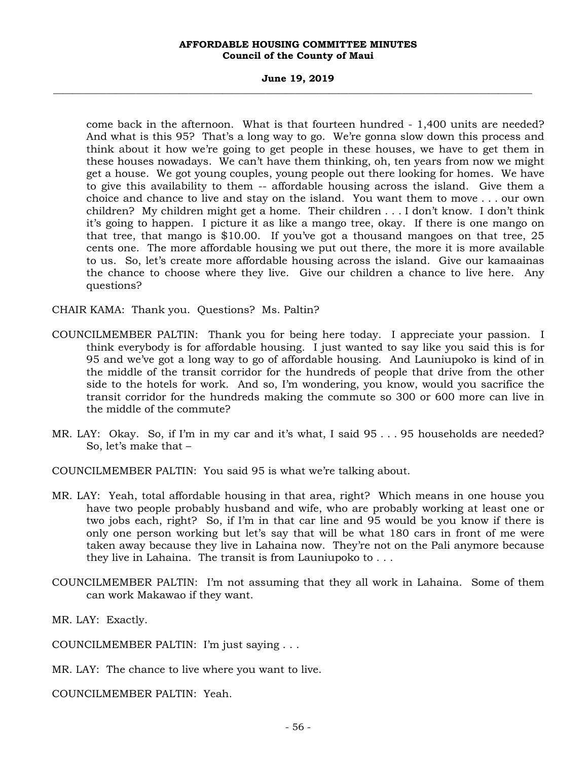### **June 19, 2019 \_\_\_\_\_\_\_\_\_\_\_\_\_\_\_\_\_\_\_\_\_\_\_\_\_\_\_\_\_\_\_\_\_\_\_\_\_\_\_\_\_\_\_\_\_\_\_\_\_\_\_\_\_\_\_\_\_\_\_\_\_\_\_\_\_\_\_\_\_\_\_\_\_\_\_\_\_\_\_\_\_\_\_\_\_\_\_\_\_\_\_\_\_\_\_\_\_\_\_**

come back in the afternoon. What is that fourteen hundred - 1,400 units are needed? And what is this 95? That's a long way to go. We're gonna slow down this process and think about it how we're going to get people in these houses, we have to get them in these houses nowadays. We can't have them thinking, oh, ten years from now we might get a house. We got young couples, young people out there looking for homes. We have to give this availability to them -- affordable housing across the island. Give them a choice and chance to live and stay on the island. You want them to move . . . our own children? My children might get a home. Their children . . . I don't know. I don't think it's going to happen. I picture it as like a mango tree, okay. If there is one mango on that tree, that mango is \$10.00. If you've got a thousand mangoes on that tree, 25 cents one. The more affordable housing we put out there, the more it is more available to us. So, let's create more affordable housing across the island. Give our kamaainas the chance to choose where they live. Give our children a chance to live here. Any questions?

CHAIR KAMA: Thank you. Questions? Ms. Paltin?

- COUNCILMEMBER PALTIN: Thank you for being here today. I appreciate your passion. I think everybody is for affordable housing. I just wanted to say like you said this is for 95 and we've got a long way to go of affordable housing. And Launiupoko is kind of in the middle of the transit corridor for the hundreds of people that drive from the other side to the hotels for work. And so, I'm wondering, you know, would you sacrifice the transit corridor for the hundreds making the commute so 300 or 600 more can live in the middle of the commute?
- MR. LAY: Okay. So, if I'm in my car and it's what, I said 95 . . . 95 households are needed? So, let's make that –

COUNCILMEMBER PALTIN: You said 95 is what we're talking about.

- MR. LAY: Yeah, total affordable housing in that area, right? Which means in one house you have two people probably husband and wife, who are probably working at least one or two jobs each, right? So, if I'm in that car line and 95 would be you know if there is only one person working but let's say that will be what 180 cars in front of me were taken away because they live in Lahaina now. They're not on the Pali anymore because they live in Lahaina. The transit is from Launiupoko to . . .
- COUNCILMEMBER PALTIN: I'm not assuming that they all work in Lahaina. Some of them can work Makawao if they want.

MR. LAY: Exactly.

COUNCILMEMBER PALTIN: I'm just saying . . .

MR. LAY: The chance to live where you want to live.

COUNCILMEMBER PALTIN: Yeah.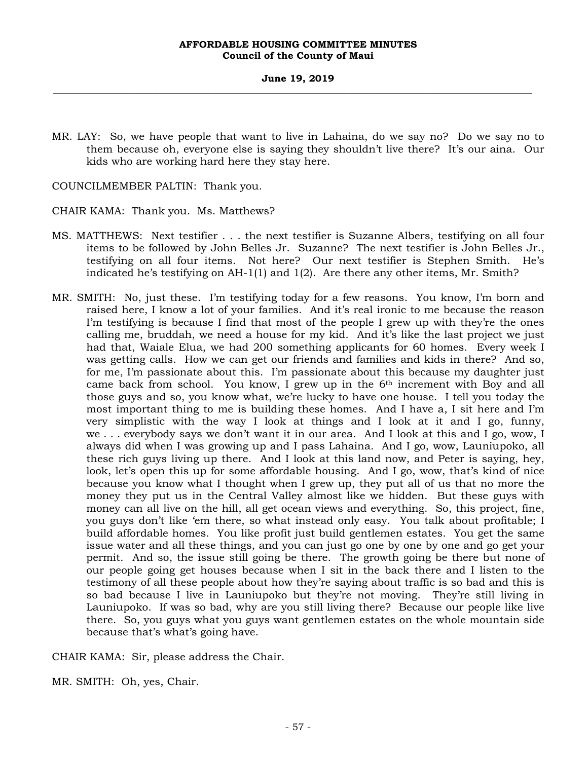MR. LAY: So, we have people that want to live in Lahaina, do we say no? Do we say no to them because oh, everyone else is saying they shouldn't live there? It's our aina. Our kids who are working hard here they stay here.

COUNCILMEMBER PALTIN: Thank you.

CHAIR KAMA: Thank you. Ms. Matthews?

- MS. MATTHEWS: Next testifier . . . the next testifier is Suzanne Albers, testifying on all four items to be followed by John Belles Jr. Suzanne? The next testifier is John Belles Jr., testifying on all four items. Not here? Our next testifier is Stephen Smith. He's indicated he's testifying on AH-1(1) and 1(2). Are there any other items, Mr. Smith?
- MR. SMITH: No, just these. I'm testifying today for a few reasons. You know, I'm born and raised here, I know a lot of your families. And it's real ironic to me because the reason I'm testifying is because I find that most of the people I grew up with they're the ones calling me, bruddah, we need a house for my kid. And it's like the last project we just had that, Waiale Elua, we had 200 something applicants for 60 homes. Every week I was getting calls. How we can get our friends and families and kids in there? And so, for me, I'm passionate about this. I'm passionate about this because my daughter just came back from school. You know, I grew up in the  $6<sup>th</sup>$  increment with Boy and all those guys and so, you know what, we're lucky to have one house. I tell you today the most important thing to me is building these homes. And I have a, I sit here and I'm very simplistic with the way I look at things and I look at it and I go, funny, we . . . everybody says we don't want it in our area. And I look at this and I go, wow, I always did when I was growing up and I pass Lahaina. And I go, wow, Launiupoko, all these rich guys living up there. And I look at this land now, and Peter is saying, hey, look, let's open this up for some affordable housing. And I go, wow, that's kind of nice because you know what I thought when I grew up, they put all of us that no more the money they put us in the Central Valley almost like we hidden. But these guys with money can all live on the hill, all get ocean views and everything. So, this project, fine, you guys don't like 'em there, so what instead only easy. You talk about profitable; I build affordable homes. You like profit just build gentlemen estates. You get the same issue water and all these things, and you can just go one by one by one and go get your permit. And so, the issue still going be there. The growth going be there but none of our people going get houses because when I sit in the back there and I listen to the testimony of all these people about how they're saying about traffic is so bad and this is so bad because I live in Launiupoko but they're not moving. They're still living in Launiupoko. If was so bad, why are you still living there? Because our people like live there. So, you guys what you guys want gentlemen estates on the whole mountain side because that's what's going have.

CHAIR KAMA: Sir, please address the Chair.

MR. SMITH: Oh, yes, Chair.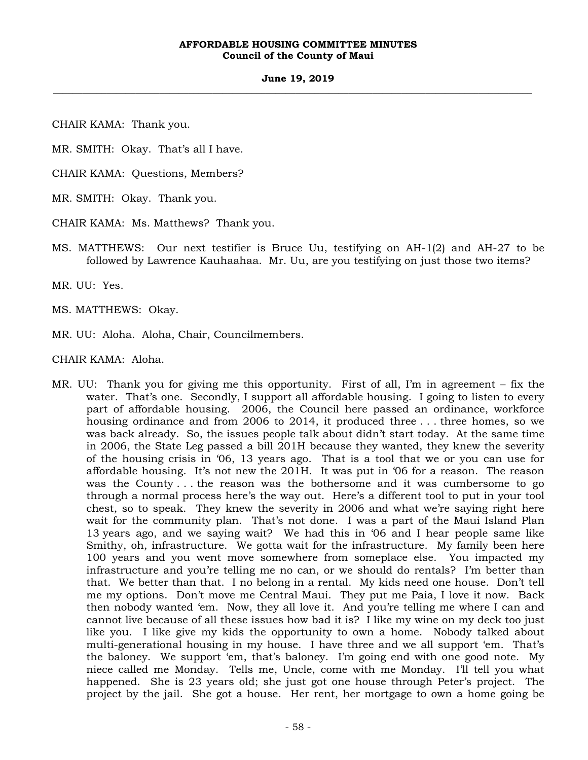### **June 19, 2019 \_\_\_\_\_\_\_\_\_\_\_\_\_\_\_\_\_\_\_\_\_\_\_\_\_\_\_\_\_\_\_\_\_\_\_\_\_\_\_\_\_\_\_\_\_\_\_\_\_\_\_\_\_\_\_\_\_\_\_\_\_\_\_\_\_\_\_\_\_\_\_\_\_\_\_\_\_\_\_\_\_\_\_\_\_\_\_\_\_\_\_\_\_\_\_\_\_\_\_**

CHAIR KAMA: Thank you.

MR. SMITH: Okay. That's all I have.

CHAIR KAMA: Questions, Members?

MR. SMITH: Okay. Thank you.

CHAIR KAMA: Ms. Matthews? Thank you.

MS. MATTHEWS: Our next testifier is Bruce Uu, testifying on AH-1(2) and AH-27 to be followed by Lawrence Kauhaahaa. Mr. Uu, are you testifying on just those two items?

MR. UU: Yes.

MS. MATTHEWS: Okay.

MR. UU: Aloha. Aloha, Chair, Councilmembers.

CHAIR KAMA: Aloha.

MR. UU: Thank you for giving me this opportunity. First of all, I'm in agreement – fix the water. That's one. Secondly, I support all affordable housing. I going to listen to every part of affordable housing. 2006, the Council here passed an ordinance, workforce housing ordinance and from 2006 to 2014, it produced three . . . three homes, so we was back already. So, the issues people talk about didn't start today. At the same time in 2006, the State Leg passed a bill 201H because they wanted, they knew the severity of the housing crisis in '06, 13 years ago. That is a tool that we or you can use for affordable housing. It's not new the 201H. It was put in '06 for a reason. The reason was the County . . . the reason was the bothersome and it was cumbersome to go through a normal process here's the way out. Here's a different tool to put in your tool chest, so to speak. They knew the severity in 2006 and what we're saying right here wait for the community plan. That's not done. I was a part of the Maui Island Plan 13 years ago, and we saying wait? We had this in '06 and I hear people same like Smithy, oh, infrastructure. We gotta wait for the infrastructure. My family been here 100 years and you went move somewhere from someplace else. You impacted my infrastructure and you're telling me no can, or we should do rentals? I'm better than that. We better than that. I no belong in a rental. My kids need one house. Don't tell me my options. Don't move me Central Maui. They put me Paia, I love it now. Back then nobody wanted 'em. Now, they all love it. And you're telling me where I can and cannot live because of all these issues how bad it is? I like my wine on my deck too just like you. I like give my kids the opportunity to own a home. Nobody talked about multi-generational housing in my house. I have three and we all support 'em. That's the baloney. We support 'em, that's baloney. I'm going end with one good note. My niece called me Monday. Tells me, Uncle, come with me Monday. I'll tell you what happened. She is 23 years old; she just got one house through Peter's project. The project by the jail. She got a house. Her rent, her mortgage to own a home going be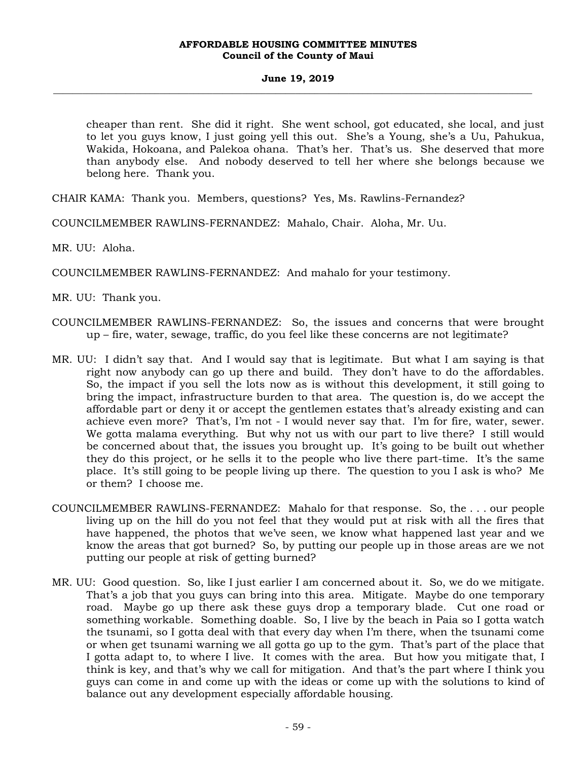cheaper than rent. She did it right. She went school, got educated, she local, and just to let you guys know, I just going yell this out. She's a Young, she's a Uu, Pahukua, Wakida, Hokoana, and Palekoa ohana. That's her. That's us. She deserved that more than anybody else. And nobody deserved to tell her where she belongs because we belong here. Thank you.

CHAIR KAMA: Thank you. Members, questions? Yes, Ms. Rawlins-Fernandez?

COUNCILMEMBER RAWLINS-FERNANDEZ: Mahalo, Chair. Aloha, Mr. Uu.

MR. UU: Aloha.

COUNCILMEMBER RAWLINS-FERNANDEZ: And mahalo for your testimony.

MR. UU: Thank you.

- COUNCILMEMBER RAWLINS-FERNANDEZ: So, the issues and concerns that were brought up – fire, water, sewage, traffic, do you feel like these concerns are not legitimate?
- MR. UU: I didn't say that. And I would say that is legitimate. But what I am saying is that right now anybody can go up there and build. They don't have to do the affordables. So, the impact if you sell the lots now as is without this development, it still going to bring the impact, infrastructure burden to that area. The question is, do we accept the affordable part or deny it or accept the gentlemen estates that's already existing and can achieve even more? That's, I'm not - I would never say that. I'm for fire, water, sewer. We gotta malama everything. But why not us with our part to live there? I still would be concerned about that, the issues you brought up. It's going to be built out whether they do this project, or he sells it to the people who live there part-time. It's the same place. It's still going to be people living up there. The question to you I ask is who? Me or them? I choose me.
- COUNCILMEMBER RAWLINS-FERNANDEZ: Mahalo for that response. So, the . . . our people living up on the hill do you not feel that they would put at risk with all the fires that have happened, the photos that we've seen, we know what happened last year and we know the areas that got burned? So, by putting our people up in those areas are we not putting our people at risk of getting burned?
- MR. UU: Good question. So, like I just earlier I am concerned about it. So, we do we mitigate. That's a job that you guys can bring into this area. Mitigate. Maybe do one temporary road. Maybe go up there ask these guys drop a temporary blade. Cut one road or something workable. Something doable. So, I live by the beach in Paia so I gotta watch the tsunami, so I gotta deal with that every day when I'm there, when the tsunami come or when get tsunami warning we all gotta go up to the gym. That's part of the place that I gotta adapt to, to where I live. It comes with the area. But how you mitigate that, I think is key, and that's why we call for mitigation. And that's the part where I think you guys can come in and come up with the ideas or come up with the solutions to kind of balance out any development especially affordable housing.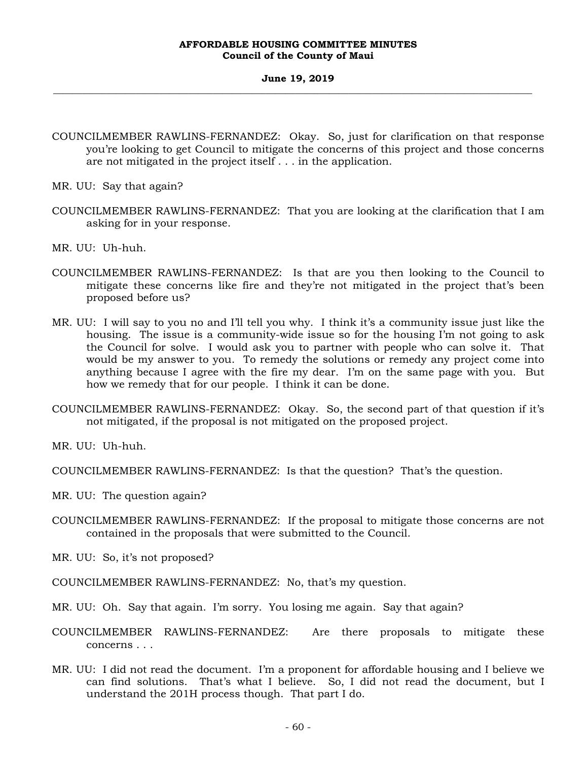### **June 19, 2019 \_\_\_\_\_\_\_\_\_\_\_\_\_\_\_\_\_\_\_\_\_\_\_\_\_\_\_\_\_\_\_\_\_\_\_\_\_\_\_\_\_\_\_\_\_\_\_\_\_\_\_\_\_\_\_\_\_\_\_\_\_\_\_\_\_\_\_\_\_\_\_\_\_\_\_\_\_\_\_\_\_\_\_\_\_\_\_\_\_\_\_\_\_\_\_\_\_\_\_**

- COUNCILMEMBER RAWLINS-FERNANDEZ: Okay. So, just for clarification on that response you're looking to get Council to mitigate the concerns of this project and those concerns are not mitigated in the project itself . . . in the application.
- MR. UU: Say that again?
- COUNCILMEMBER RAWLINS-FERNANDEZ: That you are looking at the clarification that I am asking for in your response.
- MR. UU: Uh-huh.
- COUNCILMEMBER RAWLINS-FERNANDEZ: Is that are you then looking to the Council to mitigate these concerns like fire and they're not mitigated in the project that's been proposed before us?
- MR. UU: I will say to you no and I'll tell you why. I think it's a community issue just like the housing. The issue is a community-wide issue so for the housing I'm not going to ask the Council for solve. I would ask you to partner with people who can solve it. That would be my answer to you. To remedy the solutions or remedy any project come into anything because I agree with the fire my dear. I'm on the same page with you. But how we remedy that for our people. I think it can be done.
- COUNCILMEMBER RAWLINS-FERNANDEZ: Okay. So, the second part of that question if it's not mitigated, if the proposal is not mitigated on the proposed project.

MR. UU: Uh-huh.

COUNCILMEMBER RAWLINS-FERNANDEZ: Is that the question? That's the question.

- MR. UU: The question again?
- COUNCILMEMBER RAWLINS-FERNANDEZ: If the proposal to mitigate those concerns are not contained in the proposals that were submitted to the Council.
- MR. UU: So, it's not proposed?

COUNCILMEMBER RAWLINS-FERNANDEZ: No, that's my question.

- MR. UU: Oh. Say that again. I'm sorry. You losing me again. Say that again?
- COUNCILMEMBER RAWLINS-FERNANDEZ: Are there proposals to mitigate these concerns . . .
- MR. UU: I did not read the document. I'm a proponent for affordable housing and I believe we can find solutions. That's what I believe. So, I did not read the document, but I understand the 201H process though. That part I do.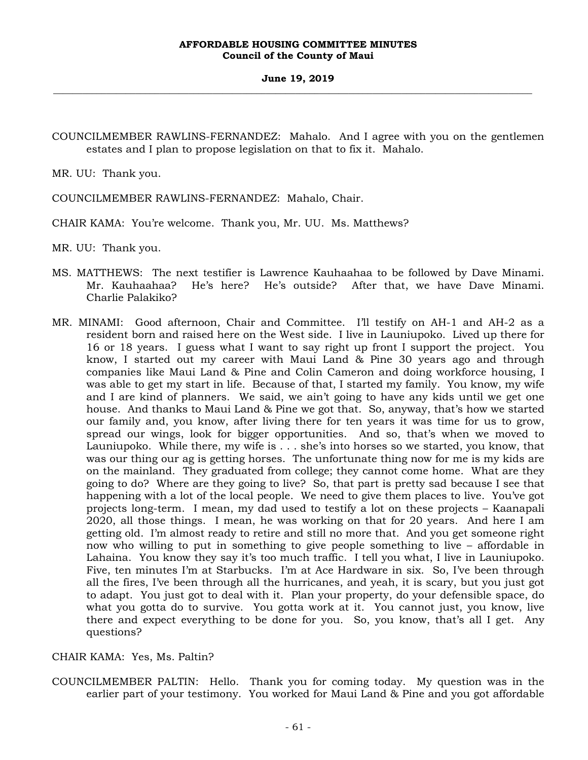COUNCILMEMBER RAWLINS-FERNANDEZ: Mahalo. And I agree with you on the gentlemen estates and I plan to propose legislation on that to fix it. Mahalo.

MR. UU: Thank you.

COUNCILMEMBER RAWLINS-FERNANDEZ: Mahalo, Chair.

CHAIR KAMA: You're welcome. Thank you, Mr. UU. Ms. Matthews?

MR. UU: Thank you.

- MS. MATTHEWS: The next testifier is Lawrence Kauhaahaa to be followed by Dave Minami. Mr. Kauhaahaa? He's here? He's outside? After that, we have Dave Minami. Charlie Palakiko?
- MR. MINAMI: Good afternoon, Chair and Committee. I'll testify on AH-1 and AH-2 as a resident born and raised here on the West side. I live in Launiupoko. Lived up there for 16 or 18 years. I guess what I want to say right up front I support the project. You know, I started out my career with Maui Land & Pine 30 years ago and through companies like Maui Land & Pine and Colin Cameron and doing workforce housing, I was able to get my start in life. Because of that, I started my family. You know, my wife and I are kind of planners. We said, we ain't going to have any kids until we get one house. And thanks to Maui Land & Pine we got that. So, anyway, that's how we started our family and, you know, after living there for ten years it was time for us to grow, spread our wings, look for bigger opportunities. And so, that's when we moved to Launiupoko. While there, my wife is . . . she's into horses so we started, you know, that was our thing our ag is getting horses. The unfortunate thing now for me is my kids are on the mainland. They graduated from college; they cannot come home. What are they going to do? Where are they going to live? So, that part is pretty sad because I see that happening with a lot of the local people. We need to give them places to live. You've got projects long-term. I mean, my dad used to testify a lot on these projects – Kaanapali 2020, all those things. I mean, he was working on that for 20 years. And here I am getting old. I'm almost ready to retire and still no more that. And you get someone right now who willing to put in something to give people something to live – affordable in Lahaina. You know they say it's too much traffic. I tell you what, I live in Launiupoko. Five, ten minutes I'm at Starbucks. I'm at Ace Hardware in six. So, I've been through all the fires, I've been through all the hurricanes, and yeah, it is scary, but you just got to adapt. You just got to deal with it. Plan your property, do your defensible space, do what you gotta do to survive. You gotta work at it. You cannot just, you know, live there and expect everything to be done for you. So, you know, that's all I get. Any questions?

# CHAIR KAMA: Yes, Ms. Paltin?

COUNCILMEMBER PALTIN: Hello. Thank you for coming today. My question was in the earlier part of your testimony. You worked for Maui Land & Pine and you got affordable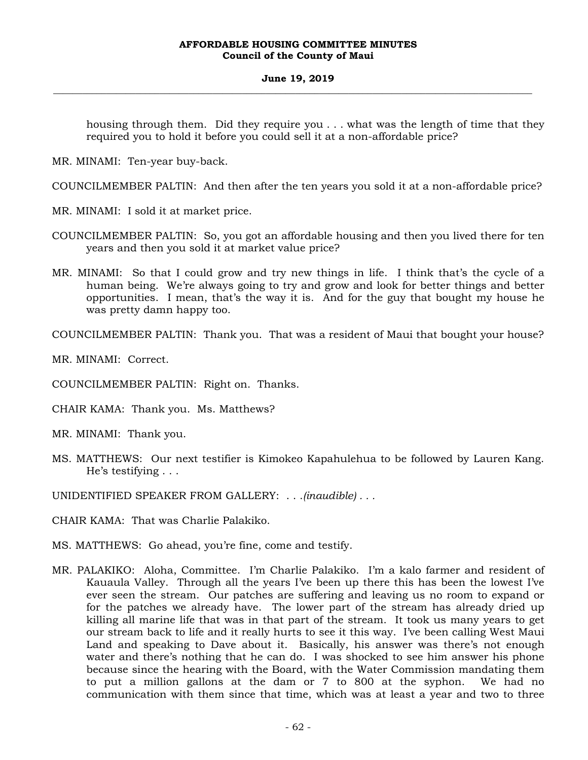### **June 19, 2019 \_\_\_\_\_\_\_\_\_\_\_\_\_\_\_\_\_\_\_\_\_\_\_\_\_\_\_\_\_\_\_\_\_\_\_\_\_\_\_\_\_\_\_\_\_\_\_\_\_\_\_\_\_\_\_\_\_\_\_\_\_\_\_\_\_\_\_\_\_\_\_\_\_\_\_\_\_\_\_\_\_\_\_\_\_\_\_\_\_\_\_\_\_\_\_\_\_\_\_**

housing through them. Did they require you . . . what was the length of time that they required you to hold it before you could sell it at a non-affordable price?

MR. MINAMI: Ten-year buy-back.

COUNCILMEMBER PALTIN: And then after the ten years you sold it at a non-affordable price?

MR. MINAMI: I sold it at market price.

- COUNCILMEMBER PALTIN: So, you got an affordable housing and then you lived there for ten years and then you sold it at market value price?
- MR. MINAMI: So that I could grow and try new things in life. I think that's the cycle of a human being. We're always going to try and grow and look for better things and better opportunities. I mean, that's the way it is. And for the guy that bought my house he was pretty damn happy too.

COUNCILMEMBER PALTIN: Thank you. That was a resident of Maui that bought your house?

MR. MINAMI: Correct.

COUNCILMEMBER PALTIN: Right on. Thanks.

CHAIR KAMA: Thank you. Ms. Matthews?

MR. MINAMI: Thank you.

MS. MATTHEWS: Our next testifier is Kimokeo Kapahulehua to be followed by Lauren Kang. He's testifying . . .

UNIDENTIFIED SPEAKER FROM GALLERY: . . .*(inaudible) . . .* 

CHAIR KAMA: That was Charlie Palakiko.

MS. MATTHEWS: Go ahead, you're fine, come and testify.

MR. PALAKIKO: Aloha, Committee. I'm Charlie Palakiko. I'm a kalo farmer and resident of Kauaula Valley. Through all the years I've been up there this has been the lowest I've ever seen the stream. Our patches are suffering and leaving us no room to expand or for the patches we already have. The lower part of the stream has already dried up killing all marine life that was in that part of the stream. It took us many years to get our stream back to life and it really hurts to see it this way. I've been calling West Maui Land and speaking to Dave about it. Basically, his answer was there's not enough water and there's nothing that he can do. I was shocked to see him answer his phone because since the hearing with the Board, with the Water Commission mandating them to put a million gallons at the dam or 7 to 800 at the syphon. We had no communication with them since that time, which was at least a year and two to three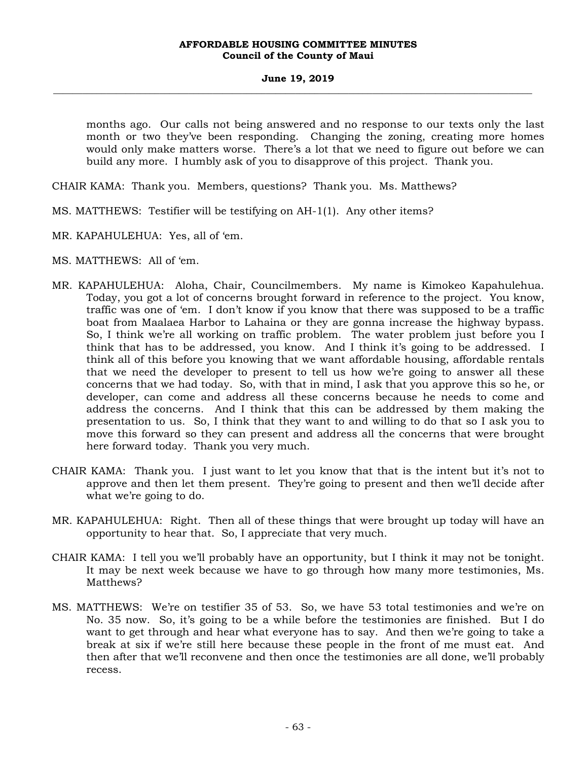months ago. Our calls not being answered and no response to our texts only the last month or two they've been responding. Changing the zoning, creating more homes would only make matters worse. There's a lot that we need to figure out before we can build any more. I humbly ask of you to disapprove of this project. Thank you.

CHAIR KAMA: Thank you. Members, questions? Thank you. Ms. Matthews?

- MS. MATTHEWS: Testifier will be testifying on AH-1(1). Any other items?
- MR. KAPAHULEHUA: Yes, all of 'em.
- MS. MATTHEWS: All of 'em.
- MR. KAPAHULEHUA: Aloha, Chair, Councilmembers. My name is Kimokeo Kapahulehua. Today, you got a lot of concerns brought forward in reference to the project. You know, traffic was one of 'em. I don't know if you know that there was supposed to be a traffic boat from Maalaea Harbor to Lahaina or they are gonna increase the highway bypass. So, I think we're all working on traffic problem. The water problem just before you I think that has to be addressed, you know. And I think it's going to be addressed. I think all of this before you knowing that we want affordable housing, affordable rentals that we need the developer to present to tell us how we're going to answer all these concerns that we had today. So, with that in mind, I ask that you approve this so he, or developer, can come and address all these concerns because he needs to come and address the concerns. And I think that this can be addressed by them making the presentation to us. So, I think that they want to and willing to do that so I ask you to move this forward so they can present and address all the concerns that were brought here forward today. Thank you very much.
- CHAIR KAMA: Thank you. I just want to let you know that that is the intent but it's not to approve and then let them present. They're going to present and then we'll decide after what we're going to do.
- MR. KAPAHULEHUA: Right. Then all of these things that were brought up today will have an opportunity to hear that. So, I appreciate that very much.
- CHAIR KAMA: I tell you we'll probably have an opportunity, but I think it may not be tonight. It may be next week because we have to go through how many more testimonies, Ms. Matthews?
- MS. MATTHEWS: We're on testifier 35 of 53. So, we have 53 total testimonies and we're on No. 35 now. So, it's going to be a while before the testimonies are finished. But I do want to get through and hear what everyone has to say. And then we're going to take a break at six if we're still here because these people in the front of me must eat. And then after that we'll reconvene and then once the testimonies are all done, we'll probably recess.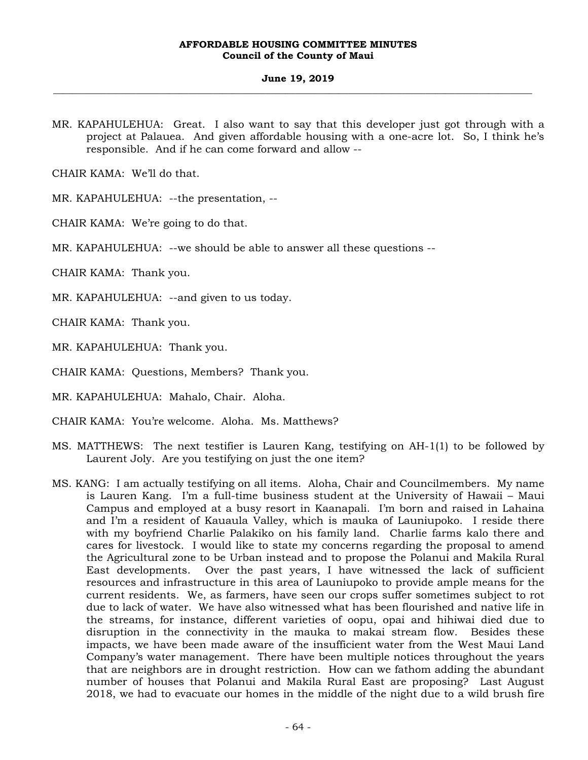### **June 19, 2019 \_\_\_\_\_\_\_\_\_\_\_\_\_\_\_\_\_\_\_\_\_\_\_\_\_\_\_\_\_\_\_\_\_\_\_\_\_\_\_\_\_\_\_\_\_\_\_\_\_\_\_\_\_\_\_\_\_\_\_\_\_\_\_\_\_\_\_\_\_\_\_\_\_\_\_\_\_\_\_\_\_\_\_\_\_\_\_\_\_\_\_\_\_\_\_\_\_\_\_**

MR. KAPAHULEHUA: Great. I also want to say that this developer just got through with a project at Palauea. And given affordable housing with a one-acre lot. So, I think he's responsible. And if he can come forward and allow --

CHAIR KAMA: We'll do that.

MR. KAPAHULEHUA: --the presentation, --

CHAIR KAMA: We're going to do that.

MR. KAPAHULEHUA: --we should be able to answer all these questions --

CHAIR KAMA: Thank you.

MR. KAPAHULEHUA: --and given to us today.

CHAIR KAMA: Thank you.

MR. KAPAHULEHUA: Thank you.

CHAIR KAMA: Questions, Members? Thank you.

MR. KAPAHULEHUA: Mahalo, Chair. Aloha.

CHAIR KAMA: You're welcome. Aloha. Ms. Matthews?

- MS. MATTHEWS: The next testifier is Lauren Kang, testifying on AH-1(1) to be followed by Laurent Joly. Are you testifying on just the one item?
- MS. KANG: I am actually testifying on all items. Aloha, Chair and Councilmembers. My name is Lauren Kang. I'm a full-time business student at the University of Hawaii – Maui Campus and employed at a busy resort in Kaanapali. I'm born and raised in Lahaina and I'm a resident of Kauaula Valley, which is mauka of Launiupoko. I reside there with my boyfriend Charlie Palakiko on his family land. Charlie farms kalo there and cares for livestock. I would like to state my concerns regarding the proposal to amend the Agricultural zone to be Urban instead and to propose the Polanui and Makila Rural East developments. Over the past years, I have witnessed the lack of sufficient resources and infrastructure in this area of Launiupoko to provide ample means for the current residents. We, as farmers, have seen our crops suffer sometimes subject to rot due to lack of water. We have also witnessed what has been flourished and native life in the streams, for instance, different varieties of oopu, opai and hihiwai died due to disruption in the connectivity in the mauka to makai stream flow. Besides these impacts, we have been made aware of the insufficient water from the West Maui Land Company's water management. There have been multiple notices throughout the years that are neighbors are in drought restriction. How can we fathom adding the abundant number of houses that Polanui and Makila Rural East are proposing? Last August 2018, we had to evacuate our homes in the middle of the night due to a wild brush fire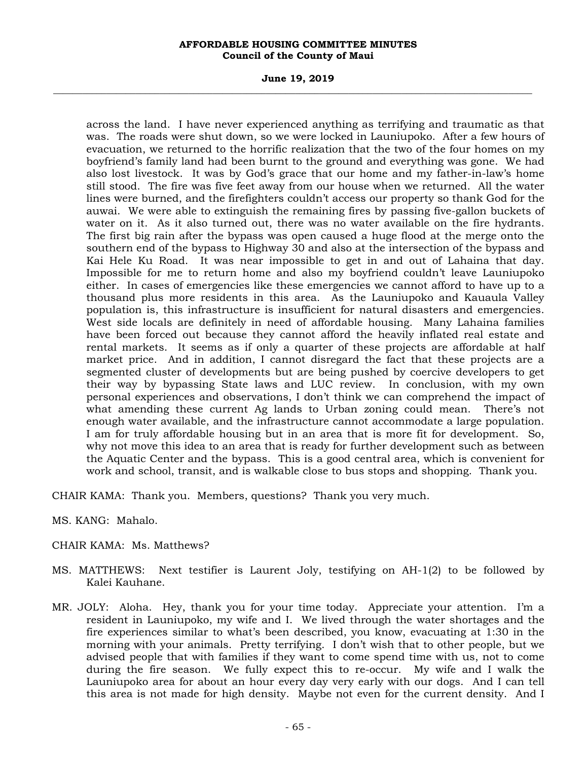### **June 19, 2019 \_\_\_\_\_\_\_\_\_\_\_\_\_\_\_\_\_\_\_\_\_\_\_\_\_\_\_\_\_\_\_\_\_\_\_\_\_\_\_\_\_\_\_\_\_\_\_\_\_\_\_\_\_\_\_\_\_\_\_\_\_\_\_\_\_\_\_\_\_\_\_\_\_\_\_\_\_\_\_\_\_\_\_\_\_\_\_\_\_\_\_\_\_\_\_\_\_\_\_**

across the land. I have never experienced anything as terrifying and traumatic as that was. The roads were shut down, so we were locked in Launiupoko. After a few hours of evacuation, we returned to the horrific realization that the two of the four homes on my boyfriend's family land had been burnt to the ground and everything was gone. We had also lost livestock. It was by God's grace that our home and my father-in-law's home still stood. The fire was five feet away from our house when we returned. All the water lines were burned, and the firefighters couldn't access our property so thank God for the auwai. We were able to extinguish the remaining fires by passing five-gallon buckets of water on it. As it also turned out, there was no water available on the fire hydrants. The first big rain after the bypass was open caused a huge flood at the merge onto the southern end of the bypass to Highway 30 and also at the intersection of the bypass and Kai Hele Ku Road. It was near impossible to get in and out of Lahaina that day. Impossible for me to return home and also my boyfriend couldn't leave Launiupoko either. In cases of emergencies like these emergencies we cannot afford to have up to a thousand plus more residents in this area. As the Launiupoko and Kauaula Valley population is, this infrastructure is insufficient for natural disasters and emergencies. West side locals are definitely in need of affordable housing. Many Lahaina families have been forced out because they cannot afford the heavily inflated real estate and rental markets. It seems as if only a quarter of these projects are affordable at half market price. And in addition, I cannot disregard the fact that these projects are a segmented cluster of developments but are being pushed by coercive developers to get their way by bypassing State laws and LUC review. In conclusion, with my own personal experiences and observations, I don't think we can comprehend the impact of what amending these current Ag lands to Urban zoning could mean. There's not enough water available, and the infrastructure cannot accommodate a large population. I am for truly affordable housing but in an area that is more fit for development. So, why not move this idea to an area that is ready for further development such as between the Aquatic Center and the bypass. This is a good central area, which is convenient for work and school, transit, and is walkable close to bus stops and shopping. Thank you.

CHAIR KAMA: Thank you. Members, questions? Thank you very much.

MS. KANG: Mahalo.

# CHAIR KAMA: Ms. Matthews?

- MS. MATTHEWS: Next testifier is Laurent Joly, testifying on AH-1(2) to be followed by Kalei Kauhane.
- MR. JOLY: Aloha. Hey, thank you for your time today. Appreciate your attention. I'm a resident in Launiupoko, my wife and I. We lived through the water shortages and the fire experiences similar to what's been described, you know, evacuating at 1:30 in the morning with your animals. Pretty terrifying. I don't wish that to other people, but we advised people that with families if they want to come spend time with us, not to come during the fire season. We fully expect this to re-occur. My wife and I walk the Launiupoko area for about an hour every day very early with our dogs. And I can tell this area is not made for high density. Maybe not even for the current density. And I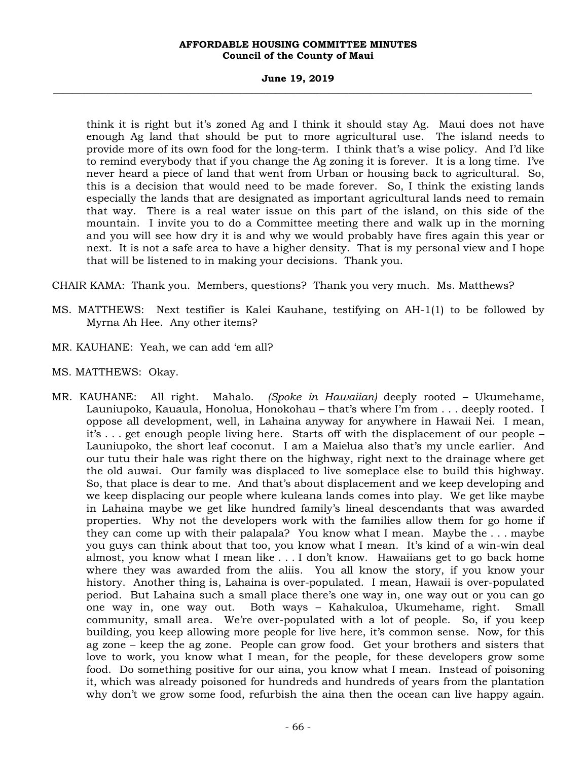### **June 19, 2019 \_\_\_\_\_\_\_\_\_\_\_\_\_\_\_\_\_\_\_\_\_\_\_\_\_\_\_\_\_\_\_\_\_\_\_\_\_\_\_\_\_\_\_\_\_\_\_\_\_\_\_\_\_\_\_\_\_\_\_\_\_\_\_\_\_\_\_\_\_\_\_\_\_\_\_\_\_\_\_\_\_\_\_\_\_\_\_\_\_\_\_\_\_\_\_\_\_\_\_**

think it is right but it's zoned Ag and I think it should stay Ag. Maui does not have enough Ag land that should be put to more agricultural use. The island needs to provide more of its own food for the long-term. I think that's a wise policy. And I'd like to remind everybody that if you change the Ag zoning it is forever. It is a long time. I've never heard a piece of land that went from Urban or housing back to agricultural. So, this is a decision that would need to be made forever. So, I think the existing lands especially the lands that are designated as important agricultural lands need to remain that way. There is a real water issue on this part of the island, on this side of the mountain. I invite you to do a Committee meeting there and walk up in the morning and you will see how dry it is and why we would probably have fires again this year or next. It is not a safe area to have a higher density. That is my personal view and I hope that will be listened to in making your decisions. Thank you.

CHAIR KAMA: Thank you. Members, questions? Thank you very much. Ms. Matthews?

- MS. MATTHEWS: Next testifier is Kalei Kauhane, testifying on AH-1(1) to be followed by Myrna Ah Hee. Any other items?
- MR. KAUHANE: Yeah, we can add 'em all?
- MS. MATTHEWS: Okay.
- MR. KAUHANE: All right. Mahalo. *(Spoke in Hawaiian)* deeply rooted Ukumehame, Launiupoko, Kauaula, Honolua, Honokohau – that's where I'm from . . . deeply rooted. I oppose all development, well, in Lahaina anyway for anywhere in Hawaii Nei. I mean, it's . . . get enough people living here. Starts off with the displacement of our people – Launiupoko, the short leaf coconut. I am a Maielua also that's my uncle earlier. And our tutu their hale was right there on the highway, right next to the drainage where get the old auwai. Our family was displaced to live someplace else to build this highway. So, that place is dear to me. And that's about displacement and we keep developing and we keep displacing our people where kuleana lands comes into play. We get like maybe in Lahaina maybe we get like hundred family's lineal descendants that was awarded properties. Why not the developers work with the families allow them for go home if they can come up with their palapala? You know what I mean. Maybe the . . . maybe you guys can think about that too, you know what I mean. It's kind of a win-win deal almost, you know what I mean like . . . I don't know. Hawaiians get to go back home where they was awarded from the aliis. You all know the story, if you know your history. Another thing is, Lahaina is over-populated. I mean, Hawaii is over-populated period. But Lahaina such a small place there's one way in, one way out or you can go one way in, one way out. Both ways – Kahakuloa, Ukumehame, right. Small community, small area. We're over-populated with a lot of people. So, if you keep building, you keep allowing more people for live here, it's common sense. Now, for this ag zone – keep the ag zone. People can grow food. Get your brothers and sisters that love to work, you know what I mean, for the people, for these developers grow some food. Do something positive for our aina, you know what I mean. Instead of poisoning it, which was already poisoned for hundreds and hundreds of years from the plantation why don't we grow some food, refurbish the aina then the ocean can live happy again.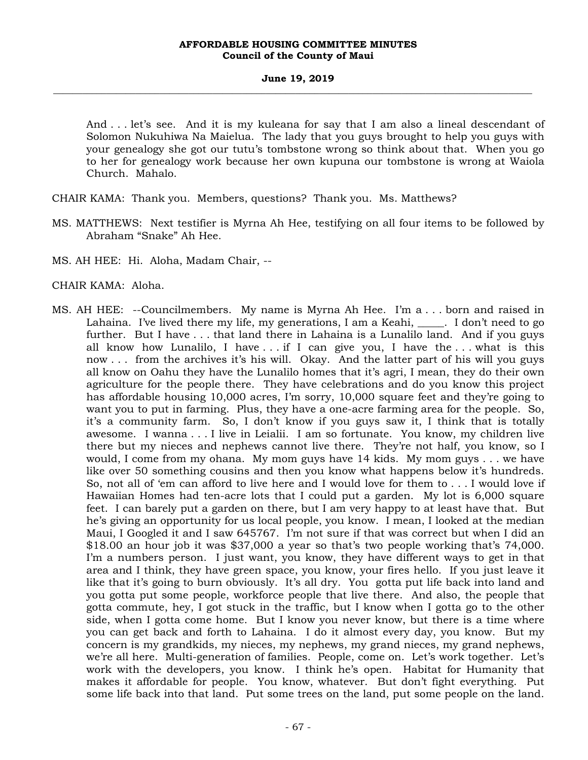And . . . let's see. And it is my kuleana for say that I am also a lineal descendant of Solomon Nukuhiwa Na Maielua. The lady that you guys brought to help you guys with your genealogy she got our tutu's tombstone wrong so think about that. When you go to her for genealogy work because her own kupuna our tombstone is wrong at Waiola Church. Mahalo.

CHAIR KAMA: Thank you. Members, questions? Thank you. Ms. Matthews?

- MS. MATTHEWS: Next testifier is Myrna Ah Hee, testifying on all four items to be followed by Abraham "Snake" Ah Hee.
- MS. AH HEE: Hi. Aloha, Madam Chair, --
- CHAIR KAMA: Aloha.
- MS. AH HEE: --Councilmembers. My name is Myrna Ah Hee. I'm a . . . born and raised in Lahaina. I've lived there my life, my generations, I am a Keahi,  $\ldots$  I don't need to go further. But I have . . . that land there in Lahaina is a Lunalilo land. And if you guys all know how Lunalilo, I have  $\dots$  if I can give you, I have the  $\dots$  what is this now . . . from the archives it's his will. Okay. And the latter part of his will you guys all know on Oahu they have the Lunalilo homes that it's agri, I mean, they do their own agriculture for the people there. They have celebrations and do you know this project has affordable housing 10,000 acres, I'm sorry, 10,000 square feet and they're going to want you to put in farming. Plus, they have a one-acre farming area for the people. So, it's a community farm. So, I don't know if you guys saw it, I think that is totally awesome. I wanna . . . I live in Leialii. I am so fortunate. You know, my children live there but my nieces and nephews cannot live there. They're not half, you know, so I would, I come from my ohana. My mom guys have 14 kids. My mom guys . . . we have like over 50 something cousins and then you know what happens below it's hundreds. So, not all of 'em can afford to live here and I would love for them to . . . I would love if Hawaiian Homes had ten-acre lots that I could put a garden. My lot is 6,000 square feet. I can barely put a garden on there, but I am very happy to at least have that. But he's giving an opportunity for us local people, you know. I mean, I looked at the median Maui, I Googled it and I saw 645767. I'm not sure if that was correct but when I did an \$18.00 an hour job it was \$37,000 a year so that's two people working that's 74,000. I'm a numbers person. I just want, you know, they have different ways to get in that area and I think, they have green space, you know, your fires hello. If you just leave it like that it's going to burn obviously. It's all dry. You gotta put life back into land and you gotta put some people, workforce people that live there. And also, the people that gotta commute, hey, I got stuck in the traffic, but I know when I gotta go to the other side, when I gotta come home. But I know you never know, but there is a time where you can get back and forth to Lahaina. I do it almost every day, you know. But my concern is my grandkids, my nieces, my nephews, my grand nieces, my grand nephews, we're all here. Multi-generation of families. People, come on. Let's work together. Let's work with the developers, you know. I think he's open. Habitat for Humanity that makes it affordable for people. You know, whatever. But don't fight everything. Put some life back into that land. Put some trees on the land, put some people on the land.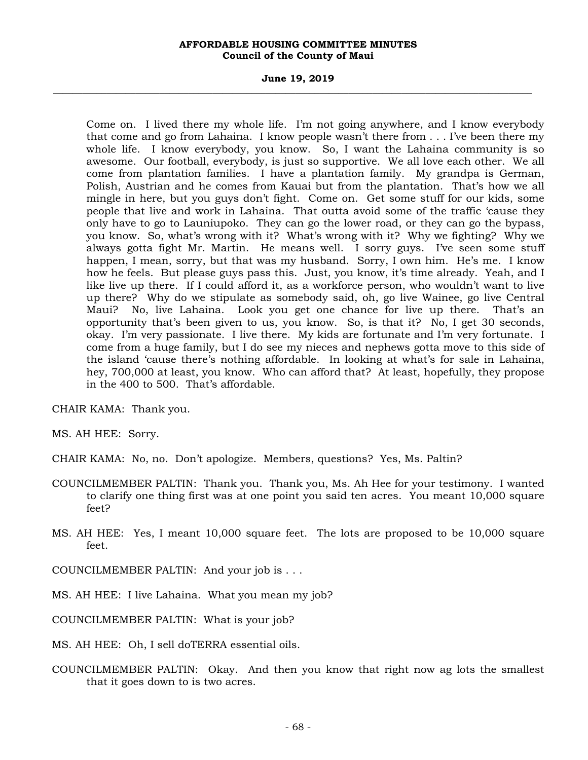### **June 19, 2019 \_\_\_\_\_\_\_\_\_\_\_\_\_\_\_\_\_\_\_\_\_\_\_\_\_\_\_\_\_\_\_\_\_\_\_\_\_\_\_\_\_\_\_\_\_\_\_\_\_\_\_\_\_\_\_\_\_\_\_\_\_\_\_\_\_\_\_\_\_\_\_\_\_\_\_\_\_\_\_\_\_\_\_\_\_\_\_\_\_\_\_\_\_\_\_\_\_\_\_**

Come on. I lived there my whole life. I'm not going anywhere, and I know everybody that come and go from Lahaina. I know people wasn't there from . . . I've been there my whole life. I know everybody, you know. So, I want the Lahaina community is so awesome. Our football, everybody, is just so supportive. We all love each other. We all come from plantation families. I have a plantation family. My grandpa is German, Polish, Austrian and he comes from Kauai but from the plantation. That's how we all mingle in here, but you guys don't fight. Come on. Get some stuff for our kids, some people that live and work in Lahaina. That outta avoid some of the traffic 'cause they only have to go to Launiupoko. They can go the lower road, or they can go the bypass, you know. So, what's wrong with it? What's wrong with it? Why we fighting? Why we always gotta fight Mr. Martin. He means well. I sorry guys. I've seen some stuff happen, I mean, sorry, but that was my husband. Sorry, I own him. He's me. I know how he feels. But please guys pass this. Just, you know, it's time already. Yeah, and I like live up there. If I could afford it, as a workforce person, who wouldn't want to live up there? Why do we stipulate as somebody said, oh, go live Wainee, go live Central Maui? No, live Lahaina. Look you get one chance for live up there. That's an opportunity that's been given to us, you know. So, is that it? No, I get 30 seconds, okay. I'm very passionate. I live there. My kids are fortunate and I'm very fortunate. I come from a huge family, but I do see my nieces and nephews gotta move to this side of the island 'cause there's nothing affordable. In looking at what's for sale in Lahaina, hey, 700,000 at least, you know. Who can afford that? At least, hopefully, they propose in the 400 to 500. That's affordable.

CHAIR KAMA: Thank you.

MS. AH HEE: Sorry.

CHAIR KAMA: No, no. Don't apologize. Members, questions? Yes, Ms. Paltin?

- COUNCILMEMBER PALTIN: Thank you. Thank you, Ms. Ah Hee for your testimony. I wanted to clarify one thing first was at one point you said ten acres. You meant 10,000 square feet?
- MS. AH HEE: Yes, I meant 10,000 square feet. The lots are proposed to be 10,000 square feet.

COUNCILMEMBER PALTIN: And your job is . . .

MS. AH HEE: I live Lahaina. What you mean my job?

COUNCILMEMBER PALTIN: What is your job?

MS. AH HEE: Oh, I sell doTERRA essential oils.

COUNCILMEMBER PALTIN: Okay. And then you know that right now ag lots the smallest that it goes down to is two acres.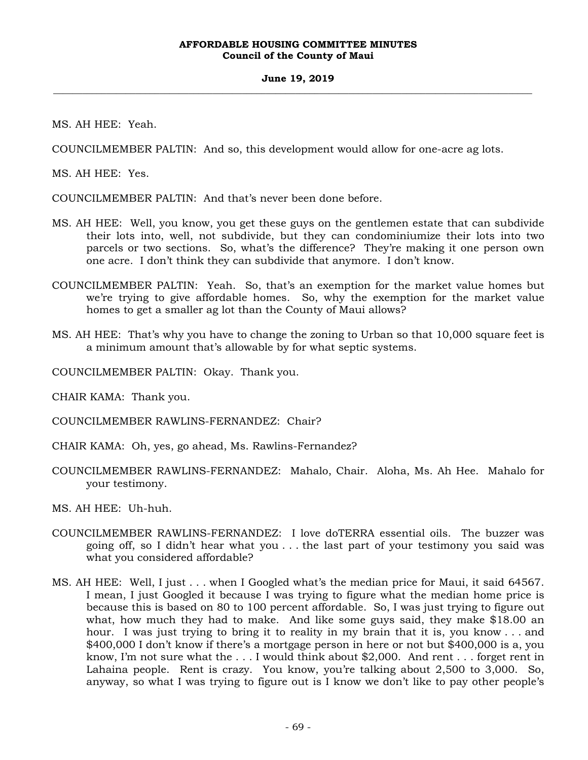MS. AH HEE: Yeah.

COUNCILMEMBER PALTIN: And so, this development would allow for one-acre ag lots.

MS. AH HEE: Yes.

COUNCILMEMBER PALTIN: And that's never been done before.

- MS. AH HEE: Well, you know, you get these guys on the gentlemen estate that can subdivide their lots into, well, not subdivide, but they can condominiumize their lots into two parcels or two sections. So, what's the difference? They're making it one person own one acre. I don't think they can subdivide that anymore. I don't know.
- COUNCILMEMBER PALTIN: Yeah. So, that's an exemption for the market value homes but we're trying to give affordable homes. So, why the exemption for the market value homes to get a smaller ag lot than the County of Maui allows?
- MS. AH HEE: That's why you have to change the zoning to Urban so that 10,000 square feet is a minimum amount that's allowable by for what septic systems.

COUNCILMEMBER PALTIN: Okay. Thank you.

CHAIR KAMA: Thank you.

COUNCILMEMBER RAWLINS-FERNANDEZ: Chair?

- CHAIR KAMA: Oh, yes, go ahead, Ms. Rawlins-Fernandez?
- COUNCILMEMBER RAWLINS-FERNANDEZ: Mahalo, Chair. Aloha, Ms. Ah Hee. Mahalo for your testimony.

MS. AH HEE: Uh-huh.

- COUNCILMEMBER RAWLINS-FERNANDEZ: I love doTERRA essential oils. The buzzer was going off, so I didn't hear what you . . . the last part of your testimony you said was what you considered affordable?
- MS. AH HEE: Well, I just . . . when I Googled what's the median price for Maui, it said 64567. I mean, I just Googled it because I was trying to figure what the median home price is because this is based on 80 to 100 percent affordable. So, I was just trying to figure out what, how much they had to make. And like some guys said, they make \$18.00 an hour. I was just trying to bring it to reality in my brain that it is, you know . . . and \$400,000 I don't know if there's a mortgage person in here or not but \$400,000 is a, you know, I'm not sure what the . . . I would think about \$2,000. And rent . . . forget rent in Lahaina people. Rent is crazy. You know, you're talking about 2,500 to 3,000. So, anyway, so what I was trying to figure out is I know we don't like to pay other people's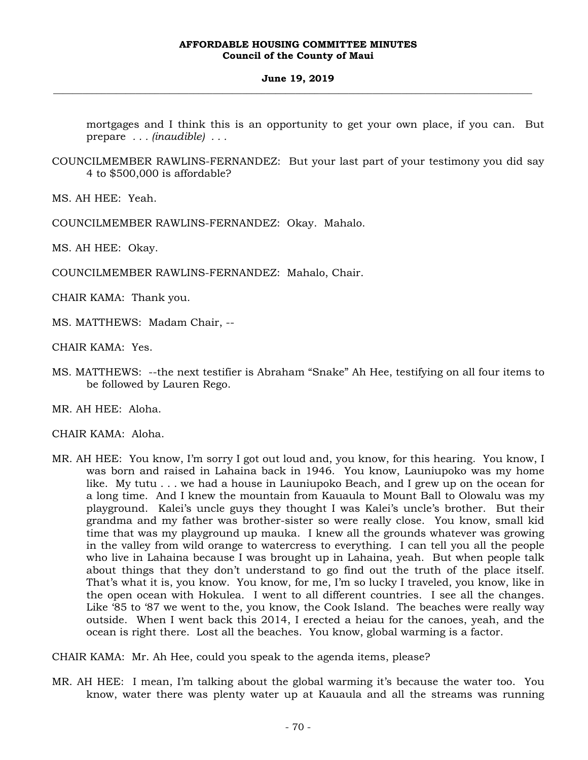mortgages and I think this is an opportunity to get your own place, if you can. But prepare *. . . (inaudible) . . .* 

COUNCILMEMBER RAWLINS-FERNANDEZ: But your last part of your testimony you did say 4 to \$500,000 is affordable?

MS. AH HEE: Yeah.

COUNCILMEMBER RAWLINS-FERNANDEZ: Okay. Mahalo.

MS. AH HEE: Okay.

COUNCILMEMBER RAWLINS-FERNANDEZ: Mahalo, Chair.

CHAIR KAMA: Thank you.

MS. MATTHEWS: Madam Chair, --

CHAIR KAMA: Yes.

MS. MATTHEWS: --the next testifier is Abraham "Snake" Ah Hee, testifying on all four items to be followed by Lauren Rego.

MR. AH HEE: Aloha.

CHAIR KAMA: Aloha.

MR. AH HEE: You know, I'm sorry I got out loud and, you know, for this hearing. You know, I was born and raised in Lahaina back in 1946. You know, Launiupoko was my home like. My tutu . . . we had a house in Launiupoko Beach, and I grew up on the ocean for a long time. And I knew the mountain from Kauaula to Mount Ball to Olowalu was my playground. Kalei's uncle guys they thought I was Kalei's uncle's brother. But their grandma and my father was brother-sister so were really close. You know, small kid time that was my playground up mauka. I knew all the grounds whatever was growing in the valley from wild orange to watercress to everything. I can tell you all the people who live in Lahaina because I was brought up in Lahaina, yeah. But when people talk about things that they don't understand to go find out the truth of the place itself. That's what it is, you know. You know, for me, I'm so lucky I traveled, you know, like in the open ocean with Hokulea. I went to all different countries. I see all the changes. Like '85 to '87 we went to the, you know, the Cook Island. The beaches were really way outside. When I went back this 2014, I erected a heiau for the canoes, yeah, and the ocean is right there. Lost all the beaches. You know, global warming is a factor.

CHAIR KAMA: Mr. Ah Hee, could you speak to the agenda items, please?

MR. AH HEE: I mean, I'm talking about the global warming it's because the water too. You know, water there was plenty water up at Kauaula and all the streams was running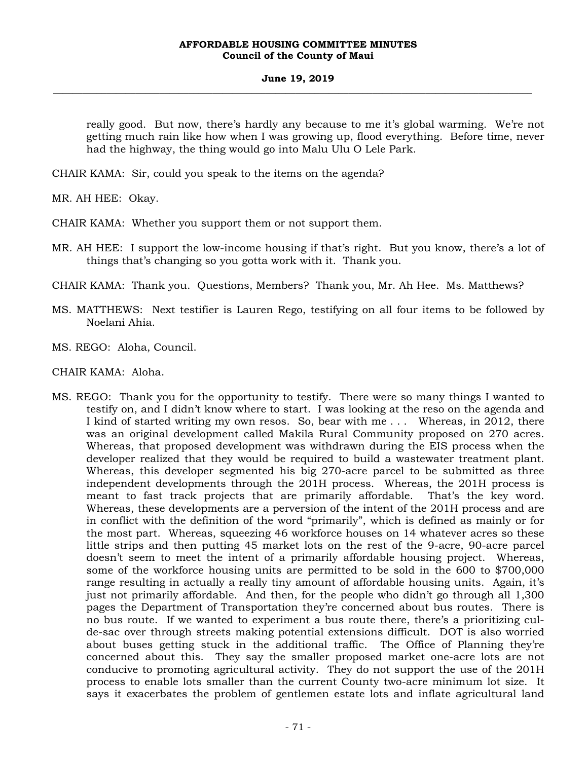### **June 19, 2019 \_\_\_\_\_\_\_\_\_\_\_\_\_\_\_\_\_\_\_\_\_\_\_\_\_\_\_\_\_\_\_\_\_\_\_\_\_\_\_\_\_\_\_\_\_\_\_\_\_\_\_\_\_\_\_\_\_\_\_\_\_\_\_\_\_\_\_\_\_\_\_\_\_\_\_\_\_\_\_\_\_\_\_\_\_\_\_\_\_\_\_\_\_\_\_\_\_\_\_**

really good. But now, there's hardly any because to me it's global warming. We're not getting much rain like how when I was growing up, flood everything. Before time, never had the highway, the thing would go into Malu Ulu O Lele Park.

CHAIR KAMA: Sir, could you speak to the items on the agenda?

MR. AH HEE: Okay.

CHAIR KAMA: Whether you support them or not support them.

MR. AH HEE: I support the low-income housing if that's right. But you know, there's a lot of things that's changing so you gotta work with it. Thank you.

CHAIR KAMA: Thank you. Questions, Members? Thank you, Mr. Ah Hee. Ms. Matthews?

MS. MATTHEWS: Next testifier is Lauren Rego, testifying on all four items to be followed by Noelani Ahia.

MS. REGO: Aloha, Council.

CHAIR KAMA: Aloha.

MS. REGO: Thank you for the opportunity to testify. There were so many things I wanted to testify on, and I didn't know where to start. I was looking at the reso on the agenda and I kind of started writing my own resos. So, bear with me . . . Whereas, in 2012, there was an original development called Makila Rural Community proposed on 270 acres. Whereas, that proposed development was withdrawn during the EIS process when the developer realized that they would be required to build a wastewater treatment plant. Whereas, this developer segmented his big 270-acre parcel to be submitted as three independent developments through the 201H process. Whereas, the 201H process is meant to fast track projects that are primarily affordable. That's the key word. Whereas, these developments are a perversion of the intent of the 201H process and are in conflict with the definition of the word "primarily", which is defined as mainly or for the most part. Whereas, squeezing 46 workforce houses on 14 whatever acres so these little strips and then putting 45 market lots on the rest of the 9-acre, 90-acre parcel doesn't seem to meet the intent of a primarily affordable housing project. Whereas, some of the workforce housing units are permitted to be sold in the 600 to \$700,000 range resulting in actually a really tiny amount of affordable housing units. Again, it's just not primarily affordable. And then, for the people who didn't go through all 1,300 pages the Department of Transportation they're concerned about bus routes. There is no bus route. If we wanted to experiment a bus route there, there's a prioritizing culde-sac over through streets making potential extensions difficult. DOT is also worried about buses getting stuck in the additional traffic. The Office of Planning they're concerned about this. They say the smaller proposed market one-acre lots are not conducive to promoting agricultural activity. They do not support the use of the 201H process to enable lots smaller than the current County two-acre minimum lot size. It says it exacerbates the problem of gentlemen estate lots and inflate agricultural land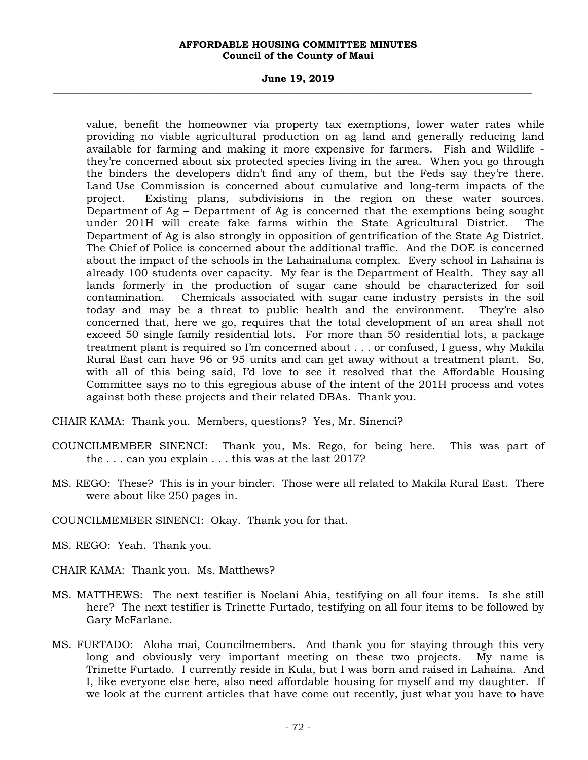### **June 19, 2019 \_\_\_\_\_\_\_\_\_\_\_\_\_\_\_\_\_\_\_\_\_\_\_\_\_\_\_\_\_\_\_\_\_\_\_\_\_\_\_\_\_\_\_\_\_\_\_\_\_\_\_\_\_\_\_\_\_\_\_\_\_\_\_\_\_\_\_\_\_\_\_\_\_\_\_\_\_\_\_\_\_\_\_\_\_\_\_\_\_\_\_\_\_\_\_\_\_\_\_**

value, benefit the homeowner via property tax exemptions, lower water rates while providing no viable agricultural production on ag land and generally reducing land available for farming and making it more expensive for farmers. Fish and Wildlife they're concerned about six protected species living in the area. When you go through the binders the developers didn't find any of them, but the Feds say they're there. Land Use Commission is concerned about cumulative and long-term impacts of the project. Existing plans, subdivisions in the region on these water sources. Department of Ag – Department of Ag is concerned that the exemptions being sought under 201H will create fake farms within the State Agricultural District. The Department of Ag is also strongly in opposition of gentrification of the State Ag District. The Chief of Police is concerned about the additional traffic. And the DOE is concerned about the impact of the schools in the Lahainaluna complex. Every school in Lahaina is already 100 students over capacity. My fear is the Department of Health. They say all lands formerly in the production of sugar cane should be characterized for soil contamination. Chemicals associated with sugar cane industry persists in the soil today and may be a threat to public health and the environment. They're also concerned that, here we go, requires that the total development of an area shall not exceed 50 single family residential lots. For more than 50 residential lots, a package treatment plant is required so I'm concerned about . . . or confused, I guess, why Makila Rural East can have 96 or 95 units and can get away without a treatment plant. So, with all of this being said, I'd love to see it resolved that the Affordable Housing Committee says no to this egregious abuse of the intent of the 201H process and votes against both these projects and their related DBAs. Thank you.

CHAIR KAMA: Thank you. Members, questions? Yes, Mr. Sinenci?

- COUNCILMEMBER SINENCI: Thank you, Ms. Rego, for being here. This was part of the . . . can you explain . . . this was at the last 2017?
- MS. REGO: These? This is in your binder. Those were all related to Makila Rural East. There were about like 250 pages in.

COUNCILMEMBER SINENCI: Okay. Thank you for that.

MS. REGO: Yeah. Thank you.

- CHAIR KAMA: Thank you. Ms. Matthews?
- MS. MATTHEWS: The next testifier is Noelani Ahia, testifying on all four items. Is she still here? The next testifier is Trinette Furtado, testifying on all four items to be followed by Gary McFarlane.
- MS. FURTADO: Aloha mai, Councilmembers. And thank you for staying through this very long and obviously very important meeting on these two projects. My name is Trinette Furtado. I currently reside in Kula, but I was born and raised in Lahaina. And I, like everyone else here, also need affordable housing for myself and my daughter. If we look at the current articles that have come out recently, just what you have to have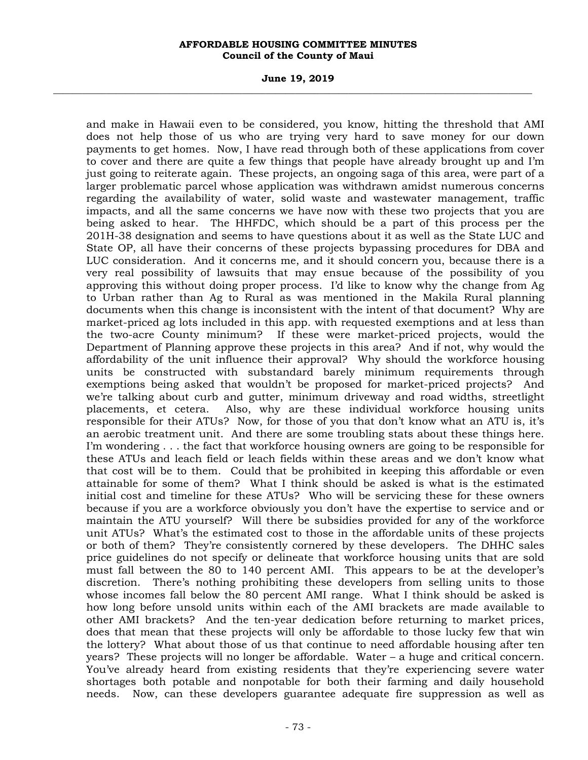#### **June 19, 2019 \_\_\_\_\_\_\_\_\_\_\_\_\_\_\_\_\_\_\_\_\_\_\_\_\_\_\_\_\_\_\_\_\_\_\_\_\_\_\_\_\_\_\_\_\_\_\_\_\_\_\_\_\_\_\_\_\_\_\_\_\_\_\_\_\_\_\_\_\_\_\_\_\_\_\_\_\_\_\_\_\_\_\_\_\_\_\_\_\_\_\_\_\_\_\_\_\_\_\_**

and make in Hawaii even to be considered, you know, hitting the threshold that AMI does not help those of us who are trying very hard to save money for our down payments to get homes. Now, I have read through both of these applications from cover to cover and there are quite a few things that people have already brought up and I'm just going to reiterate again. These projects, an ongoing saga of this area, were part of a larger problematic parcel whose application was withdrawn amidst numerous concerns regarding the availability of water, solid waste and wastewater management, traffic impacts, and all the same concerns we have now with these two projects that you are being asked to hear. The HHFDC, which should be a part of this process per the 201H-38 designation and seems to have questions about it as well as the State LUC and State OP, all have their concerns of these projects bypassing procedures for DBA and LUC consideration. And it concerns me, and it should concern you, because there is a very real possibility of lawsuits that may ensue because of the possibility of you approving this without doing proper process. I'd like to know why the change from Ag to Urban rather than Ag to Rural as was mentioned in the Makila Rural planning documents when this change is inconsistent with the intent of that document? Why are market-priced ag lots included in this app. with requested exemptions and at less than the two-acre County minimum? If these were market-priced projects, would the Department of Planning approve these projects in this area? And if not, why would the affordability of the unit influence their approval? Why should the workforce housing units be constructed with substandard barely minimum requirements through exemptions being asked that wouldn't be proposed for market-priced projects? And we're talking about curb and gutter, minimum driveway and road widths, streetlight placements, et cetera. Also, why are these individual workforce housing units responsible for their ATUs? Now, for those of you that don't know what an ATU is, it's an aerobic treatment unit. And there are some troubling stats about these things here. I'm wondering . . . the fact that workforce housing owners are going to be responsible for these ATUs and leach field or leach fields within these areas and we don't know what that cost will be to them. Could that be prohibited in keeping this affordable or even attainable for some of them? What I think should be asked is what is the estimated initial cost and timeline for these ATUs? Who will be servicing these for these owners because if you are a workforce obviously you don't have the expertise to service and or maintain the ATU yourself? Will there be subsidies provided for any of the workforce unit ATUs? What's the estimated cost to those in the affordable units of these projects or both of them? They're consistently cornered by these developers. The DHHC sales price guidelines do not specify or delineate that workforce housing units that are sold must fall between the 80 to 140 percent AMI. This appears to be at the developer's discretion. There's nothing prohibiting these developers from selling units to those whose incomes fall below the 80 percent AMI range. What I think should be asked is how long before unsold units within each of the AMI brackets are made available to other AMI brackets? And the ten-year dedication before returning to market prices, does that mean that these projects will only be affordable to those lucky few that win the lottery? What about those of us that continue to need affordable housing after ten years? These projects will no longer be affordable. Water – a huge and critical concern. You've already heard from existing residents that they're experiencing severe water shortages both potable and nonpotable for both their farming and daily household needs. Now, can these developers guarantee adequate fire suppression as well as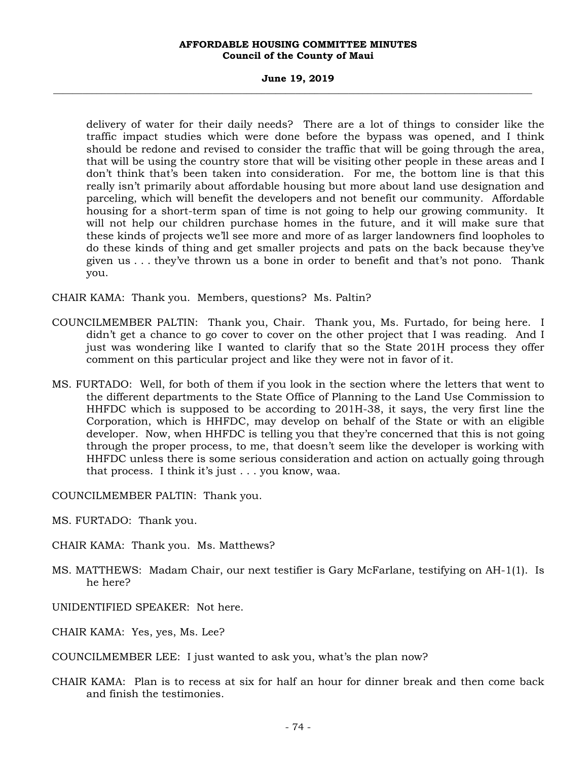#### **June 19, 2019 \_\_\_\_\_\_\_\_\_\_\_\_\_\_\_\_\_\_\_\_\_\_\_\_\_\_\_\_\_\_\_\_\_\_\_\_\_\_\_\_\_\_\_\_\_\_\_\_\_\_\_\_\_\_\_\_\_\_\_\_\_\_\_\_\_\_\_\_\_\_\_\_\_\_\_\_\_\_\_\_\_\_\_\_\_\_\_\_\_\_\_\_\_\_\_\_\_\_\_**

delivery of water for their daily needs? There are a lot of things to consider like the traffic impact studies which were done before the bypass was opened, and I think should be redone and revised to consider the traffic that will be going through the area, that will be using the country store that will be visiting other people in these areas and I don't think that's been taken into consideration. For me, the bottom line is that this really isn't primarily about affordable housing but more about land use designation and parceling, which will benefit the developers and not benefit our community. Affordable housing for a short-term span of time is not going to help our growing community. It will not help our children purchase homes in the future, and it will make sure that these kinds of projects we'll see more and more of as larger landowners find loopholes to do these kinds of thing and get smaller projects and pats on the back because they've given us . . . they've thrown us a bone in order to benefit and that's not pono. Thank you.

CHAIR KAMA: Thank you. Members, questions? Ms. Paltin?

- COUNCILMEMBER PALTIN: Thank you, Chair. Thank you, Ms. Furtado, for being here. I didn't get a chance to go cover to cover on the other project that I was reading. And I just was wondering like I wanted to clarify that so the State 201H process they offer comment on this particular project and like they were not in favor of it.
- MS. FURTADO: Well, for both of them if you look in the section where the letters that went to the different departments to the State Office of Planning to the Land Use Commission to HHFDC which is supposed to be according to 201H-38, it says, the very first line the Corporation, which is HHFDC, may develop on behalf of the State or with an eligible developer. Now, when HHFDC is telling you that they're concerned that this is not going through the proper process, to me, that doesn't seem like the developer is working with HHFDC unless there is some serious consideration and action on actually going through that process. I think it's just . . . you know, waa.

COUNCILMEMBER PALTIN: Thank you.

MS. FURTADO: Thank you.

CHAIR KAMA: Thank you. Ms. Matthews?

MS. MATTHEWS: Madam Chair, our next testifier is Gary McFarlane, testifying on AH-1(1). Is he here?

UNIDENTIFIED SPEAKER: Not here.

CHAIR KAMA: Yes, yes, Ms. Lee?

COUNCILMEMBER LEE: I just wanted to ask you, what's the plan now?

CHAIR KAMA: Plan is to recess at six for half an hour for dinner break and then come back and finish the testimonies.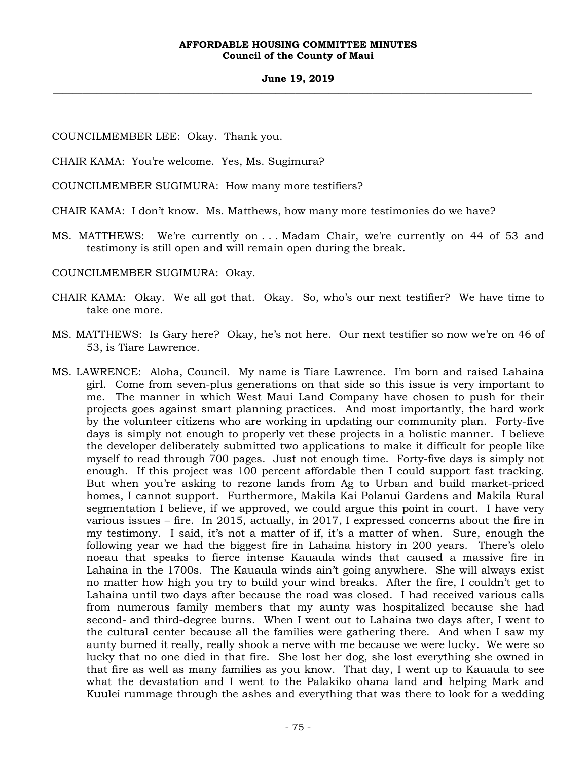#### **June 19, 2019 \_\_\_\_\_\_\_\_\_\_\_\_\_\_\_\_\_\_\_\_\_\_\_\_\_\_\_\_\_\_\_\_\_\_\_\_\_\_\_\_\_\_\_\_\_\_\_\_\_\_\_\_\_\_\_\_\_\_\_\_\_\_\_\_\_\_\_\_\_\_\_\_\_\_\_\_\_\_\_\_\_\_\_\_\_\_\_\_\_\_\_\_\_\_\_\_\_\_\_**

COUNCILMEMBER LEE: Okay. Thank you.

CHAIR KAMA: You're welcome. Yes, Ms. Sugimura?

COUNCILMEMBER SUGIMURA: How many more testifiers?

CHAIR KAMA: I don't know. Ms. Matthews, how many more testimonies do we have?

MS. MATTHEWS: We're currently on . . . Madam Chair, we're currently on 44 of 53 and testimony is still open and will remain open during the break.

COUNCILMEMBER SUGIMURA: Okay.

- CHAIR KAMA: Okay. We all got that. Okay. So, who's our next testifier? We have time to take one more.
- MS. MATTHEWS: Is Gary here? Okay, he's not here. Our next testifier so now we're on 46 of 53, is Tiare Lawrence.
- MS. LAWRENCE: Aloha, Council. My name is Tiare Lawrence. I'm born and raised Lahaina girl. Come from seven-plus generations on that side so this issue is very important to me. The manner in which West Maui Land Company have chosen to push for their projects goes against smart planning practices. And most importantly, the hard work by the volunteer citizens who are working in updating our community plan. Forty-five days is simply not enough to properly vet these projects in a holistic manner. I believe the developer deliberately submitted two applications to make it difficult for people like myself to read through 700 pages. Just not enough time. Forty-five days is simply not enough. If this project was 100 percent affordable then I could support fast tracking. But when you're asking to rezone lands from Ag to Urban and build market-priced homes, I cannot support. Furthermore, Makila Kai Polanui Gardens and Makila Rural segmentation I believe, if we approved, we could argue this point in court. I have very various issues – fire. In 2015, actually, in 2017, I expressed concerns about the fire in my testimony. I said, it's not a matter of if, it's a matter of when. Sure, enough the following year we had the biggest fire in Lahaina history in 200 years. There's olelo noeau that speaks to fierce intense Kauaula winds that caused a massive fire in Lahaina in the 1700s. The Kauaula winds ain't going anywhere. She will always exist no matter how high you try to build your wind breaks. After the fire, I couldn't get to Lahaina until two days after because the road was closed. I had received various calls from numerous family members that my aunty was hospitalized because she had second- and third-degree burns. When I went out to Lahaina two days after, I went to the cultural center because all the families were gathering there. And when I saw my aunty burned it really, really shook a nerve with me because we were lucky. We were so lucky that no one died in that fire. She lost her dog, she lost everything she owned in that fire as well as many families as you know. That day, I went up to Kauaula to see what the devastation and I went to the Palakiko ohana land and helping Mark and Kuulei rummage through the ashes and everything that was there to look for a wedding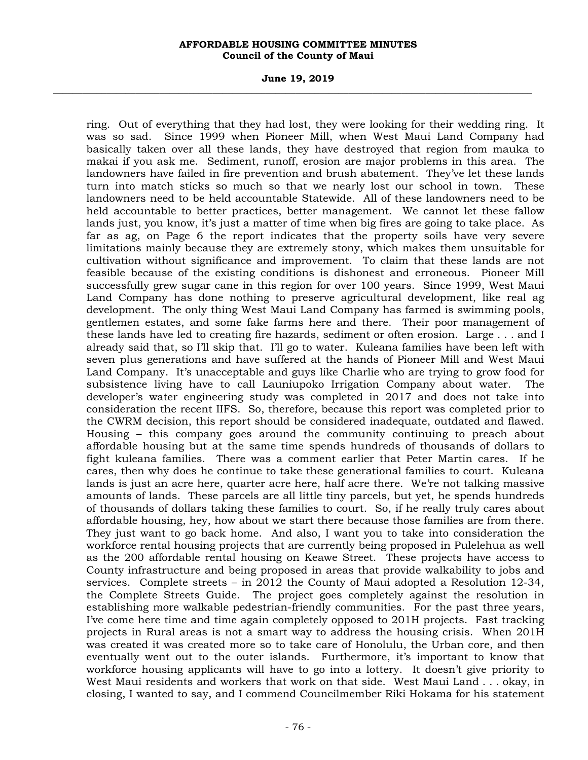#### **June 19, 2019 \_\_\_\_\_\_\_\_\_\_\_\_\_\_\_\_\_\_\_\_\_\_\_\_\_\_\_\_\_\_\_\_\_\_\_\_\_\_\_\_\_\_\_\_\_\_\_\_\_\_\_\_\_\_\_\_\_\_\_\_\_\_\_\_\_\_\_\_\_\_\_\_\_\_\_\_\_\_\_\_\_\_\_\_\_\_\_\_\_\_\_\_\_\_\_\_\_\_\_**

ring. Out of everything that they had lost, they were looking for their wedding ring. It was so sad. Since 1999 when Pioneer Mill, when West Maui Land Company had basically taken over all these lands, they have destroyed that region from mauka to makai if you ask me. Sediment, runoff, erosion are major problems in this area. The landowners have failed in fire prevention and brush abatement. They've let these lands turn into match sticks so much so that we nearly lost our school in town. These landowners need to be held accountable Statewide. All of these landowners need to be held accountable to better practices, better management. We cannot let these fallow lands just, you know, it's just a matter of time when big fires are going to take place. As far as ag, on Page 6 the report indicates that the property soils have very severe limitations mainly because they are extremely stony, which makes them unsuitable for cultivation without significance and improvement. To claim that these lands are not feasible because of the existing conditions is dishonest and erroneous. Pioneer Mill successfully grew sugar cane in this region for over 100 years. Since 1999, West Maui Land Company has done nothing to preserve agricultural development, like real ag development. The only thing West Maui Land Company has farmed is swimming pools, gentlemen estates, and some fake farms here and there. Their poor management of these lands have led to creating fire hazards, sediment or often erosion. Large . . . and I already said that, so I'll skip that. I'll go to water. Kuleana families have been left with seven plus generations and have suffered at the hands of Pioneer Mill and West Maui Land Company. It's unacceptable and guys like Charlie who are trying to grow food for subsistence living have to call Launiupoko Irrigation Company about water. The developer's water engineering study was completed in 2017 and does not take into consideration the recent IIFS. So, therefore, because this report was completed prior to the CWRM decision, this report should be considered inadequate, outdated and flawed. Housing – this company goes around the community continuing to preach about affordable housing but at the same time spends hundreds of thousands of dollars to fight kuleana families. There was a comment earlier that Peter Martin cares. If he cares, then why does he continue to take these generational families to court. Kuleana lands is just an acre here, quarter acre here, half acre there. We're not talking massive amounts of lands. These parcels are all little tiny parcels, but yet, he spends hundreds of thousands of dollars taking these families to court. So, if he really truly cares about affordable housing, hey, how about we start there because those families are from there. They just want to go back home. And also, I want you to take into consideration the workforce rental housing projects that are currently being proposed in Pulelehua as well as the 200 affordable rental housing on Keawe Street. These projects have access to County infrastructure and being proposed in areas that provide walkability to jobs and services. Complete streets – in 2012 the County of Maui adopted a Resolution 12-34, the Complete Streets Guide. The project goes completely against the resolution in establishing more walkable pedestrian-friendly communities. For the past three years, I've come here time and time again completely opposed to 201H projects. Fast tracking projects in Rural areas is not a smart way to address the housing crisis. When 201H was created it was created more so to take care of Honolulu, the Urban core, and then eventually went out to the outer islands. Furthermore, it's important to know that workforce housing applicants will have to go into a lottery. It doesn't give priority to West Maui residents and workers that work on that side. West Maui Land . . . okay, in closing, I wanted to say, and I commend Councilmember Riki Hokama for his statement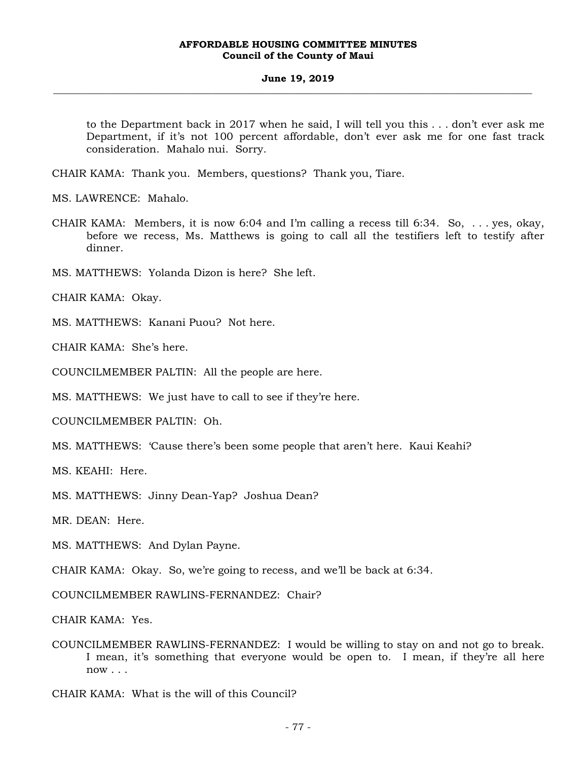#### **June 19, 2019 \_\_\_\_\_\_\_\_\_\_\_\_\_\_\_\_\_\_\_\_\_\_\_\_\_\_\_\_\_\_\_\_\_\_\_\_\_\_\_\_\_\_\_\_\_\_\_\_\_\_\_\_\_\_\_\_\_\_\_\_\_\_\_\_\_\_\_\_\_\_\_\_\_\_\_\_\_\_\_\_\_\_\_\_\_\_\_\_\_\_\_\_\_\_\_\_\_\_\_**

to the Department back in 2017 when he said, I will tell you this . . . don't ever ask me Department, if it's not 100 percent affordable, don't ever ask me for one fast track consideration. Mahalo nui. Sorry.

CHAIR KAMA: Thank you. Members, questions? Thank you, Tiare.

MS. LAWRENCE: Mahalo.

- CHAIR KAMA: Members, it is now 6:04 and I'm calling a recess till 6:34. So, . . . yes, okay, before we recess, Ms. Matthews is going to call all the testifiers left to testify after dinner.
- MS. MATTHEWS: Yolanda Dizon is here? She left.

CHAIR KAMA: Okay.

MS. MATTHEWS: Kanani Puou? Not here.

CHAIR KAMA: She's here.

COUNCILMEMBER PALTIN: All the people are here.

MS. MATTHEWS: We just have to call to see if they're here.

COUNCILMEMBER PALTIN: Oh.

MS. MATTHEWS: 'Cause there's been some people that aren't here. Kaui Keahi?

MS. KEAHI: Here.

MS. MATTHEWS: Jinny Dean-Yap? Joshua Dean?

MR. DEAN: Here.

MS. MATTHEWS: And Dylan Payne.

CHAIR KAMA: Okay. So, we're going to recess, and we'll be back at 6:34.

COUNCILMEMBER RAWLINS-FERNANDEZ: Chair?

CHAIR KAMA: Yes.

COUNCILMEMBER RAWLINS-FERNANDEZ: I would be willing to stay on and not go to break. I mean, it's something that everyone would be open to. I mean, if they're all here now . . .

CHAIR KAMA: What is the will of this Council?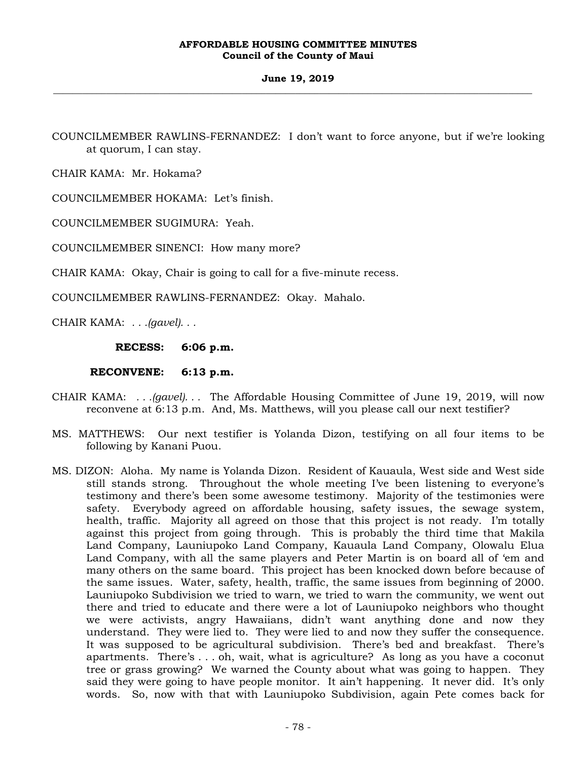COUNCILMEMBER RAWLINS-FERNANDEZ: I don't want to force anyone, but if we're looking at quorum, I can stay.

CHAIR KAMA: Mr. Hokama?

COUNCILMEMBER HOKAMA: Let's finish.

COUNCILMEMBER SUGIMURA: Yeah.

COUNCILMEMBER SINENCI: How many more?

CHAIR KAMA: Okay, Chair is going to call for a five-minute recess.

COUNCILMEMBER RAWLINS-FERNANDEZ: Okay. Mahalo.

CHAIR KAMA: *. . .(gavel). . .* 

**RECESS: 6:06 p.m.** 

 **RECONVENE: 6:13 p.m.** 

- CHAIR KAMA: *. . .(gavel). . .* The Affordable Housing Committee of June 19, 2019, will now reconvene at 6:13 p.m. And, Ms. Matthews, will you please call our next testifier?
- MS. MATTHEWS: Our next testifier is Yolanda Dizon, testifying on all four items to be following by Kanani Puou.
- MS. DIZON: Aloha. My name is Yolanda Dizon. Resident of Kauaula, West side and West side still stands strong. Throughout the whole meeting I've been listening to everyone's testimony and there's been some awesome testimony. Majority of the testimonies were safety. Everybody agreed on affordable housing, safety issues, the sewage system, health, traffic. Majority all agreed on those that this project is not ready. I'm totally against this project from going through. This is probably the third time that Makila Land Company, Launiupoko Land Company, Kauaula Land Company, Olowalu Elua Land Company, with all the same players and Peter Martin is on board all of 'em and many others on the same board. This project has been knocked down before because of the same issues. Water, safety, health, traffic, the same issues from beginning of 2000. Launiupoko Subdivision we tried to warn, we tried to warn the community, we went out there and tried to educate and there were a lot of Launiupoko neighbors who thought we were activists, angry Hawaiians, didn't want anything done and now they understand. They were lied to. They were lied to and now they suffer the consequence. It was supposed to be agricultural subdivision. There's bed and breakfast. There's apartments. There's . . . oh, wait, what is agriculture? As long as you have a coconut tree or grass growing? We warned the County about what was going to happen. They said they were going to have people monitor. It ain't happening. It never did. It's only words. So, now with that with Launiupoko Subdivision, again Pete comes back for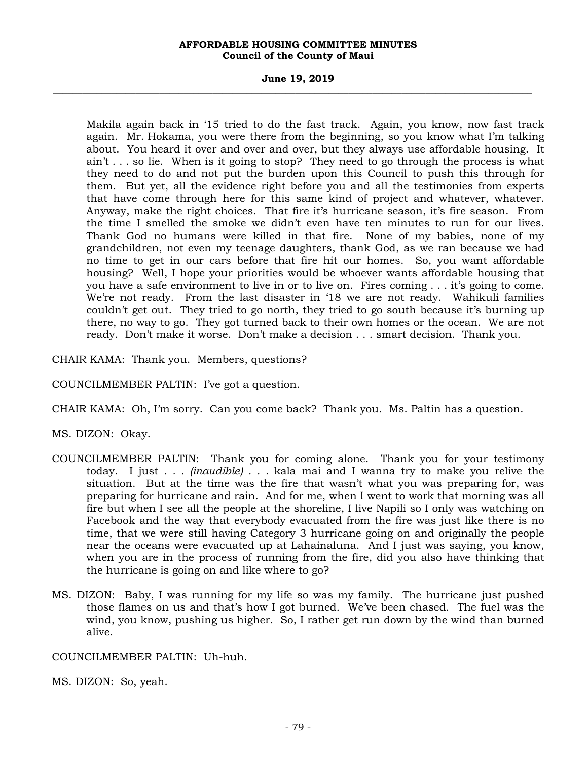#### **June 19, 2019 \_\_\_\_\_\_\_\_\_\_\_\_\_\_\_\_\_\_\_\_\_\_\_\_\_\_\_\_\_\_\_\_\_\_\_\_\_\_\_\_\_\_\_\_\_\_\_\_\_\_\_\_\_\_\_\_\_\_\_\_\_\_\_\_\_\_\_\_\_\_\_\_\_\_\_\_\_\_\_\_\_\_\_\_\_\_\_\_\_\_\_\_\_\_\_\_\_\_\_**

Makila again back in '15 tried to do the fast track. Again, you know, now fast track again. Mr. Hokama, you were there from the beginning, so you know what I'm talking about. You heard it over and over and over, but they always use affordable housing. It ain't . . . so lie. When is it going to stop? They need to go through the process is what they need to do and not put the burden upon this Council to push this through for them. But yet, all the evidence right before you and all the testimonies from experts that have come through here for this same kind of project and whatever, whatever. Anyway, make the right choices. That fire it's hurricane season, it's fire season. From the time I smelled the smoke we didn't even have ten minutes to run for our lives. Thank God no humans were killed in that fire. None of my babies, none of my grandchildren, not even my teenage daughters, thank God, as we ran because we had no time to get in our cars before that fire hit our homes. So, you want affordable housing? Well, I hope your priorities would be whoever wants affordable housing that you have a safe environment to live in or to live on. Fires coming . . . it's going to come. We're not ready. From the last disaster in '18 we are not ready. Wahikuli families couldn't get out. They tried to go north, they tried to go south because it's burning up there, no way to go. They got turned back to their own homes or the ocean. We are not ready. Don't make it worse. Don't make a decision . . . smart decision. Thank you.

CHAIR KAMA: Thank you. Members, questions?

COUNCILMEMBER PALTIN: I've got a question.

CHAIR KAMA: Oh, I'm sorry. Can you come back? Thank you. Ms. Paltin has a question.

MS. DIZON: Okay.

- COUNCILMEMBER PALTIN: Thank you for coming alone. Thank you for your testimony today. I just *. . . (inaudible) . . .* kala mai and I wanna try to make you relive the situation. But at the time was the fire that wasn't what you was preparing for, was preparing for hurricane and rain. And for me, when I went to work that morning was all fire but when I see all the people at the shoreline, I live Napili so I only was watching on Facebook and the way that everybody evacuated from the fire was just like there is no time, that we were still having Category 3 hurricane going on and originally the people near the oceans were evacuated up at Lahainaluna. And I just was saying, you know, when you are in the process of running from the fire, did you also have thinking that the hurricane is going on and like where to go?
- MS. DIZON: Baby, I was running for my life so was my family. The hurricane just pushed those flames on us and that's how I got burned. We've been chased. The fuel was the wind, you know, pushing us higher. So, I rather get run down by the wind than burned alive.

COUNCILMEMBER PALTIN: Uh-huh.

MS. DIZON: So, yeah.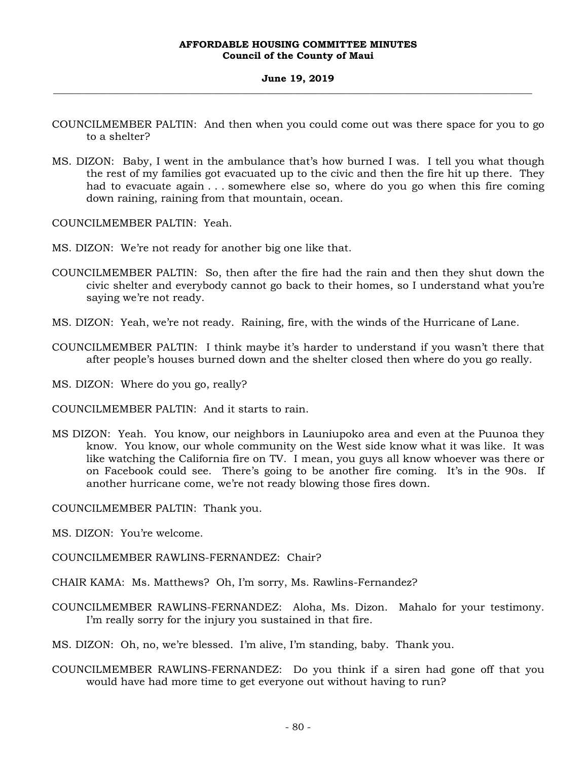#### **June 19, 2019 \_\_\_\_\_\_\_\_\_\_\_\_\_\_\_\_\_\_\_\_\_\_\_\_\_\_\_\_\_\_\_\_\_\_\_\_\_\_\_\_\_\_\_\_\_\_\_\_\_\_\_\_\_\_\_\_\_\_\_\_\_\_\_\_\_\_\_\_\_\_\_\_\_\_\_\_\_\_\_\_\_\_\_\_\_\_\_\_\_\_\_\_\_\_\_\_\_\_\_**

- COUNCILMEMBER PALTIN: And then when you could come out was there space for you to go to a shelter?
- MS. DIZON: Baby, I went in the ambulance that's how burned I was. I tell you what though the rest of my families got evacuated up to the civic and then the fire hit up there. They had to evacuate again . . . somewhere else so, where do you go when this fire coming down raining, raining from that mountain, ocean.

COUNCILMEMBER PALTIN: Yeah.

- MS. DIZON: We're not ready for another big one like that.
- COUNCILMEMBER PALTIN: So, then after the fire had the rain and then they shut down the civic shelter and everybody cannot go back to their homes, so I understand what you're saying we're not ready.
- MS. DIZON: Yeah, we're not ready. Raining, fire, with the winds of the Hurricane of Lane.
- COUNCILMEMBER PALTIN: I think maybe it's harder to understand if you wasn't there that after people's houses burned down and the shelter closed then where do you go really.
- MS. DIZON: Where do you go, really?

COUNCILMEMBER PALTIN: And it starts to rain.

MS DIZON: Yeah. You know, our neighbors in Launiupoko area and even at the Puunoa they know. You know, our whole community on the West side know what it was like. It was like watching the California fire on TV. I mean, you guys all know whoever was there or on Facebook could see. There's going to be another fire coming. It's in the 90s. If another hurricane come, we're not ready blowing those fires down.

COUNCILMEMBER PALTIN: Thank you.

- MS. DIZON: You're welcome.
- COUNCILMEMBER RAWLINS-FERNANDEZ: Chair?
- CHAIR KAMA: Ms. Matthews? Oh, I'm sorry, Ms. Rawlins-Fernandez?
- COUNCILMEMBER RAWLINS-FERNANDEZ: Aloha, Ms. Dizon. Mahalo for your testimony. I'm really sorry for the injury you sustained in that fire.

MS. DIZON: Oh, no, we're blessed. I'm alive, I'm standing, baby. Thank you.

COUNCILMEMBER RAWLINS-FERNANDEZ: Do you think if a siren had gone off that you would have had more time to get everyone out without having to run?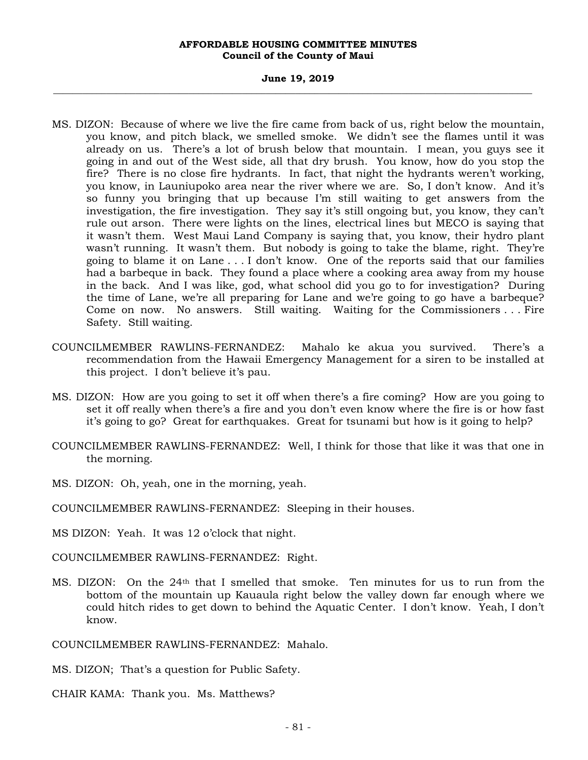#### **June 19, 2019 \_\_\_\_\_\_\_\_\_\_\_\_\_\_\_\_\_\_\_\_\_\_\_\_\_\_\_\_\_\_\_\_\_\_\_\_\_\_\_\_\_\_\_\_\_\_\_\_\_\_\_\_\_\_\_\_\_\_\_\_\_\_\_\_\_\_\_\_\_\_\_\_\_\_\_\_\_\_\_\_\_\_\_\_\_\_\_\_\_\_\_\_\_\_\_\_\_\_\_**

- MS. DIZON: Because of where we live the fire came from back of us, right below the mountain, you know, and pitch black, we smelled smoke. We didn't see the flames until it was already on us. There's a lot of brush below that mountain. I mean, you guys see it going in and out of the West side, all that dry brush. You know, how do you stop the fire? There is no close fire hydrants. In fact, that night the hydrants weren't working, you know, in Launiupoko area near the river where we are. So, I don't know. And it's so funny you bringing that up because I'm still waiting to get answers from the investigation, the fire investigation. They say it's still ongoing but, you know, they can't rule out arson. There were lights on the lines, electrical lines but MECO is saying that it wasn't them. West Maui Land Company is saying that, you know, their hydro plant wasn't running. It wasn't them. But nobody is going to take the blame, right. They're going to blame it on Lane . . . I don't know. One of the reports said that our families had a barbeque in back. They found a place where a cooking area away from my house in the back. And I was like, god, what school did you go to for investigation? During the time of Lane, we're all preparing for Lane and we're going to go have a barbeque? Come on now. No answers. Still waiting. Waiting for the Commissioners . . . Fire Safety. Still waiting.
- COUNCILMEMBER RAWLINS-FERNANDEZ: Mahalo ke akua you survived. There's a recommendation from the Hawaii Emergency Management for a siren to be installed at this project. I don't believe it's pau.
- MS. DIZON: How are you going to set it off when there's a fire coming? How are you going to set it off really when there's a fire and you don't even know where the fire is or how fast it's going to go? Great for earthquakes. Great for tsunami but how is it going to help?
- COUNCILMEMBER RAWLINS-FERNANDEZ: Well, I think for those that like it was that one in the morning.
- MS. DIZON: Oh, yeah, one in the morning, yeah.
- COUNCILMEMBER RAWLINS-FERNANDEZ: Sleeping in their houses.

MS DIZON: Yeah. It was 12 o'clock that night.

COUNCILMEMBER RAWLINS-FERNANDEZ: Right.

MS. DIZON: On the 24th that I smelled that smoke. Ten minutes for us to run from the bottom of the mountain up Kauaula right below the valley down far enough where we could hitch rides to get down to behind the Aquatic Center. I don't know. Yeah, I don't know.

COUNCILMEMBER RAWLINS-FERNANDEZ: Mahalo.

MS. DIZON; That's a question for Public Safety.

CHAIR KAMA: Thank you. Ms. Matthews?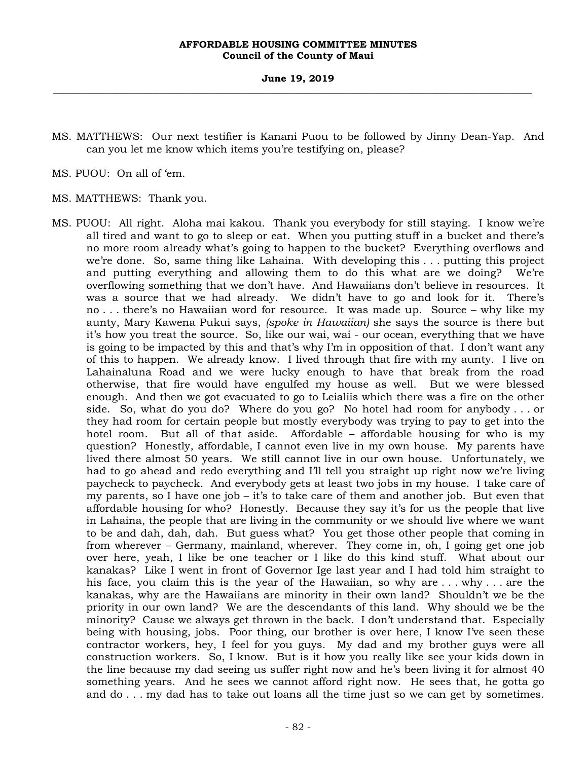MS. MATTHEWS: Our next testifier is Kanani Puou to be followed by Jinny Dean-Yap. And can you let me know which items you're testifying on, please?

MS. PUOU: On all of 'em.

MS. MATTHEWS: Thank you.

MS. PUOU: All right. Aloha mai kakou. Thank you everybody for still staying. I know we're all tired and want to go to sleep or eat. When you putting stuff in a bucket and there's no more room already what's going to happen to the bucket? Everything overflows and we're done. So, same thing like Lahaina. With developing this ... putting this project and putting everything and allowing them to do this what are we doing? We're overflowing something that we don't have. And Hawaiians don't believe in resources. It was a source that we had already. We didn't have to go and look for it. There's no . . . there's no Hawaiian word for resource. It was made up. Source – why like my aunty, Mary Kawena Pukui says, *(spoke in Hawaiian)* she says the source is there but it's how you treat the source. So, like our wai, wai - our ocean, everything that we have is going to be impacted by this and that's why I'm in opposition of that. I don't want any of this to happen. We already know. I lived through that fire with my aunty. I live on Lahainaluna Road and we were lucky enough to have that break from the road otherwise, that fire would have engulfed my house as well. But we were blessed enough. And then we got evacuated to go to Leialiis which there was a fire on the other side. So, what do you do? Where do you go? No hotel had room for anybody . . . or they had room for certain people but mostly everybody was trying to pay to get into the hotel room. But all of that aside. Affordable – affordable housing for who is my question? Honestly, affordable, I cannot even live in my own house. My parents have lived there almost 50 years. We still cannot live in our own house. Unfortunately, we had to go ahead and redo everything and I'll tell you straight up right now we're living paycheck to paycheck. And everybody gets at least two jobs in my house. I take care of my parents, so I have one job – it's to take care of them and another job. But even that affordable housing for who? Honestly. Because they say it's for us the people that live in Lahaina, the people that are living in the community or we should live where we want to be and dah, dah, dah. But guess what? You get those other people that coming in from wherever – Germany, mainland, wherever. They come in, oh, I going get one job over here, yeah, I like be one teacher or I like do this kind stuff. What about our kanakas? Like I went in front of Governor Ige last year and I had told him straight to his face, you claim this is the year of the Hawaiian, so why are . . . why . . . are the kanakas, why are the Hawaiians are minority in their own land? Shouldn't we be the priority in our own land? We are the descendants of this land. Why should we be the minority? Cause we always get thrown in the back. I don't understand that. Especially being with housing, jobs. Poor thing, our brother is over here, I know I've seen these contractor workers, hey, I feel for you guys. My dad and my brother guys were all construction workers. So, I know. But is it how you really like see your kids down in the line because my dad seeing us suffer right now and he's been living it for almost 40 something years. And he sees we cannot afford right now. He sees that, he gotta go and do . . . my dad has to take out loans all the time just so we can get by sometimes.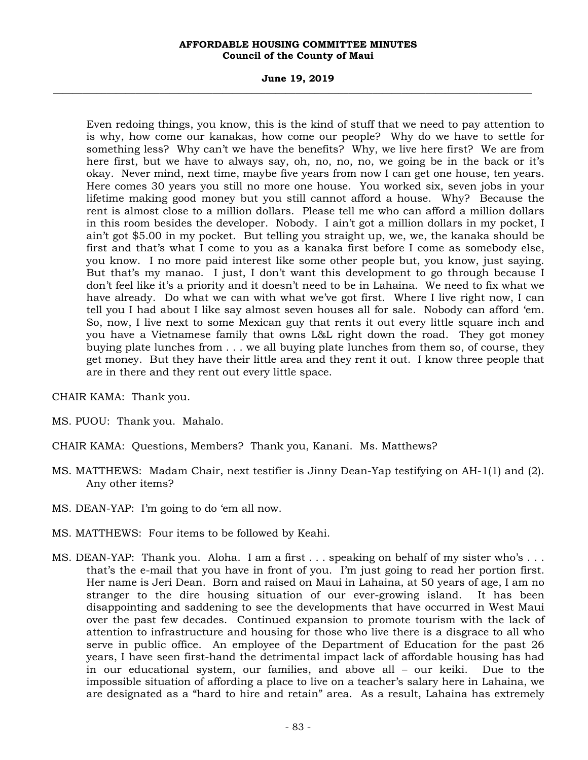#### **June 19, 2019 \_\_\_\_\_\_\_\_\_\_\_\_\_\_\_\_\_\_\_\_\_\_\_\_\_\_\_\_\_\_\_\_\_\_\_\_\_\_\_\_\_\_\_\_\_\_\_\_\_\_\_\_\_\_\_\_\_\_\_\_\_\_\_\_\_\_\_\_\_\_\_\_\_\_\_\_\_\_\_\_\_\_\_\_\_\_\_\_\_\_\_\_\_\_\_\_\_\_\_**

Even redoing things, you know, this is the kind of stuff that we need to pay attention to is why, how come our kanakas, how come our people? Why do we have to settle for something less? Why can't we have the benefits? Why, we live here first? We are from here first, but we have to always say, oh, no, no, no, we going be in the back or it's okay. Never mind, next time, maybe five years from now I can get one house, ten years. Here comes 30 years you still no more one house. You worked six, seven jobs in your lifetime making good money but you still cannot afford a house. Why? Because the rent is almost close to a million dollars. Please tell me who can afford a million dollars in this room besides the developer. Nobody. I ain't got a million dollars in my pocket, I ain't got \$5.00 in my pocket. But telling you straight up, we, we, the kanaka should be first and that's what I come to you as a kanaka first before I come as somebody else, you know. I no more paid interest like some other people but, you know, just saying. But that's my manao. I just, I don't want this development to go through because I don't feel like it's a priority and it doesn't need to be in Lahaina. We need to fix what we have already. Do what we can with what we've got first. Where I live right now, I can tell you I had about I like say almost seven houses all for sale. Nobody can afford 'em. So, now, I live next to some Mexican guy that rents it out every little square inch and you have a Vietnamese family that owns L&L right down the road. They got money buying plate lunches from . . . we all buying plate lunches from them so, of course, they get money. But they have their little area and they rent it out. I know three people that are in there and they rent out every little space.

CHAIR KAMA: Thank you.

- MS. PUOU: Thank you. Mahalo.
- CHAIR KAMA: Questions, Members? Thank you, Kanani. Ms. Matthews?
- MS. MATTHEWS: Madam Chair, next testifier is Jinny Dean-Yap testifying on AH-1(1) and (2). Any other items?
- MS. DEAN-YAP: I'm going to do 'em all now.
- MS. MATTHEWS: Four items to be followed by Keahi.
- MS. DEAN-YAP: Thank you. Aloha. I am a first . . . speaking on behalf of my sister who's . . . that's the e-mail that you have in front of you. I'm just going to read her portion first. Her name is Jeri Dean. Born and raised on Maui in Lahaina, at 50 years of age, I am no stranger to the dire housing situation of our ever-growing island. It has been disappointing and saddening to see the developments that have occurred in West Maui over the past few decades. Continued expansion to promote tourism with the lack of attention to infrastructure and housing for those who live there is a disgrace to all who serve in public office. An employee of the Department of Education for the past 26 years, I have seen first-hand the detrimental impact lack of affordable housing has had in our educational system, our families, and above all – our keiki. Due to the impossible situation of affording a place to live on a teacher's salary here in Lahaina, we are designated as a "hard to hire and retain" area. As a result, Lahaina has extremely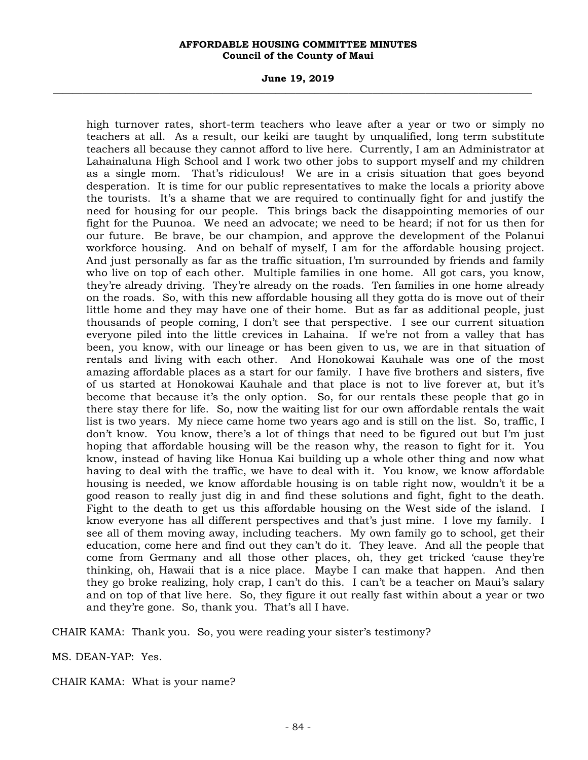#### **June 19, 2019 \_\_\_\_\_\_\_\_\_\_\_\_\_\_\_\_\_\_\_\_\_\_\_\_\_\_\_\_\_\_\_\_\_\_\_\_\_\_\_\_\_\_\_\_\_\_\_\_\_\_\_\_\_\_\_\_\_\_\_\_\_\_\_\_\_\_\_\_\_\_\_\_\_\_\_\_\_\_\_\_\_\_\_\_\_\_\_\_\_\_\_\_\_\_\_\_\_\_\_**

high turnover rates, short-term teachers who leave after a year or two or simply no teachers at all. As a result, our keiki are taught by unqualified, long term substitute teachers all because they cannot afford to live here. Currently, I am an Administrator at Lahainaluna High School and I work two other jobs to support myself and my children as a single mom. That's ridiculous! We are in a crisis situation that goes beyond desperation. It is time for our public representatives to make the locals a priority above the tourists. It's a shame that we are required to continually fight for and justify the need for housing for our people. This brings back the disappointing memories of our fight for the Puunoa. We need an advocate; we need to be heard; if not for us then for our future. Be brave, be our champion, and approve the development of the Polanui workforce housing. And on behalf of myself, I am for the affordable housing project. And just personally as far as the traffic situation, I'm surrounded by friends and family who live on top of each other. Multiple families in one home. All got cars, you know, they're already driving. They're already on the roads. Ten families in one home already on the roads. So, with this new affordable housing all they gotta do is move out of their little home and they may have one of their home. But as far as additional people, just thousands of people coming, I don't see that perspective. I see our current situation everyone piled into the little crevices in Lahaina. If we're not from a valley that has been, you know, with our lineage or has been given to us, we are in that situation of rentals and living with each other. And Honokowai Kauhale was one of the most amazing affordable places as a start for our family. I have five brothers and sisters, five of us started at Honokowai Kauhale and that place is not to live forever at, but it's become that because it's the only option. So, for our rentals these people that go in there stay there for life. So, now the waiting list for our own affordable rentals the wait list is two years. My niece came home two years ago and is still on the list. So, traffic, I don't know. You know, there's a lot of things that need to be figured out but I'm just hoping that affordable housing will be the reason why, the reason to fight for it. You know, instead of having like Honua Kai building up a whole other thing and now what having to deal with the traffic, we have to deal with it. You know, we know affordable housing is needed, we know affordable housing is on table right now, wouldn't it be a good reason to really just dig in and find these solutions and fight, fight to the death. Fight to the death to get us this affordable housing on the West side of the island. I know everyone has all different perspectives and that's just mine. I love my family. I see all of them moving away, including teachers. My own family go to school, get their education, come here and find out they can't do it. They leave. And all the people that come from Germany and all those other places, oh, they get tricked 'cause they're thinking, oh, Hawaii that is a nice place. Maybe I can make that happen. And then they go broke realizing, holy crap, I can't do this. I can't be a teacher on Maui's salary and on top of that live here. So, they figure it out really fast within about a year or two and they're gone. So, thank you. That's all I have.

CHAIR KAMA: Thank you. So, you were reading your sister's testimony?

MS. DEAN-YAP: Yes.

CHAIR KAMA: What is your name?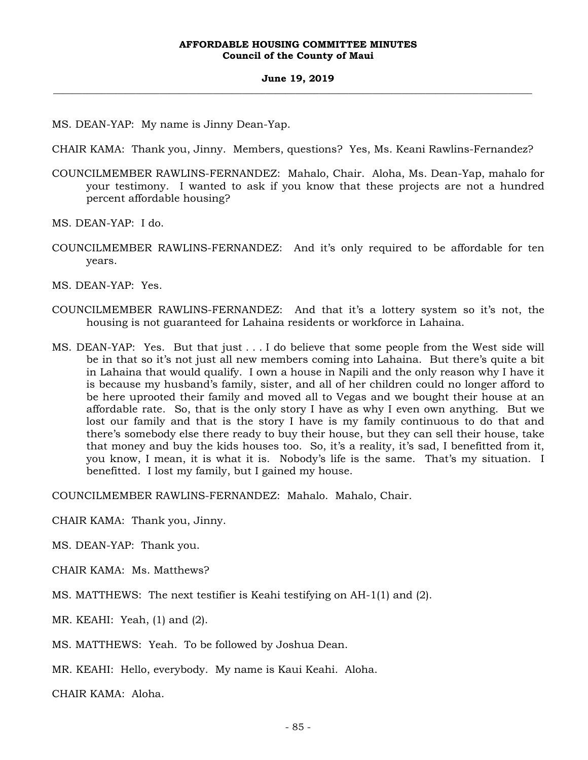MS. DEAN-YAP: My name is Jinny Dean-Yap.

CHAIR KAMA: Thank you, Jinny. Members, questions? Yes, Ms. Keani Rawlins-Fernandez?

COUNCILMEMBER RAWLINS-FERNANDEZ: Mahalo, Chair. Aloha, Ms. Dean-Yap, mahalo for your testimony. I wanted to ask if you know that these projects are not a hundred percent affordable housing?

MS. DEAN-YAP: I do.

COUNCILMEMBER RAWLINS-FERNANDEZ: And it's only required to be affordable for ten years.

MS. DEAN-YAP: Yes.

- COUNCILMEMBER RAWLINS-FERNANDEZ: And that it's a lottery system so it's not, the housing is not guaranteed for Lahaina residents or workforce in Lahaina.
- MS. DEAN-YAP: Yes. But that just . . . I do believe that some people from the West side will be in that so it's not just all new members coming into Lahaina. But there's quite a bit in Lahaina that would qualify. I own a house in Napili and the only reason why I have it is because my husband's family, sister, and all of her children could no longer afford to be here uprooted their family and moved all to Vegas and we bought their house at an affordable rate. So, that is the only story I have as why I even own anything. But we lost our family and that is the story I have is my family continuous to do that and there's somebody else there ready to buy their house, but they can sell their house, take that money and buy the kids houses too. So, it's a reality, it's sad, I benefitted from it, you know, I mean, it is what it is. Nobody's life is the same. That's my situation. I benefitted. I lost my family, but I gained my house.

COUNCILMEMBER RAWLINS-FERNANDEZ: Mahalo. Mahalo, Chair.

CHAIR KAMA: Thank you, Jinny.

MS. DEAN-YAP: Thank you.

- CHAIR KAMA: Ms. Matthews?
- MS. MATTHEWS: The next testifier is Keahi testifying on AH-1(1) and (2).

MR. KEAHI: Yeah, (1) and (2).

MS. MATTHEWS: Yeah. To be followed by Joshua Dean.

MR. KEAHI: Hello, everybody. My name is Kaui Keahi. Aloha.

CHAIR KAMA: Aloha.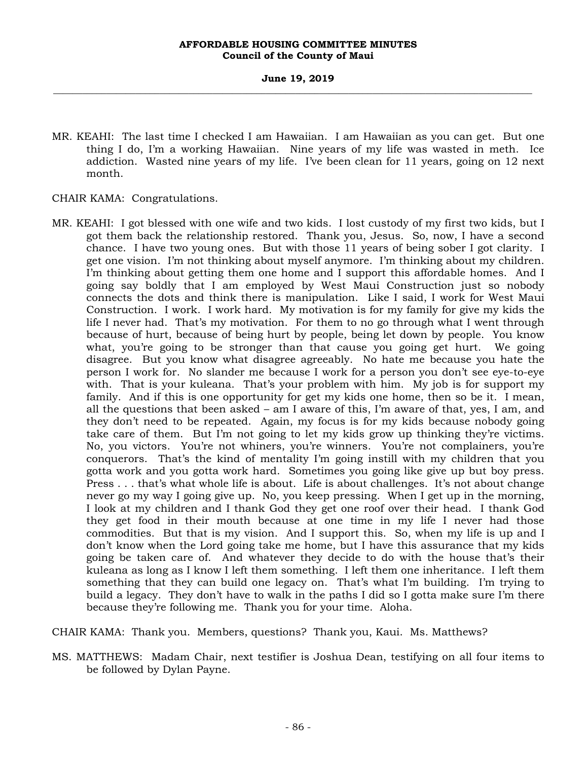- MR. KEAHI: The last time I checked I am Hawaiian. I am Hawaiian as you can get. But one thing I do, I'm a working Hawaiian. Nine years of my life was wasted in meth. Ice addiction. Wasted nine years of my life. I've been clean for 11 years, going on 12 next month.
- CHAIR KAMA: Congratulations.
- MR. KEAHI: I got blessed with one wife and two kids. I lost custody of my first two kids, but I got them back the relationship restored. Thank you, Jesus. So, now, I have a second chance. I have two young ones. But with those 11 years of being sober I got clarity. I get one vision. I'm not thinking about myself anymore. I'm thinking about my children. I'm thinking about getting them one home and I support this affordable homes. And I going say boldly that I am employed by West Maui Construction just so nobody connects the dots and think there is manipulation. Like I said, I work for West Maui Construction. I work. I work hard. My motivation is for my family for give my kids the life I never had. That's my motivation. For them to no go through what I went through because of hurt, because of being hurt by people, being let down by people. You know what, you're going to be stronger than that cause you going get hurt. We going disagree. But you know what disagree agreeably. No hate me because you hate the person I work for. No slander me because I work for a person you don't see eye-to-eye with. That is your kuleana. That's your problem with him. My job is for support my family. And if this is one opportunity for get my kids one home, then so be it. I mean, all the questions that been asked – am I aware of this, I'm aware of that, yes, I am, and they don't need to be repeated. Again, my focus is for my kids because nobody going take care of them. But I'm not going to let my kids grow up thinking they're victims. No, you victors. You're not whiners, you're winners. You're not complainers, you're conquerors. That's the kind of mentality I'm going instill with my children that you gotta work and you gotta work hard. Sometimes you going like give up but boy press. Press . . . that's what whole life is about. Life is about challenges. It's not about change never go my way I going give up. No, you keep pressing. When I get up in the morning, I look at my children and I thank God they get one roof over their head. I thank God they get food in their mouth because at one time in my life I never had those commodities. But that is my vision. And I support this. So, when my life is up and I don't know when the Lord going take me home, but I have this assurance that my kids going be taken care of. And whatever they decide to do with the house that's their kuleana as long as I know I left them something. I left them one inheritance. I left them something that they can build one legacy on. That's what I'm building. I'm trying to build a legacy. They don't have to walk in the paths I did so I gotta make sure I'm there because they're following me. Thank you for your time. Aloha.

CHAIR KAMA: Thank you. Members, questions? Thank you, Kaui. Ms. Matthews?

MS. MATTHEWS: Madam Chair, next testifier is Joshua Dean, testifying on all four items to be followed by Dylan Payne.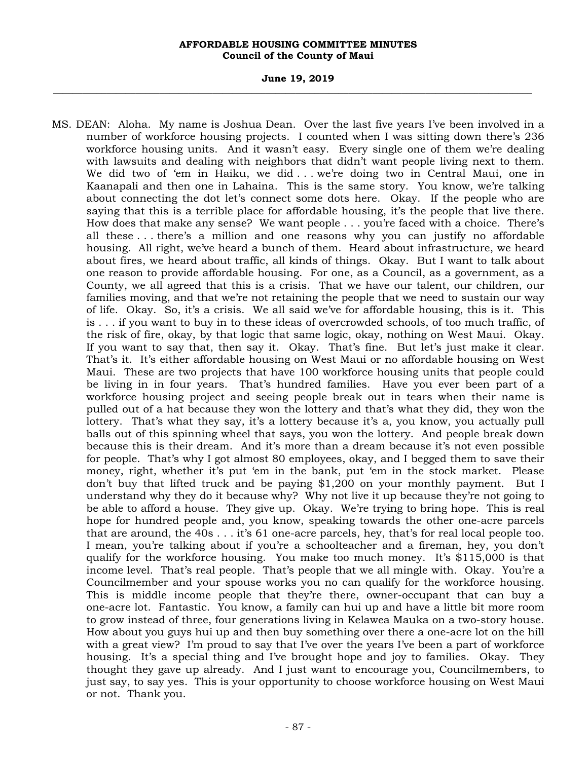#### **June 19, 2019 \_\_\_\_\_\_\_\_\_\_\_\_\_\_\_\_\_\_\_\_\_\_\_\_\_\_\_\_\_\_\_\_\_\_\_\_\_\_\_\_\_\_\_\_\_\_\_\_\_\_\_\_\_\_\_\_\_\_\_\_\_\_\_\_\_\_\_\_\_\_\_\_\_\_\_\_\_\_\_\_\_\_\_\_\_\_\_\_\_\_\_\_\_\_\_\_\_\_\_**

MS. DEAN: Aloha. My name is Joshua Dean. Over the last five years I've been involved in a number of workforce housing projects. I counted when I was sitting down there's 236 workforce housing units. And it wasn't easy. Every single one of them we're dealing with lawsuits and dealing with neighbors that didn't want people living next to them. We did two of 'em in Haiku, we did . . . we're doing two in Central Maui, one in Kaanapali and then one in Lahaina. This is the same story. You know, we're talking about connecting the dot let's connect some dots here. Okay. If the people who are saying that this is a terrible place for affordable housing, it's the people that live there. How does that make any sense? We want people . . . you're faced with a choice. There's all these . . . there's a million and one reasons why you can justify no affordable housing. All right, we've heard a bunch of them. Heard about infrastructure, we heard about fires, we heard about traffic, all kinds of things. Okay. But I want to talk about one reason to provide affordable housing. For one, as a Council, as a government, as a County, we all agreed that this is a crisis. That we have our talent, our children, our families moving, and that we're not retaining the people that we need to sustain our way of life. Okay. So, it's a crisis. We all said we've for affordable housing, this is it. This is . . . if you want to buy in to these ideas of overcrowded schools, of too much traffic, of the risk of fire, okay, by that logic that same logic, okay, nothing on West Maui. Okay. If you want to say that, then say it. Okay. That's fine. But let's just make it clear. That's it. It's either affordable housing on West Maui or no affordable housing on West Maui. These are two projects that have 100 workforce housing units that people could be living in in four years. That's hundred families. Have you ever been part of a workforce housing project and seeing people break out in tears when their name is pulled out of a hat because they won the lottery and that's what they did, they won the lottery. That's what they say, it's a lottery because it's a, you know, you actually pull balls out of this spinning wheel that says, you won the lottery. And people break down because this is their dream. And it's more than a dream because it's not even possible for people. That's why I got almost 80 employees, okay, and I begged them to save their money, right, whether it's put 'em in the bank, put 'em in the stock market. Please don't buy that lifted truck and be paying \$1,200 on your monthly payment. But I understand why they do it because why? Why not live it up because they're not going to be able to afford a house. They give up. Okay. We're trying to bring hope. This is real hope for hundred people and, you know, speaking towards the other one-acre parcels that are around, the 40s . . . it's 61 one-acre parcels, hey, that's for real local people too. I mean, you're talking about if you're a schoolteacher and a fireman, hey, you don't qualify for the workforce housing. You make too much money. It's \$115,000 is that income level. That's real people. That's people that we all mingle with. Okay. You're a Councilmember and your spouse works you no can qualify for the workforce housing. This is middle income people that they're there, owner-occupant that can buy a one-acre lot. Fantastic. You know, a family can hui up and have a little bit more room to grow instead of three, four generations living in Kelawea Mauka on a two-story house. How about you guys hui up and then buy something over there a one-acre lot on the hill with a great view? I'm proud to say that I've over the years I've been a part of workforce housing. It's a special thing and I've brought hope and joy to families. Okay. They thought they gave up already. And I just want to encourage you, Councilmembers, to just say, to say yes. This is your opportunity to choose workforce housing on West Maui or not. Thank you.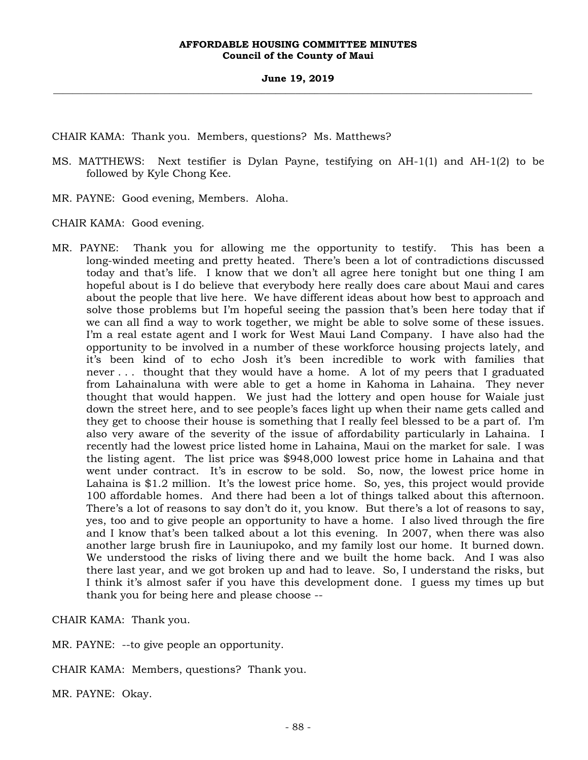CHAIR KAMA: Thank you. Members, questions? Ms. Matthews?

- MS. MATTHEWS: Next testifier is Dylan Payne, testifying on AH-1(1) and AH-1(2) to be followed by Kyle Chong Kee.
- MR. PAYNE: Good evening, Members. Aloha.

CHAIR KAMA: Good evening.

MR. PAYNE: Thank you for allowing me the opportunity to testify. This has been a long-winded meeting and pretty heated. There's been a lot of contradictions discussed today and that's life. I know that we don't all agree here tonight but one thing I am hopeful about is I do believe that everybody here really does care about Maui and cares about the people that live here. We have different ideas about how best to approach and solve those problems but I'm hopeful seeing the passion that's been here today that if we can all find a way to work together, we might be able to solve some of these issues. I'm a real estate agent and I work for West Maui Land Company. I have also had the opportunity to be involved in a number of these workforce housing projects lately, and it's been kind of to echo Josh it's been incredible to work with families that never . . . thought that they would have a home. A lot of my peers that I graduated from Lahainaluna with were able to get a home in Kahoma in Lahaina. They never thought that would happen. We just had the lottery and open house for Waiale just down the street here, and to see people's faces light up when their name gets called and they get to choose their house is something that I really feel blessed to be a part of. I'm also very aware of the severity of the issue of affordability particularly in Lahaina. I recently had the lowest price listed home in Lahaina, Maui on the market for sale. I was the listing agent. The list price was \$948,000 lowest price home in Lahaina and that went under contract. It's in escrow to be sold. So, now, the lowest price home in Lahaina is \$1.2 million. It's the lowest price home. So, yes, this project would provide 100 affordable homes. And there had been a lot of things talked about this afternoon. There's a lot of reasons to say don't do it, you know. But there's a lot of reasons to say, yes, too and to give people an opportunity to have a home. I also lived through the fire and I know that's been talked about a lot this evening. In 2007, when there was also another large brush fire in Launiupoko, and my family lost our home. It burned down. We understood the risks of living there and we built the home back. And I was also there last year, and we got broken up and had to leave. So, I understand the risks, but I think it's almost safer if you have this development done. I guess my times up but thank you for being here and please choose --

CHAIR KAMA: Thank you.

MR. PAYNE: --to give people an opportunity.

CHAIR KAMA: Members, questions? Thank you.

MR. PAYNE: Okay.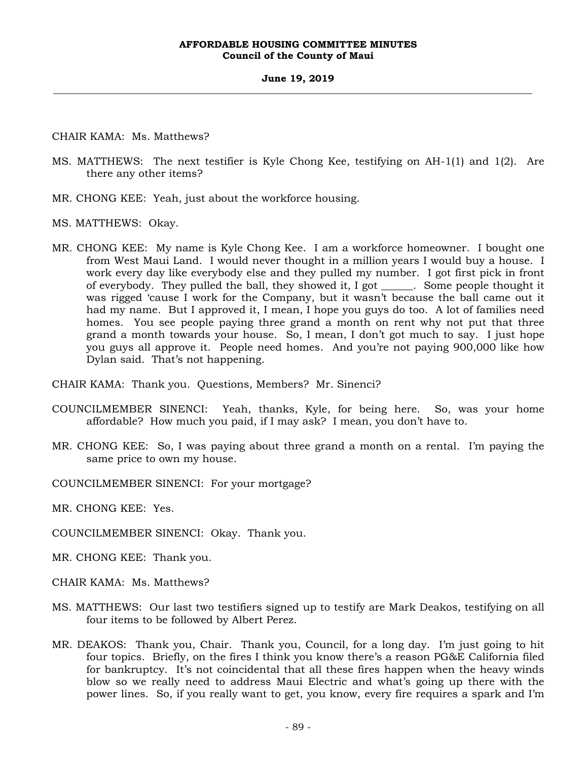CHAIR KAMA: Ms. Matthews?

- MS. MATTHEWS: The next testifier is Kyle Chong Kee, testifying on AH-1(1) and 1(2). Are there any other items?
- MR. CHONG KEE: Yeah, just about the workforce housing.
- MS. MATTHEWS: Okay.
- MR. CHONG KEE: My name is Kyle Chong Kee. I am a workforce homeowner. I bought one from West Maui Land. I would never thought in a million years I would buy a house. I work every day like everybody else and they pulled my number. I got first pick in front of everybody. They pulled the ball, they showed it, I got \_\_\_\_\_\_. Some people thought it was rigged 'cause I work for the Company, but it wasn't because the ball came out it had my name. But I approved it, I mean, I hope you guys do too. A lot of families need homes. You see people paying three grand a month on rent why not put that three grand a month towards your house. So, I mean, I don't got much to say. I just hope you guys all approve it. People need homes. And you're not paying 900,000 like how Dylan said. That's not happening.
- CHAIR KAMA: Thank you. Questions, Members? Mr. Sinenci?
- COUNCILMEMBER SINENCI: Yeah, thanks, Kyle, for being here. So, was your home affordable? How much you paid, if I may ask? I mean, you don't have to.
- MR. CHONG KEE: So, I was paying about three grand a month on a rental. I'm paying the same price to own my house.
- COUNCILMEMBER SINENCI: For your mortgage?
- MR. CHONG KEE: Yes.
- COUNCILMEMBER SINENCI: Okay. Thank you.
- MR. CHONG KEE: Thank you.
- CHAIR KAMA: Ms. Matthews?
- MS. MATTHEWS: Our last two testifiers signed up to testify are Mark Deakos, testifying on all four items to be followed by Albert Perez.
- MR. DEAKOS: Thank you, Chair. Thank you, Council, for a long day. I'm just going to hit four topics. Briefly, on the fires I think you know there's a reason PG&E California filed for bankruptcy. It's not coincidental that all these fires happen when the heavy winds blow so we really need to address Maui Electric and what's going up there with the power lines. So, if you really want to get, you know, every fire requires a spark and I'm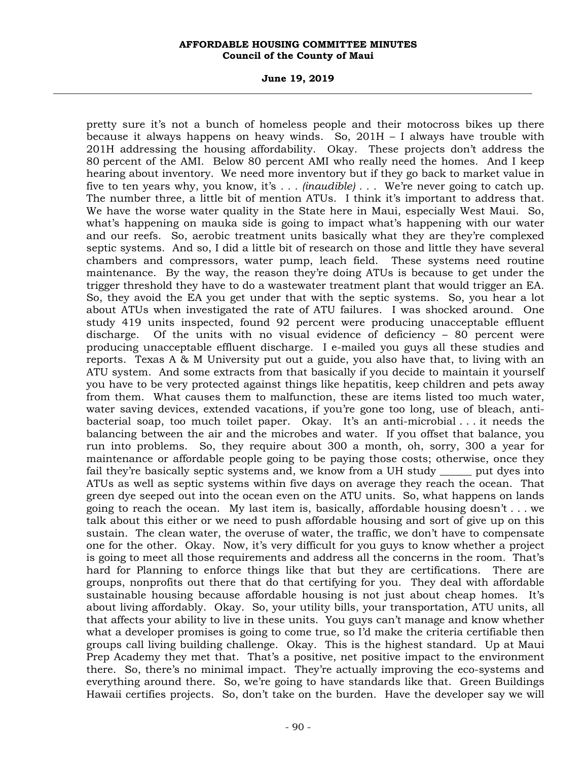#### **June 19, 2019 \_\_\_\_\_\_\_\_\_\_\_\_\_\_\_\_\_\_\_\_\_\_\_\_\_\_\_\_\_\_\_\_\_\_\_\_\_\_\_\_\_\_\_\_\_\_\_\_\_\_\_\_\_\_\_\_\_\_\_\_\_\_\_\_\_\_\_\_\_\_\_\_\_\_\_\_\_\_\_\_\_\_\_\_\_\_\_\_\_\_\_\_\_\_\_\_\_\_\_**

pretty sure it's not a bunch of homeless people and their motocross bikes up there because it always happens on heavy winds. So, 201H – I always have trouble with 201H addressing the housing affordability. Okay. These projects don't address the 80 percent of the AMI. Below 80 percent AMI who really need the homes. And I keep hearing about inventory. We need more inventory but if they go back to market value in five to ten years why, you know, it's *. . . (inaudible) . . .* We're never going to catch up. The number three, a little bit of mention ATUs. I think it's important to address that. We have the worse water quality in the State here in Maui, especially West Maui. So, what's happening on mauka side is going to impact what's happening with our water and our reefs. So, aerobic treatment units basically what they are they're complexed septic systems. And so, I did a little bit of research on those and little they have several chambers and compressors, water pump, leach field. These systems need routine maintenance. By the way, the reason they're doing ATUs is because to get under the trigger threshold they have to do a wastewater treatment plant that would trigger an EA. So, they avoid the EA you get under that with the septic systems. So, you hear a lot about ATUs when investigated the rate of ATU failures. I was shocked around. One study 419 units inspected, found 92 percent were producing unacceptable effluent discharge. Of the units with no visual evidence of deficiency – 80 percent were producing unacceptable effluent discharge. I e-mailed you guys all these studies and reports. Texas A & M University put out a guide, you also have that, to living with an ATU system. And some extracts from that basically if you decide to maintain it yourself you have to be very protected against things like hepatitis, keep children and pets away from them. What causes them to malfunction, these are items listed too much water, water saving devices, extended vacations, if you're gone too long, use of bleach, antibacterial soap, too much toilet paper. Okay. It's an anti-microbial . . . it needs the balancing between the air and the microbes and water. If you offset that balance, you run into problems. So, they require about 300 a month, oh, sorry, 300 a year for maintenance or affordable people going to be paying those costs; otherwise, once they fail they're basically septic systems and, we know from a UH study \_\_\_\_\_\_ put dyes into ATUs as well as septic systems within five days on average they reach the ocean. That green dye seeped out into the ocean even on the ATU units. So, what happens on lands going to reach the ocean. My last item is, basically, affordable housing doesn't . . . we talk about this either or we need to push affordable housing and sort of give up on this sustain. The clean water, the overuse of water, the traffic, we don't have to compensate one for the other. Okay. Now, it's very difficult for you guys to know whether a project is going to meet all those requirements and address all the concerns in the room. That's hard for Planning to enforce things like that but they are certifications. There are groups, nonprofits out there that do that certifying for you. They deal with affordable sustainable housing because affordable housing is not just about cheap homes. It's about living affordably. Okay. So, your utility bills, your transportation, ATU units, all that affects your ability to live in these units. You guys can't manage and know whether what a developer promises is going to come true, so I'd make the criteria certifiable then groups call living building challenge. Okay. This is the highest standard. Up at Maui Prep Academy they met that. That's a positive, net positive impact to the environment there. So, there's no minimal impact. They're actually improving the eco-systems and everything around there. So, we're going to have standards like that. Green Buildings Hawaii certifies projects. So, don't take on the burden. Have the developer say we will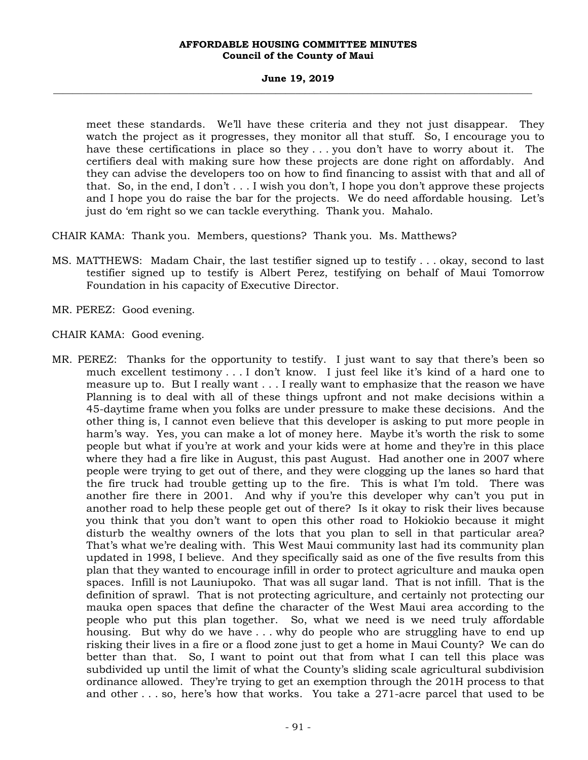#### **June 19, 2019 \_\_\_\_\_\_\_\_\_\_\_\_\_\_\_\_\_\_\_\_\_\_\_\_\_\_\_\_\_\_\_\_\_\_\_\_\_\_\_\_\_\_\_\_\_\_\_\_\_\_\_\_\_\_\_\_\_\_\_\_\_\_\_\_\_\_\_\_\_\_\_\_\_\_\_\_\_\_\_\_\_\_\_\_\_\_\_\_\_\_\_\_\_\_\_\_\_\_\_**

meet these standards. We'll have these criteria and they not just disappear. They watch the project as it progresses, they monitor all that stuff. So, I encourage you to have these certifications in place so they . . . you don't have to worry about it. The certifiers deal with making sure how these projects are done right on affordably. And they can advise the developers too on how to find financing to assist with that and all of that. So, in the end, I don't  $\dots$  I wish you don't, I hope you don't approve these projects and I hope you do raise the bar for the projects. We do need affordable housing. Let's just do 'em right so we can tackle everything. Thank you. Mahalo.

CHAIR KAMA: Thank you. Members, questions? Thank you. Ms. Matthews?

MS. MATTHEWS: Madam Chair, the last testifier signed up to testify . . . okay, second to last testifier signed up to testify is Albert Perez, testifying on behalf of Maui Tomorrow Foundation in his capacity of Executive Director.

MR. PEREZ: Good evening.

CHAIR KAMA: Good evening.

MR. PEREZ: Thanks for the opportunity to testify. I just want to say that there's been so much excellent testimony . . . I don't know. I just feel like it's kind of a hard one to measure up to. But I really want . . . I really want to emphasize that the reason we have Planning is to deal with all of these things upfront and not make decisions within a 45-daytime frame when you folks are under pressure to make these decisions. And the other thing is, I cannot even believe that this developer is asking to put more people in harm's way. Yes, you can make a lot of money here. Maybe it's worth the risk to some people but what if you're at work and your kids were at home and they're in this place where they had a fire like in August, this past August. Had another one in 2007 where people were trying to get out of there, and they were clogging up the lanes so hard that the fire truck had trouble getting up to the fire. This is what I'm told. There was another fire there in 2001. And why if you're this developer why can't you put in another road to help these people get out of there? Is it okay to risk their lives because you think that you don't want to open this other road to Hokiokio because it might disturb the wealthy owners of the lots that you plan to sell in that particular area? That's what we're dealing with. This West Maui community last had its community plan updated in 1998, I believe. And they specifically said as one of the five results from this plan that they wanted to encourage infill in order to protect agriculture and mauka open spaces. Infill is not Launiupoko. That was all sugar land. That is not infill. That is the definition of sprawl. That is not protecting agriculture, and certainly not protecting our mauka open spaces that define the character of the West Maui area according to the people who put this plan together. So, what we need is we need truly affordable housing. But why do we have . . . why do people who are struggling have to end up risking their lives in a fire or a flood zone just to get a home in Maui County? We can do better than that. So, I want to point out that from what I can tell this place was subdivided up until the limit of what the County's sliding scale agricultural subdivision ordinance allowed. They're trying to get an exemption through the 201H process to that and other . . . so, here's how that works. You take a 271-acre parcel that used to be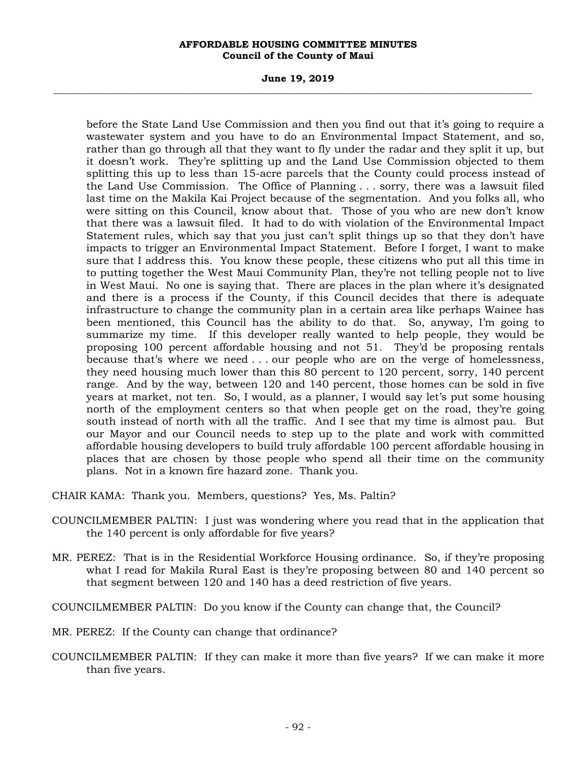#### **June 19, 2019 \_\_\_\_\_\_\_\_\_\_\_\_\_\_\_\_\_\_\_\_\_\_\_\_\_\_\_\_\_\_\_\_\_\_\_\_\_\_\_\_\_\_\_\_\_\_\_\_\_\_\_\_\_\_\_\_\_\_\_\_\_\_\_\_\_\_\_\_\_\_\_\_\_\_\_\_\_\_\_\_\_\_\_\_\_\_\_\_\_\_\_\_\_\_\_\_\_\_\_**

before the State Land Use Commission and then you find out that it's going to require a wastewater system and you have to do an Environmental Impact Statement, and so, rather than go through all that they want to fly under the radar and they split it up, but it doesn't work. They're splitting up and the Land Use Commission objected to them splitting this up to less than 15-acre parcels that the County could process instead of the Land Use Commission. The Office of Planning . . . sorry, there was a lawsuit filed last time on the Makila Kai Project because of the segmentation. And you folks all, who were sitting on this Council, know about that. Those of you who are new don't know that there was a lawsuit filed. It had to do with violation of the Environmental Impact Statement rules, which say that you just can't split things up so that they don't have impacts to trigger an Environmental Impact Statement. Before I forget, I want to make sure that I address this. You know these people, these citizens who put all this time in to putting together the West Maui Community Plan, they're not telling people not to live in West Maui. No one is saying that. There are places in the plan where it's designated and there is a process if the County, if this Council decides that there is adequate infrastructure to change the community plan in a certain area like perhaps Wainee has been mentioned, this Council has the ability to do that. So, anyway, I'm going to summarize my time. If this developer really wanted to help people, they would be proposing 100 percent affordable housing and not 51. They'd be proposing rentals because that's where we need . . . our people who are on the verge of homelessness, they need housing much lower than this 80 percent to 120 percent, sorry, 140 percent range. And by the way, between 120 and 140 percent, those homes can be sold in five years at market, not ten. So, I would, as a planner, I would say let's put some housing north of the employment centers so that when people get on the road, they're going south instead of north with all the traffic. And I see that my time is almost pau. But our Mayor and our Council needs to step up to the plate and work with committed affordable housing developers to build truly affordable 100 percent affordable housing in places that are chosen by those people who spend all their time on the community plans. Not in a known fire hazard zone. Thank you.

CHAIR KAMA: Thank you. Members, questions? Yes, Ms. Paltin?

- COUNCILMEMBER PALTIN: I just was wondering where you read that in the application that the 140 percent is only affordable for five years?
- MR. PEREZ: That is in the Residential Workforce Housing ordinance. So, if they're proposing what I read for Makila Rural East is they're proposing between 80 and 140 percent so that segment between 120 and 140 has a deed restriction of five years.

COUNCILMEMBER PALTIN: Do you know if the County can change that, the Council?

- MR. PEREZ: If the County can change that ordinance?
- COUNCILMEMBER PALTIN: If they can make it more than five years? If we can make it more than five years.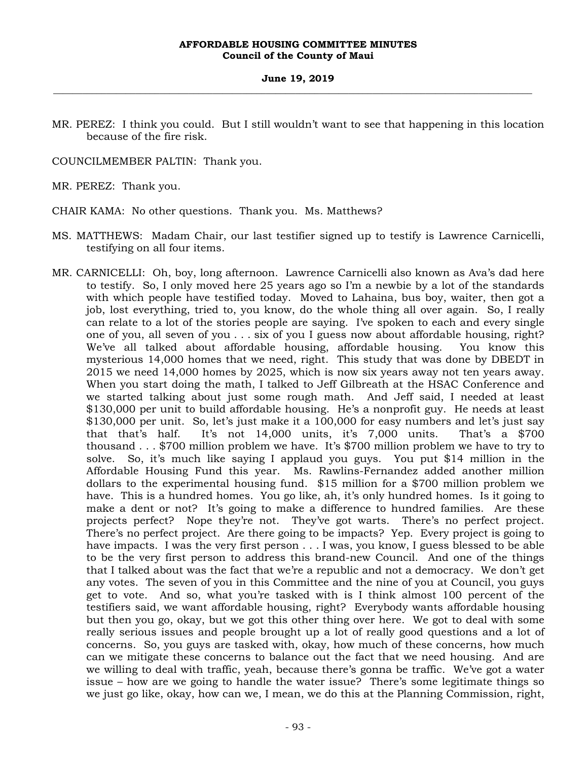MR. PEREZ: I think you could. But I still wouldn't want to see that happening in this location because of the fire risk.

COUNCILMEMBER PALTIN: Thank you.

MR. PEREZ: Thank you.

CHAIR KAMA: No other questions. Thank you. Ms. Matthews?

- MS. MATTHEWS: Madam Chair, our last testifier signed up to testify is Lawrence Carnicelli, testifying on all four items.
- MR. CARNICELLI: Oh, boy, long afternoon. Lawrence Carnicelli also known as Ava's dad here to testify. So, I only moved here 25 years ago so I'm a newbie by a lot of the standards with which people have testified today. Moved to Lahaina, bus boy, waiter, then got a job, lost everything, tried to, you know, do the whole thing all over again. So, I really can relate to a lot of the stories people are saying. I've spoken to each and every single one of you, all seven of you . . . six of you I guess now about affordable housing, right? We've all talked about affordable housing, affordable housing. You know this mysterious 14,000 homes that we need, right. This study that was done by DBEDT in 2015 we need 14,000 homes by 2025, which is now six years away not ten years away. When you start doing the math, I talked to Jeff Gilbreath at the HSAC Conference and we started talking about just some rough math. And Jeff said, I needed at least \$130,000 per unit to build affordable housing. He's a nonprofit guy. He needs at least \$130,000 per unit. So, let's just make it a 100,000 for easy numbers and let's just say that that's half. It's not 14,000 units, it's 7,000 units. That's a \$700 thousand . . . \$700 million problem we have. It's \$700 million problem we have to try to solve. So, it's much like saying I applaud you guys. You put \$14 million in the Affordable Housing Fund this year. Ms. Rawlins-Fernandez added another million dollars to the experimental housing fund. \$15 million for a \$700 million problem we have. This is a hundred homes. You go like, ah, it's only hundred homes. Is it going to make a dent or not? It's going to make a difference to hundred families. Are these projects perfect? Nope they're not. They've got warts. There's no perfect project. There's no perfect project. Are there going to be impacts? Yep. Every project is going to have impacts. I was the very first person . . . I was, you know, I guess blessed to be able to be the very first person to address this brand-new Council. And one of the things that I talked about was the fact that we're a republic and not a democracy. We don't get any votes. The seven of you in this Committee and the nine of you at Council, you guys get to vote. And so, what you're tasked with is I think almost 100 percent of the testifiers said, we want affordable housing, right? Everybody wants affordable housing but then you go, okay, but we got this other thing over here. We got to deal with some really serious issues and people brought up a lot of really good questions and a lot of concerns. So, you guys are tasked with, okay, how much of these concerns, how much can we mitigate these concerns to balance out the fact that we need housing. And are we willing to deal with traffic, yeah, because there's gonna be traffic. We've got a water issue – how are we going to handle the water issue? There's some legitimate things so we just go like, okay, how can we, I mean, we do this at the Planning Commission, right,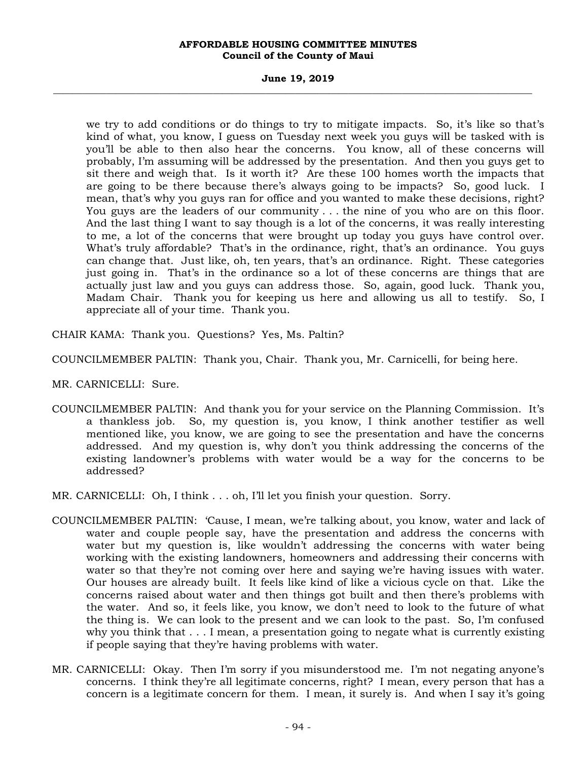#### **June 19, 2019 \_\_\_\_\_\_\_\_\_\_\_\_\_\_\_\_\_\_\_\_\_\_\_\_\_\_\_\_\_\_\_\_\_\_\_\_\_\_\_\_\_\_\_\_\_\_\_\_\_\_\_\_\_\_\_\_\_\_\_\_\_\_\_\_\_\_\_\_\_\_\_\_\_\_\_\_\_\_\_\_\_\_\_\_\_\_\_\_\_\_\_\_\_\_\_\_\_\_\_**

we try to add conditions or do things to try to mitigate impacts. So, it's like so that's kind of what, you know, I guess on Tuesday next week you guys will be tasked with is you'll be able to then also hear the concerns. You know, all of these concerns will probably, I'm assuming will be addressed by the presentation. And then you guys get to sit there and weigh that. Is it worth it? Are these 100 homes worth the impacts that are going to be there because there's always going to be impacts? So, good luck. I mean, that's why you guys ran for office and you wanted to make these decisions, right? You guys are the leaders of our community . . . the nine of you who are on this floor. And the last thing I want to say though is a lot of the concerns, it was really interesting to me, a lot of the concerns that were brought up today you guys have control over. What's truly affordable? That's in the ordinance, right, that's an ordinance. You guys can change that. Just like, oh, ten years, that's an ordinance. Right. These categories just going in. That's in the ordinance so a lot of these concerns are things that are actually just law and you guys can address those. So, again, good luck. Thank you, Madam Chair. Thank you for keeping us here and allowing us all to testify. So, I appreciate all of your time. Thank you.

CHAIR KAMA: Thank you. Questions? Yes, Ms. Paltin?

COUNCILMEMBER PALTIN: Thank you, Chair. Thank you, Mr. Carnicelli, for being here.

MR. CARNICELLI: Sure.

COUNCILMEMBER PALTIN: And thank you for your service on the Planning Commission. It's a thankless job. So, my question is, you know, I think another testifier as well mentioned like, you know, we are going to see the presentation and have the concerns addressed. And my question is, why don't you think addressing the concerns of the existing landowner's problems with water would be a way for the concerns to be addressed?

MR. CARNICELLI: Oh, I think . . . oh, I'll let you finish your question. Sorry.

- COUNCILMEMBER PALTIN: 'Cause, I mean, we're talking about, you know, water and lack of water and couple people say, have the presentation and address the concerns with water but my question is, like wouldn't addressing the concerns with water being working with the existing landowners, homeowners and addressing their concerns with water so that they're not coming over here and saying we're having issues with water. Our houses are already built. It feels like kind of like a vicious cycle on that. Like the concerns raised about water and then things got built and then there's problems with the water. And so, it feels like, you know, we don't need to look to the future of what the thing is. We can look to the present and we can look to the past. So, I'm confused why you think that . . . I mean, a presentation going to negate what is currently existing if people saying that they're having problems with water.
- MR. CARNICELLI: Okay. Then I'm sorry if you misunderstood me. I'm not negating anyone's concerns. I think they're all legitimate concerns, right? I mean, every person that has a concern is a legitimate concern for them. I mean, it surely is. And when I say it's going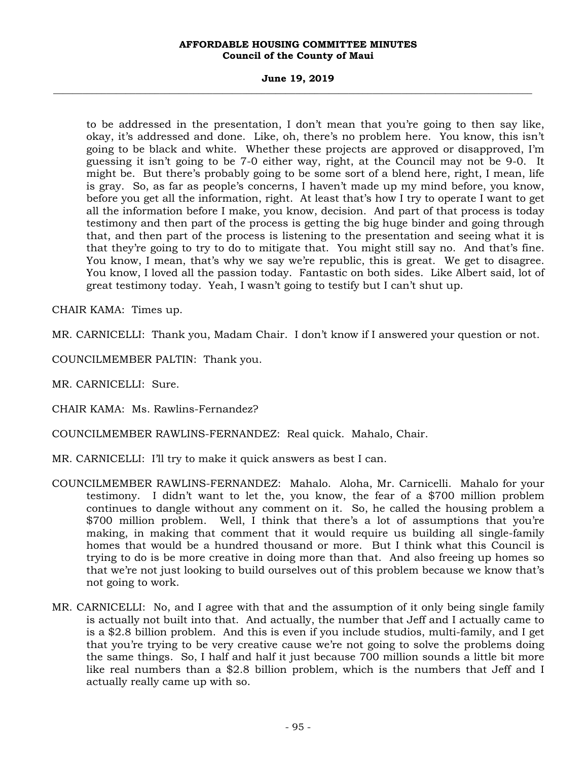#### **June 19, 2019 \_\_\_\_\_\_\_\_\_\_\_\_\_\_\_\_\_\_\_\_\_\_\_\_\_\_\_\_\_\_\_\_\_\_\_\_\_\_\_\_\_\_\_\_\_\_\_\_\_\_\_\_\_\_\_\_\_\_\_\_\_\_\_\_\_\_\_\_\_\_\_\_\_\_\_\_\_\_\_\_\_\_\_\_\_\_\_\_\_\_\_\_\_\_\_\_\_\_\_**

to be addressed in the presentation, I don't mean that you're going to then say like, okay, it's addressed and done. Like, oh, there's no problem here. You know, this isn't going to be black and white. Whether these projects are approved or disapproved, I'm guessing it isn't going to be 7-0 either way, right, at the Council may not be 9-0. It might be. But there's probably going to be some sort of a blend here, right, I mean, life is gray. So, as far as people's concerns, I haven't made up my mind before, you know, before you get all the information, right. At least that's how I try to operate I want to get all the information before I make, you know, decision. And part of that process is today testimony and then part of the process is getting the big huge binder and going through that, and then part of the process is listening to the presentation and seeing what it is that they're going to try to do to mitigate that. You might still say no. And that's fine. You know, I mean, that's why we say we're republic, this is great. We get to disagree. You know, I loved all the passion today. Fantastic on both sides. Like Albert said, lot of great testimony today. Yeah, I wasn't going to testify but I can't shut up.

CHAIR KAMA: Times up.

MR. CARNICELLI: Thank you, Madam Chair. I don't know if I answered your question or not.

COUNCILMEMBER PALTIN: Thank you.

MR. CARNICELLI: Sure.

CHAIR KAMA: Ms. Rawlins-Fernandez?

COUNCILMEMBER RAWLINS-FERNANDEZ: Real quick. Mahalo, Chair.

MR. CARNICELLI: I'll try to make it quick answers as best I can.

- COUNCILMEMBER RAWLINS-FERNANDEZ: Mahalo. Aloha, Mr. Carnicelli. Mahalo for your testimony. I didn't want to let the, you know, the fear of a \$700 million problem continues to dangle without any comment on it. So, he called the housing problem a \$700 million problem. Well, I think that there's a lot of assumptions that you're making, in making that comment that it would require us building all single-family homes that would be a hundred thousand or more. But I think what this Council is trying to do is be more creative in doing more than that. And also freeing up homes so that we're not just looking to build ourselves out of this problem because we know that's not going to work.
- MR. CARNICELLI: No, and I agree with that and the assumption of it only being single family is actually not built into that. And actually, the number that Jeff and I actually came to is a \$2.8 billion problem. And this is even if you include studios, multi-family, and I get that you're trying to be very creative cause we're not going to solve the problems doing the same things. So, I half and half it just because 700 million sounds a little bit more like real numbers than a \$2.8 billion problem, which is the numbers that Jeff and I actually really came up with so.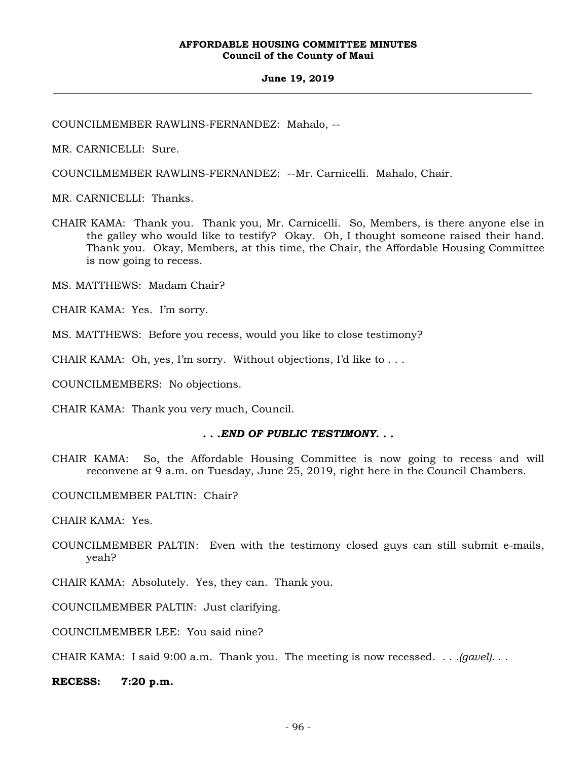COUNCILMEMBER RAWLINS-FERNANDEZ: Mahalo, --

MR. CARNICELLI: Sure.

COUNCILMEMBER RAWLINS-FERNANDEZ: --Mr. Carnicelli. Mahalo, Chair.

MR. CARNICELLI: Thanks.

CHAIR KAMA: Thank you. Thank you, Mr. Carnicelli. So, Members, is there anyone else in the galley who would like to testify? Okay. Oh, I thought someone raised their hand. Thank you. Okay, Members, at this time, the Chair, the Affordable Housing Committee is now going to recess.

MS. MATTHEWS: Madam Chair?

CHAIR KAMA: Yes. I'm sorry.

MS. MATTHEWS: Before you recess, would you like to close testimony?

CHAIR KAMA: Oh, yes, I'm sorry. Without objections, I'd like to . . .

COUNCILMEMBERS: No objections.

CHAIR KAMA: Thank you very much, Council.

## *. . .END OF PUBLIC TESTIMONY. . .*

CHAIR KAMA: So, the Affordable Housing Committee is now going to recess and will reconvene at 9 a.m. on Tuesday, June 25, 2019, right here in the Council Chambers.

COUNCILMEMBER PALTIN: Chair?

CHAIR KAMA: Yes.

COUNCILMEMBER PALTIN: Even with the testimony closed guys can still submit e-mails, yeah?

CHAIR KAMA: Absolutely. Yes, they can. Thank you.

COUNCILMEMBER PALTIN: Just clarifying.

COUNCILMEMBER LEE: You said nine?

CHAIR KAMA: I said 9:00 a.m. Thank you. The meeting is now recessed. . . *.(gavel).* . .

**RECESS: 7:20 p.m.**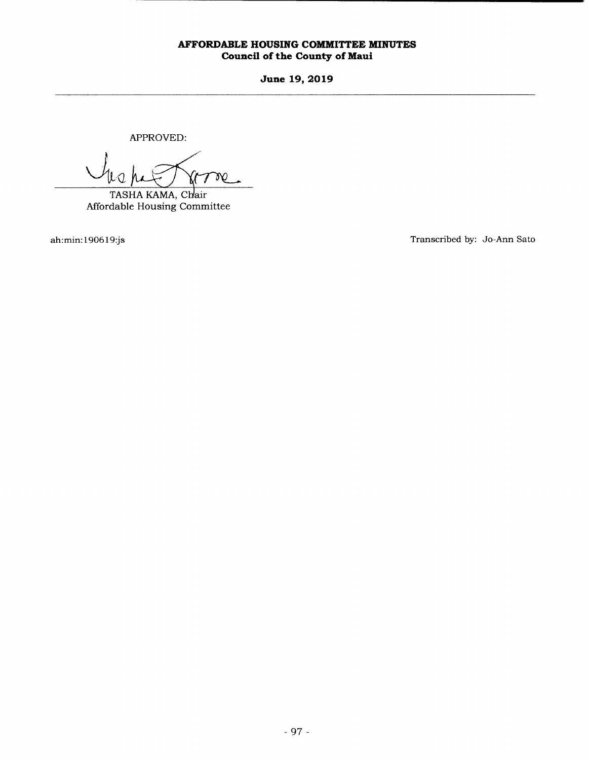**June 19, 2019** 

APPROVED:

W 7

TASHA KAMA, Chair Affordable Housing Committee

ah:min: 1906 19:js Transcribed by: Jo-Ann Sato